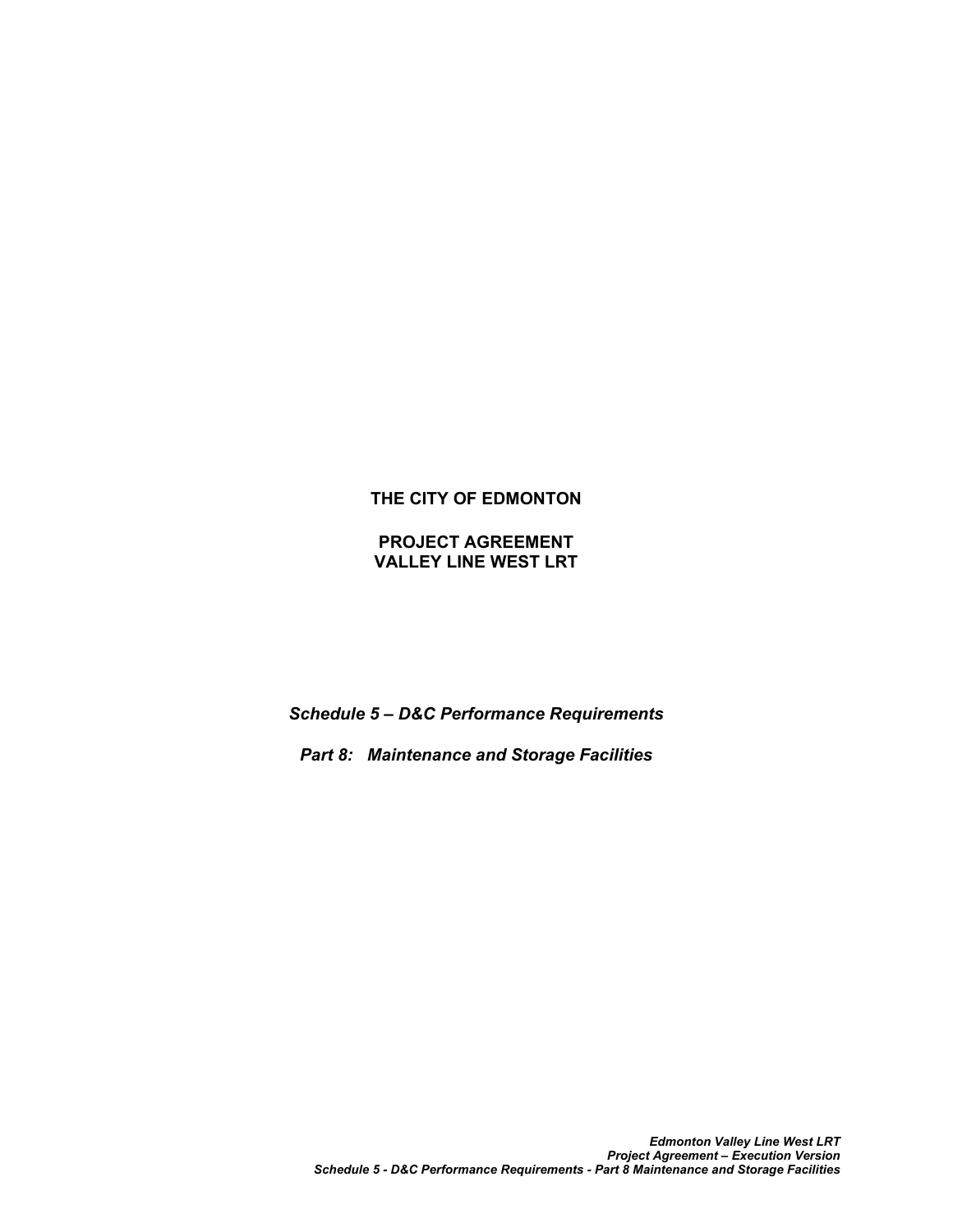# **THE CITY OF EDMONTON**

**PROJECT AGREEMENT VALLEY LINE WEST LRT**

*Schedule 5 – D&C Performance Requirements*

*Part 8: Maintenance and Storage Facilities*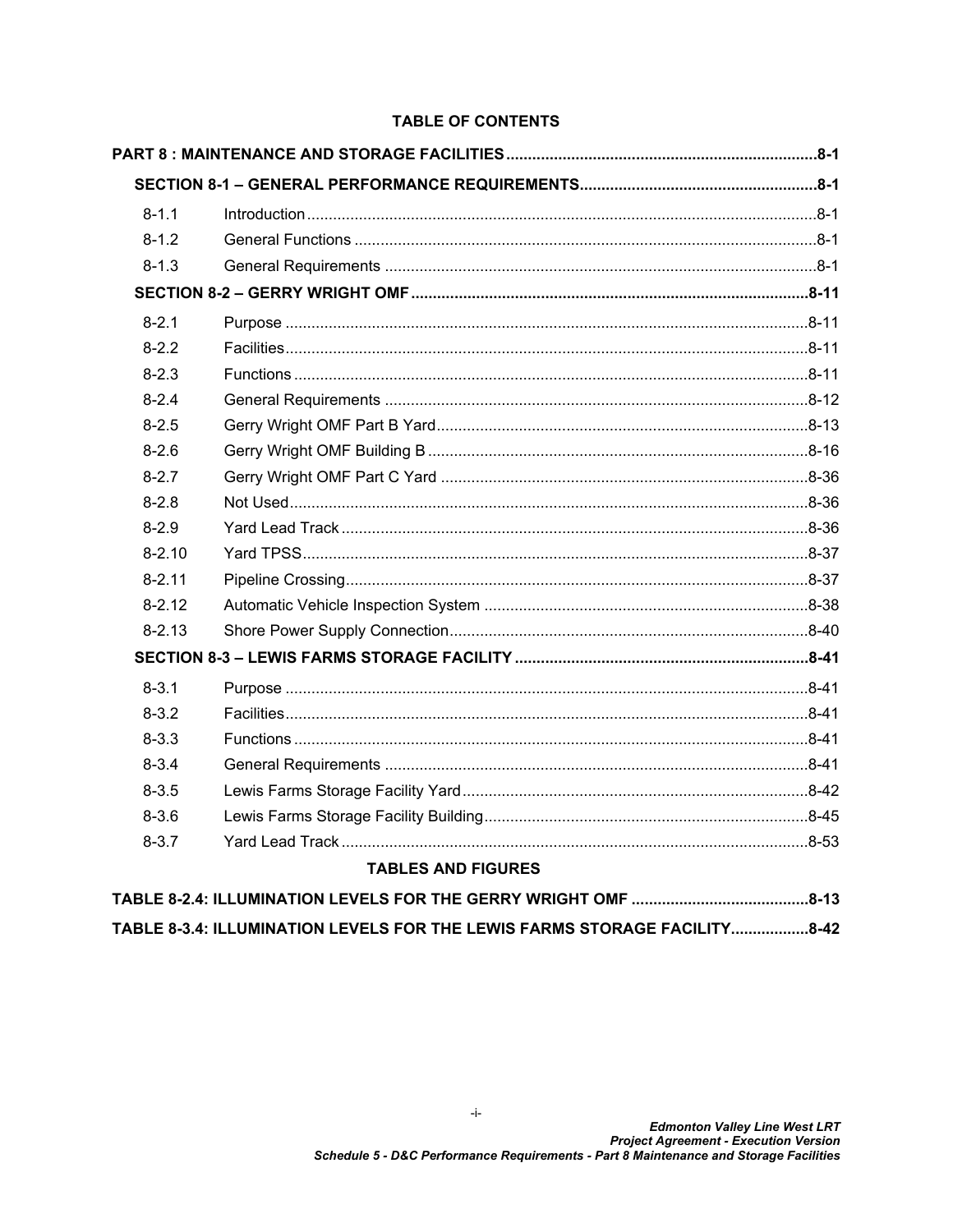## **TABLE OF CONTENTS**

| $8 - 1.1$  | $Introduction 1, 2, 3, 4, 5, 6, 7, 8, 7, 8, 7, 8, 7, 8, 7, 8, 7, 8, 7, 8, 7, 8, 7, 8, 7, 8, 7, 8, 7, 8, 7, 8, 7, 8, 7, 8, 7, 8, 7, 8, 7, 8, 7, 8, 7, 8, 7, 8, 7, 8, 7, 8, 7, 8, 7, 8, 7, 8, 7, 8, 7, 8, 7, 8, 7, 8, 7, 8, 7, 8, 7, 8, 7,$ |           |
|------------|-------------------------------------------------------------------------------------------------------------------------------------------------------------------------------------------------------------------------------------------|-----------|
| $8 - 1.2$  |                                                                                                                                                                                                                                           |           |
| $8 - 1.3$  |                                                                                                                                                                                                                                           |           |
|            |                                                                                                                                                                                                                                           |           |
| $8 - 2.1$  |                                                                                                                                                                                                                                           |           |
| $8 - 2.2$  |                                                                                                                                                                                                                                           |           |
| $8 - 2.3$  |                                                                                                                                                                                                                                           |           |
| $8 - 2.4$  |                                                                                                                                                                                                                                           |           |
| $8 - 2.5$  |                                                                                                                                                                                                                                           |           |
| $8 - 2.6$  |                                                                                                                                                                                                                                           |           |
| $8 - 2.7$  |                                                                                                                                                                                                                                           |           |
| $8 - 2.8$  |                                                                                                                                                                                                                                           |           |
| $8 - 2.9$  |                                                                                                                                                                                                                                           |           |
| $8 - 2.10$ |                                                                                                                                                                                                                                           |           |
| $8 - 2.11$ |                                                                                                                                                                                                                                           |           |
| $8 - 2.12$ |                                                                                                                                                                                                                                           |           |
| $8 - 2.13$ |                                                                                                                                                                                                                                           |           |
|            |                                                                                                                                                                                                                                           |           |
| $8 - 3.1$  |                                                                                                                                                                                                                                           |           |
| $8 - 3.2$  |                                                                                                                                                                                                                                           |           |
| $8 - 3.3$  |                                                                                                                                                                                                                                           |           |
| $8 - 3.4$  |                                                                                                                                                                                                                                           |           |
| $8 - 3.5$  |                                                                                                                                                                                                                                           |           |
| $8 - 3.6$  |                                                                                                                                                                                                                                           |           |
| $8 - 3.7$  |                                                                                                                                                                                                                                           |           |
|            | <b>TABLES AND FIGURES</b>                                                                                                                                                                                                                 |           |
|            | TABLE 8-2.4: ILLUMINATION LEVELS FOR THE GERRY WRIGHT OMF                                                                                                                                                                                 | $.8 - 13$ |

TABLE 8-3.4: ILLUMINATION LEVELS FOR THE LEWIS FARMS STORAGE FACILITY..................8-42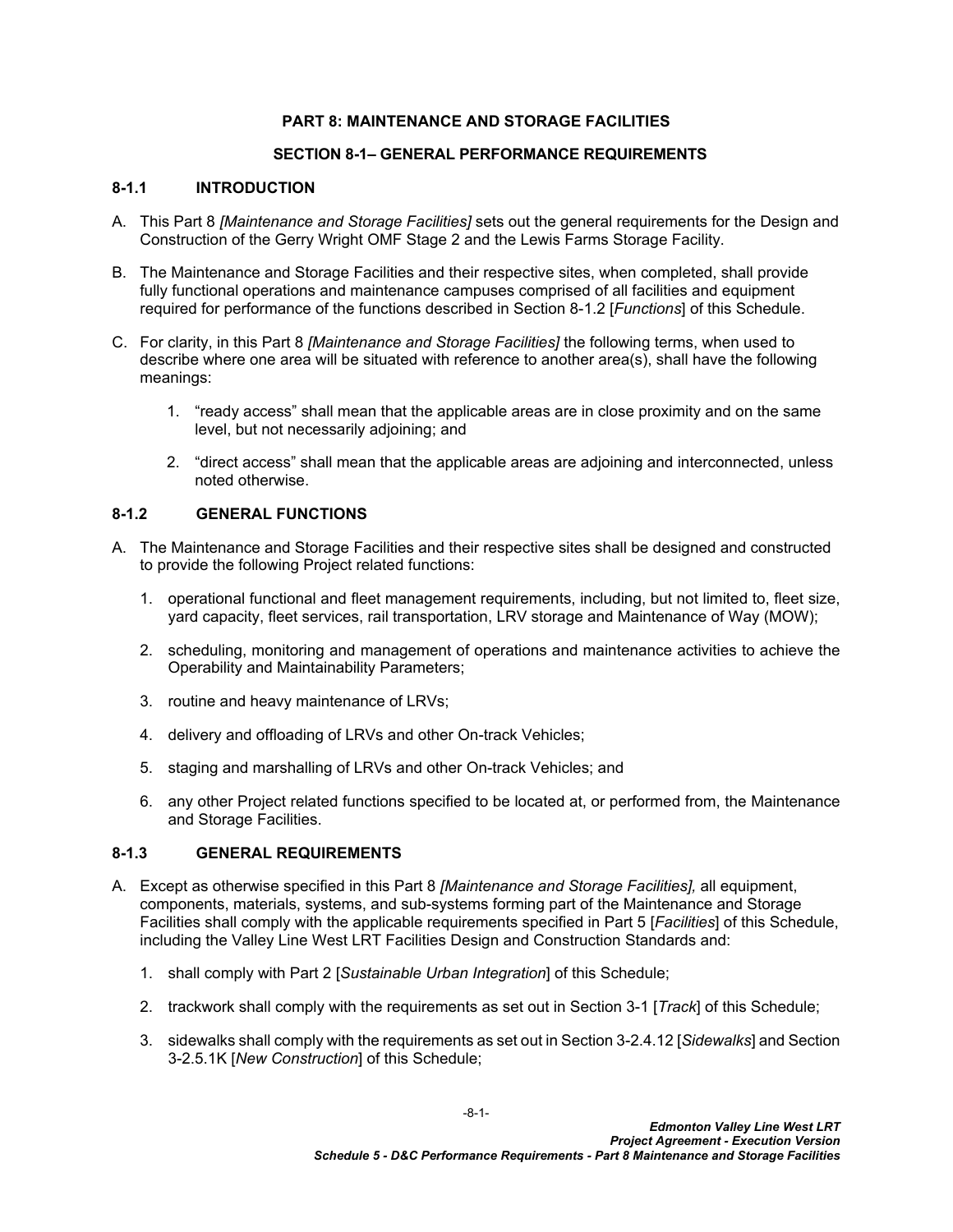## <span id="page-2-0"></span>**PART 8: MAINTENANCE AND STORAGE FACILITIES**

## <span id="page-2-1"></span>**SECTION 8-1– GENERAL PERFORMANCE REQUIREMENTS**

#### <span id="page-2-2"></span>**8-1.1 INTRODUCTION**

- A. This Part 8 *[Maintenance and Storage Facilities]* sets out the general requirements for the Design and Construction of the Gerry Wright OMF Stage 2 and the Lewis Farms Storage Facility.
- B. The Maintenance and Storage Facilities and their respective sites, when completed, shall provide fully functional operations and maintenance campuses comprised of all facilities and equipment required for performance of the functions described in Section [8-1.2](#page-2-3) [*Functions*] of this Schedule.
- C. For clarity, in this Part 8 *[Maintenance and Storage Facilities]* the following terms, when used to describe where one area will be situated with reference to another area(s), shall have the following meanings:
	- 1. "ready access" shall mean that the applicable areas are in close proximity and on the same level, but not necessarily adjoining; and
	- 2. "direct access" shall mean that the applicable areas are adjoining and interconnected, unless noted otherwise.

### <span id="page-2-3"></span>**8-1.2 GENERAL FUNCTIONS**

- A. The Maintenance and Storage Facilities and their respective sites shall be designed and constructed to provide the following Project related functions:
	- 1. operational functional and fleet management requirements, including, but not limited to, fleet size, yard capacity, fleet services, rail transportation, LRV storage and Maintenance of Way (MOW);
	- 2. scheduling, monitoring and management of operations and maintenance activities to achieve the Operability and Maintainability Parameters;
	- 3. routine and heavy maintenance of LRVs;
	- 4. delivery and offloading of LRVs and other On-track Vehicles;
	- 5. staging and marshalling of LRVs and other On-track Vehicles; and
	- 6. any other Project related functions specified to be located at, or performed from, the Maintenance and Storage Facilities.

## <span id="page-2-4"></span>**8-1.3 GENERAL REQUIREMENTS**

- A. Except as otherwise specified in this Part 8 *[Maintenance and Storage Facilities],* all equipment, components, materials, systems, and sub-systems forming part of the Maintenance and Storage Facilities shall comply with the applicable requirements specified in Part 5 [*Facilities*] of this Schedule, including the Valley Line West LRT Facilities Design and Construction Standards and:
	- 1. shall comply with Part 2 [*Sustainable Urban Integration*] of this Schedule;
	- 2. trackwork shall comply with the requirements as set out in Section 3-1 [*Track*] of this Schedule;
	- 3. sidewalks shall comply with the requirements as set out in Section 3-2.4.12 [*Sidewalks*] and Section 3-2.5.1K [*New Construction*] of this Schedule;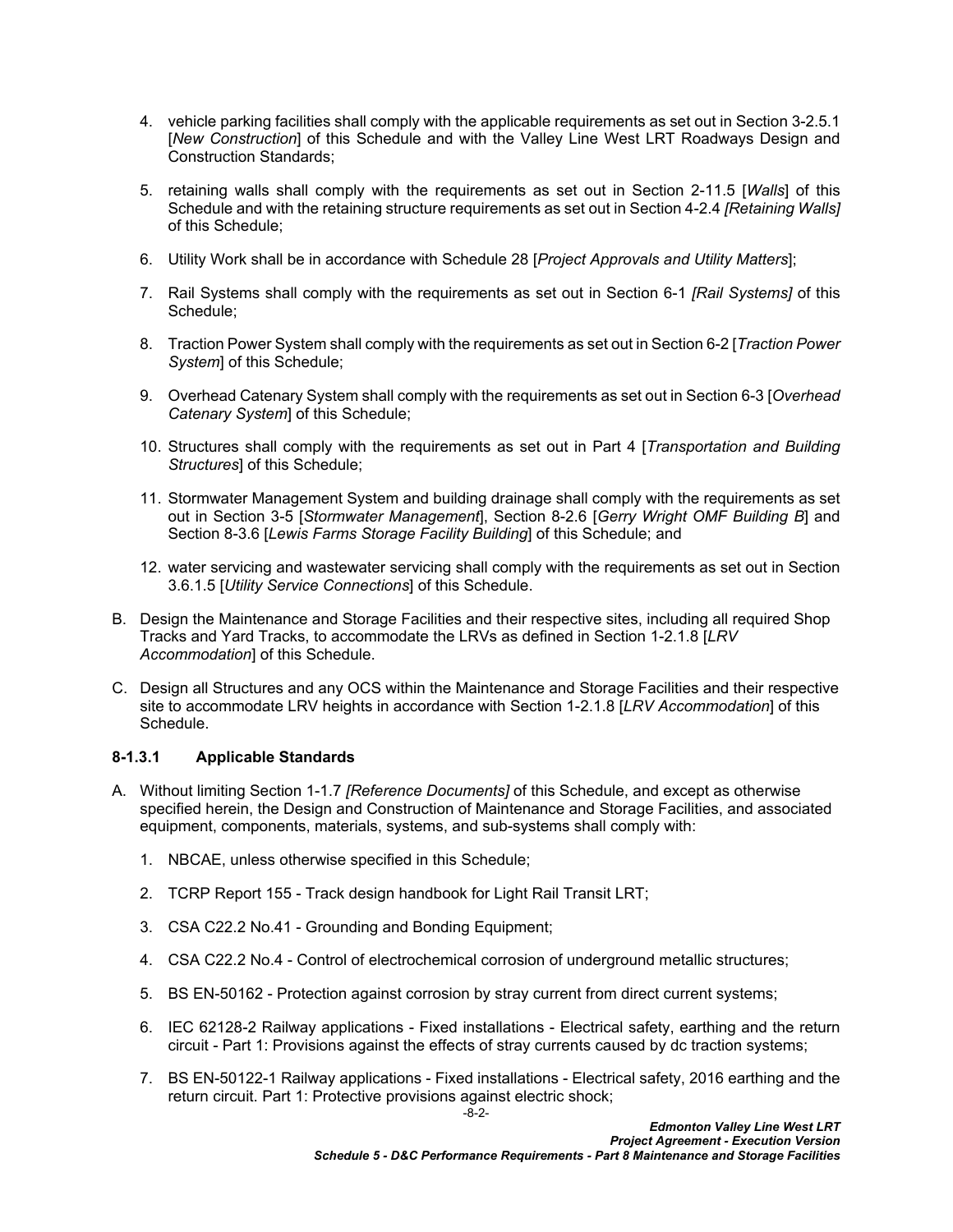- 4. vehicle parking facilities shall comply with the applicable requirements as set out in Section 3-2.5.1 [*New Construction*] of this Schedule and with the Valley Line West LRT Roadways Design and Construction Standards;
- 5. retaining walls shall comply with the requirements as set out in Section 2-11.5 [*Walls*] of this Schedule and with the retaining structure requirements as set out in Section 4-2.4 *[Retaining Walls]* of this Schedule;
- 6. Utility Work shall be in accordance with Schedule 28 [*Project Approvals and Utility Matters*];
- 7. Rail Systems shall comply with the requirements as set out in Section 6-1 *[Rail Systems]* of this Schedule;
- 8. Traction Power System shall comply with the requirements as set out in Section 6-2 [*Traction Power System*] of this Schedule;
- 9. Overhead Catenary System shall comply with the requirements as set out in Section 6-3 [*Overhead Catenary System*] of this Schedule;
- 10. Structures shall comply with the requirements as set out in Part 4 [*Transportation and Building Structures*] of this Schedule;
- 11. Stormwater Management System and building drainage shall comply with the requirements as set out in Section 3-5 [*Stormwater Management*], Section 8-2.6 [*Gerry Wright OMF Building B*] and Section 8-3.6 [*Lewis Farms Storage Facility Building*] of this Schedule; and
- 12. water servicing and wastewater servicing shall comply with the requirements as set out in Section 3.6.1.5 [*Utility Service Connections*] of this Schedule.
- B. Design the Maintenance and Storage Facilities and their respective sites, including all required Shop Tracks and Yard Tracks, to accommodate the LRVs as defined in Section 1-2.1.8 [*LRV Accommodation*] of this Schedule.
- C. Design all Structures and any OCS within the Maintenance and Storage Facilities and their respective site to accommodate LRV heights in accordance with Section 1-2.1.8 [*LRV Accommodation*] of this Schedule.

## **8-1.3.1 Applicable Standards**

- A. Without limiting Section 1-1.7 *[Reference Documents]* of this Schedule, and except as otherwise specified herein, the Design and Construction of Maintenance and Storage Facilities, and associated equipment, components, materials, systems, and sub-systems shall comply with:
	- 1. NBCAE, unless otherwise specified in this Schedule;
	- 2. TCRP Report 155 Track design handbook for Light Rail Transit LRT;
	- 3. CSA C22.2 No.41 Grounding and Bonding Equipment;
	- 4. CSA C22.2 No.4 Control of electrochemical corrosion of underground metallic structures;
	- 5. BS EN-50162 Protection against corrosion by stray current from direct current systems;
	- 6. IEC 62128-2 Railway applications Fixed installations Electrical safety, earthing and the return circuit - Part 1: Provisions against the effects of stray currents caused by dc traction systems;
	- 7. BS EN-50122-1 Railway applications Fixed installations Electrical safety, 2016 earthing and the return circuit. Part 1: Protective provisions against electric shock;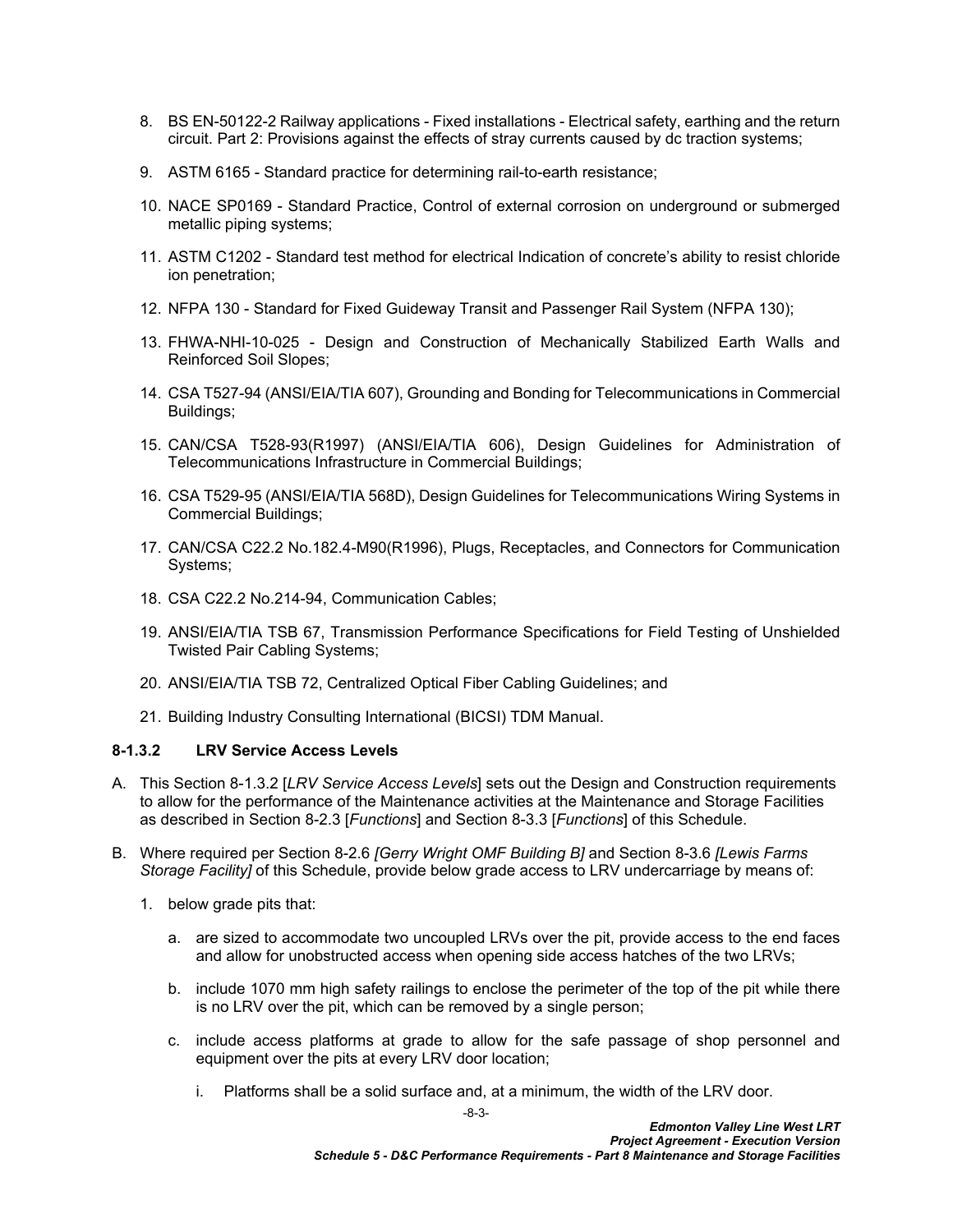- 8. BS EN-50122-2 Railway applications Fixed installations Electrical safety, earthing and the return circuit. Part 2: Provisions against the effects of stray currents caused by dc traction systems;
- 9. ASTM 6165 Standard practice for determining rail-to-earth resistance;
- 10. NACE SP0169 Standard Practice, Control of external corrosion on underground or submerged metallic piping systems;
- 11. ASTM C1202 Standard test method for electrical Indication of concrete's ability to resist chloride ion penetration;
- 12. NFPA 130 Standard for Fixed Guideway Transit and Passenger Rail System (NFPA 130);
- 13. FHWA-NHI-10-025 Design and Construction of Mechanically Stabilized Earth Walls and Reinforced Soil Slopes;
- 14. CSA T527-94 (ANSI/EIA/TIA 607), Grounding and Bonding for Telecommunications in Commercial Buildings;
- 15. CAN/CSA T528-93(R1997) (ANSI/EIA/TIA 606), Design Guidelines for Administration of Telecommunications Infrastructure in Commercial Buildings;
- 16. CSA T529-95 (ANSI/EIA/TIA 568D), Design Guidelines for Telecommunications Wiring Systems in Commercial Buildings;
- 17. CAN/CSA C22.2 No.182.4-M90(R1996), Plugs, Receptacles, and Connectors for Communication Systems;
- 18. CSA C22.2 No.214-94, Communication Cables;
- 19. ANSI/EIA/TIA TSB 67, Transmission Performance Specifications for Field Testing of Unshielded Twisted Pair Cabling Systems;
- 20. ANSI/EIA/TIA TSB 72, Centralized Optical Fiber Cabling Guidelines; and
- 21. Building Industry Consulting International (BICSI) TDM Manual.

#### <span id="page-4-0"></span>**8-1.3.2 LRV Service Access Levels**

- A. This Section [8-1.3.2](#page-4-0) [*LRV Service Access Levels*] sets out the Design and Construction requirements to allow for the performance of the Maintenance activities at the Maintenance and Storage Facilities as described in Section [8-2.3](#page-12-3) [*Functions*] and Section [8-3.3](#page-42-3) [*Functions*] of this Schedule.
- <span id="page-4-1"></span>B. Where required per Section 8-2.6 *[Gerry Wright OMF Building B]* and Section 8-3.6 *[Lewis Farms Storage Facility]* of this Schedule, provide below grade access to LRV undercarriage by means of:
	- 1. below grade pits that:
		- a. are sized to accommodate two uncoupled LRVs over the pit, provide access to the end faces and allow for unobstructed access when opening side access hatches of the two LRVs;
		- b. include 1070 mm high safety railings to enclose the perimeter of the top of the pit while there is no LRV over the pit, which can be removed by a single person;
		- c. include access platforms at grade to allow for the safe passage of shop personnel and equipment over the pits at every LRV door location;
			- i. Platforms shall be a solid surface and, at a minimum, the width of the LRV door.

-8-3-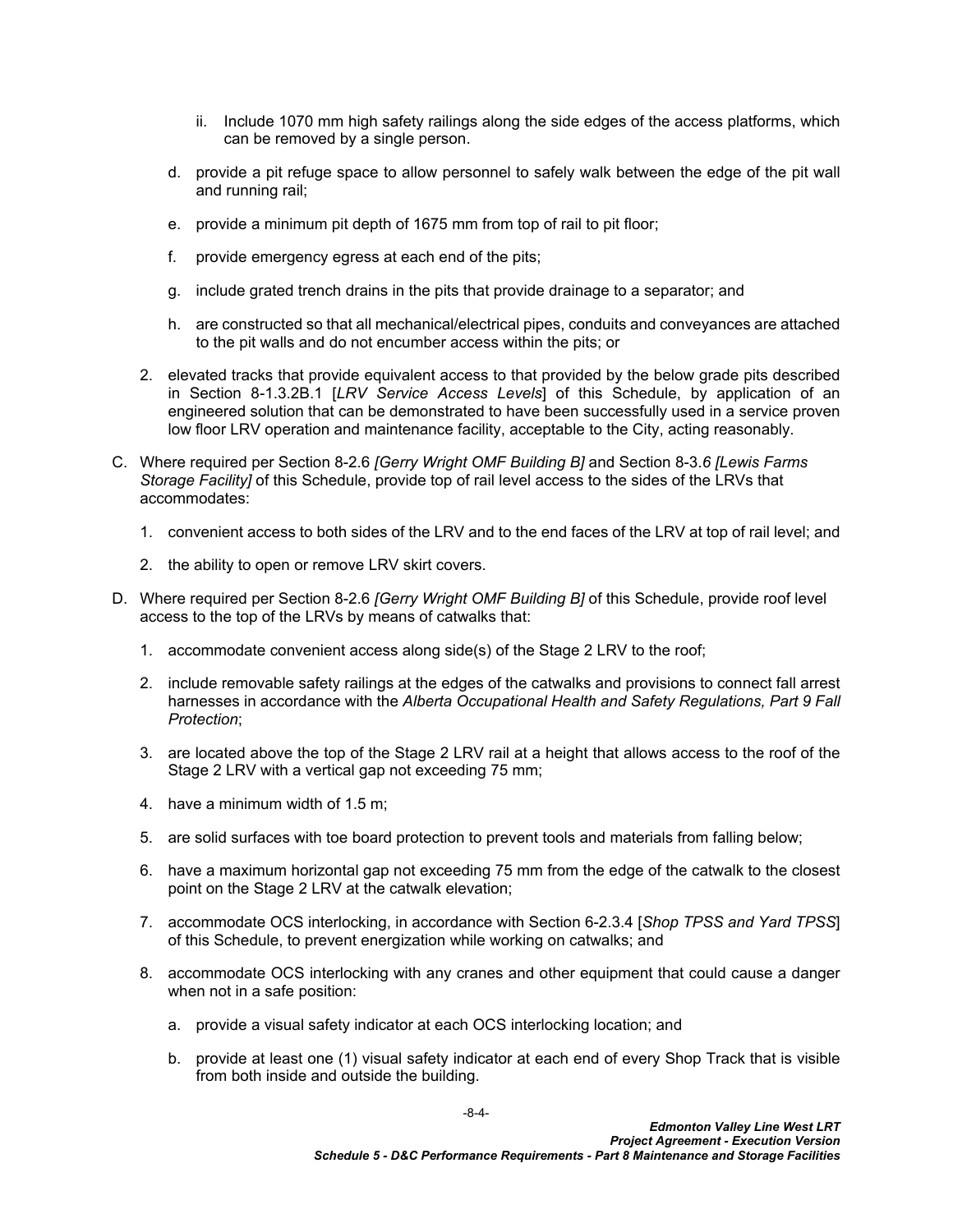- ii. Include 1070 mm high safety railings along the side edges of the access platforms, which can be removed by a single person.
- d. provide a pit refuge space to allow personnel to safely walk between the edge of the pit wall and running rail;
- e. provide a minimum pit depth of 1675 mm from top of rail to pit floor;
- f. provide emergency egress at each end of the pits;
- g. include grated trench drains in the pits that provide drainage to a separator; and
- h. are constructed so that all mechanical/electrical pipes, conduits and conveyances are attached to the pit walls and do not encumber access within the pits; or
- 2. elevated tracks that provide equivalent access to that provided by the below grade pits described in Section 8-1.3.2B.1 [*LRV Service Access Levels*] of this Schedule, by application of an engineered solution that can be demonstrated to have been successfully used in a service proven low floor LRV operation and maintenance facility, acceptable to the City, acting reasonably.
- <span id="page-5-1"></span>C. Where required per Section 8-2.6 *[Gerry Wright OMF Building B]* and Section 8-3.*6 [Lewis Farms Storage Facility]* of this Schedule, provide top of rail level access to the sides of the LRVs that accommodates:
	- 1. convenient access to both sides of the LRV and to the end faces of the LRV at top of rail level; and
	- 2. the ability to open or remove LRV skirt covers.
- <span id="page-5-2"></span><span id="page-5-0"></span>D. Where required per Section 8-2.6 *[Gerry Wright OMF Building B]* of this Schedule, provide roof level access to the top of the LRVs by means of catwalks that:
	- 1. accommodate convenient access along side(s) of the Stage 2 LRV to the roof;
	- 2. include removable safety railings at the edges of the catwalks and provisions to connect fall arrest harnesses in accordance with the *Alberta Occupational Health and Safety Regulations, Part 9 Fall Protection*;
	- 3. are located above the top of the Stage 2 LRV rail at a height that allows access to the roof of the Stage 2 LRV with a vertical gap not exceeding 75 mm;
	- 4. have a minimum width of 1.5 m;
	- 5. are solid surfaces with toe board protection to prevent tools and materials from falling below;
	- 6. have a maximum horizontal gap not exceeding 75 mm from the edge of the catwalk to the closest point on the Stage 2 LRV at the catwalk elevation;
	- 7. accommodate OCS interlocking, in accordance with Section 6-2.3.4 [*Shop TPSS and Yard TPSS*] of this Schedule, to prevent energization while working on catwalks; and
	- 8. accommodate OCS interlocking with any cranes and other equipment that could cause a danger when not in a safe position:
		- a. provide a visual safety indicator at each OCS interlocking location; and
		- b. provide at least one (1) visual safety indicator at each end of every Shop Track that is visible from both inside and outside the building.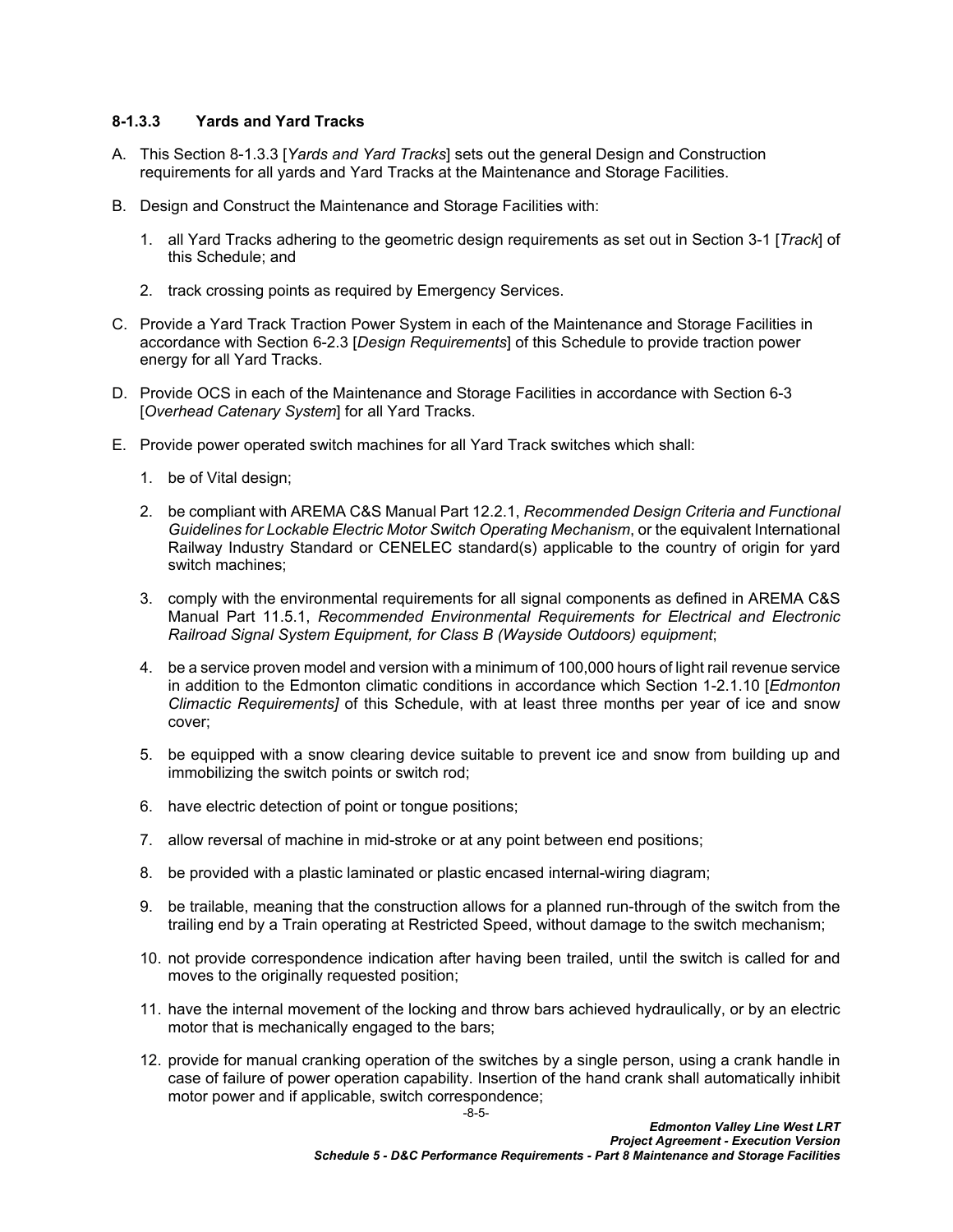## <span id="page-6-0"></span>**8-1.3.3 Yards and Yard Tracks**

- A. This Section [8-1.3.3](#page-6-0) [*Yards and Yard Tracks*] sets out the general Design and Construction requirements for all yards and Yard Tracks at the Maintenance and Storage Facilities.
- B. Design and Construct the Maintenance and Storage Facilities with:
	- 1. all Yard Tracks adhering to the geometric design requirements as set out in Section 3-1 [*Track*] of this Schedule; and
	- 2. track crossing points as required by Emergency Services.
- C. Provide a Yard Track Traction Power System in each of the Maintenance and Storage Facilities in accordance with Section 6-2.3 [*Design Requirements*] of this Schedule to provide traction power energy for all Yard Tracks.
- D. Provide OCS in each of the Maintenance and Storage Facilities in accordance with Section 6-3 [*Overhead Catenary System*] for all Yard Tracks.
- E. Provide power operated switch machines for all Yard Track switches which shall:
	- 1. be of Vital design;
	- 2. be compliant with AREMA C&S Manual Part 12.2.1, *Recommended Design Criteria and Functional Guidelines for Lockable Electric Motor Switch Operating Mechanism*, or the equivalent International Railway Industry Standard or CENELEC standard(s) applicable to the country of origin for yard switch machines;
	- 3. comply with the environmental requirements for all signal components as defined in AREMA C&S Manual Part 11.5.1, *Recommended Environmental Requirements for Electrical and Electronic Railroad Signal System Equipment, for Class B (Wayside Outdoors) equipment*;
	- 4. be a service proven model and version with a minimum of 100,000 hours of light rail revenue service in addition to the Edmonton climatic conditions in accordance which Section 1-2.1.10 [*Edmonton Climactic Requirements]* of this Schedule, with at least three months per year of ice and snow cover;
	- 5. be equipped with a snow clearing device suitable to prevent ice and snow from building up and immobilizing the switch points or switch rod;
	- 6. have electric detection of point or tongue positions;
	- 7. allow reversal of machine in mid-stroke or at any point between end positions;
	- 8. be provided with a plastic laminated or plastic encased internal-wiring diagram;
	- 9. be trailable, meaning that the construction allows for a planned run-through of the switch from the trailing end by a Train operating at Restricted Speed, without damage to the switch mechanism;
	- 10. not provide correspondence indication after having been trailed, until the switch is called for and moves to the originally requested position;
	- 11. have the internal movement of the locking and throw bars achieved hydraulically, or by an electric motor that is mechanically engaged to the bars;
	- 12. provide for manual cranking operation of the switches by a single person, using a crank handle in case of failure of power operation capability. Insertion of the hand crank shall automatically inhibit motor power and if applicable, switch correspondence;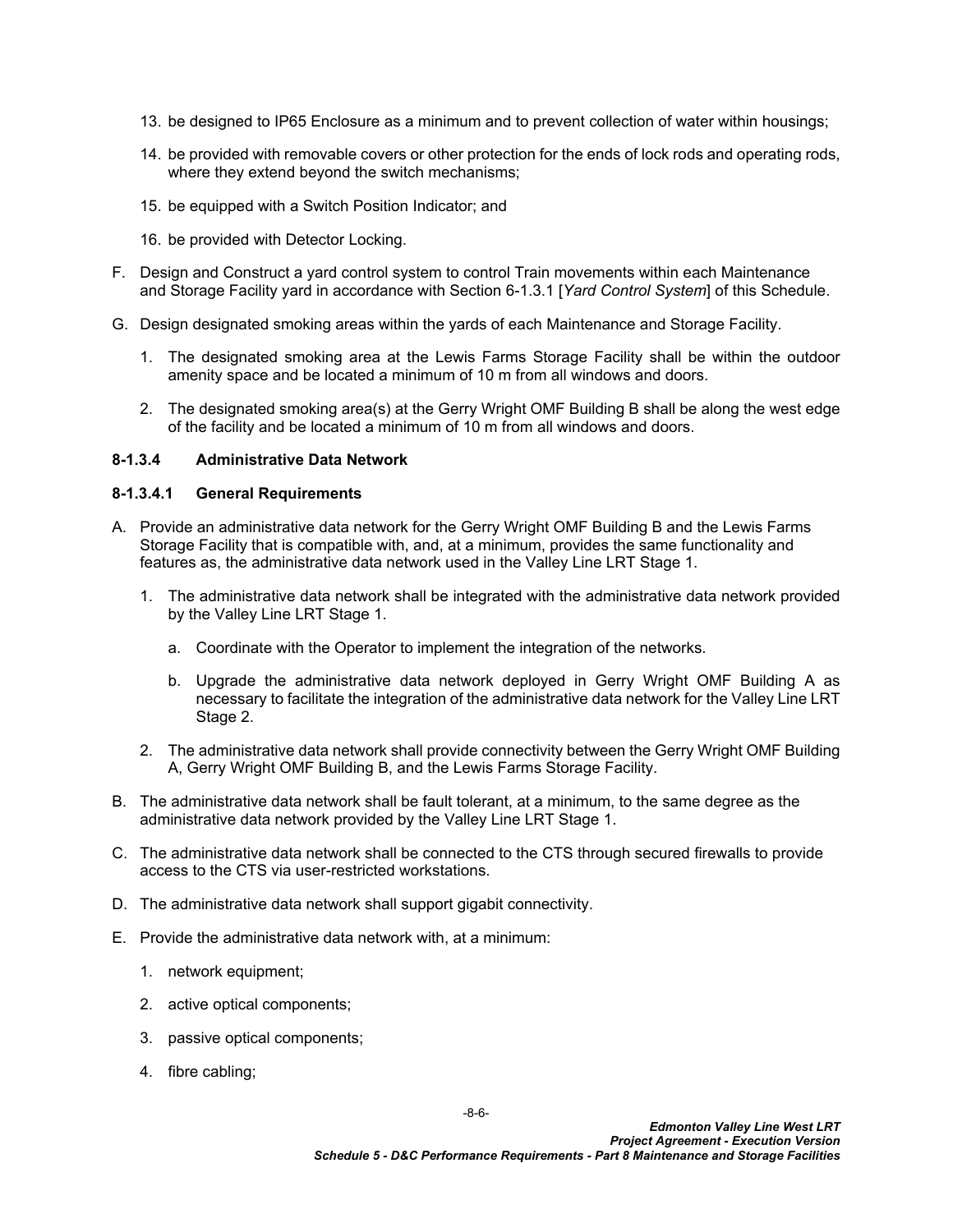- 13. be designed to IP65 Enclosure as a minimum and to prevent collection of water within housings;
- 14. be provided with removable covers or other protection for the ends of lock rods and operating rods, where they extend beyond the switch mechanisms;
- 15. be equipped with a Switch Position Indicator; and
- 16. be provided with Detector Locking.
- F. Design and Construct a yard control system to control Train movements within each Maintenance and Storage Facility yard in accordance with Section 6-1.3.1 [*Yard Control System*] of this Schedule.
- G. Design designated smoking areas within the yards of each Maintenance and Storage Facility.
	- 1. The designated smoking area at the Lewis Farms Storage Facility shall be within the outdoor amenity space and be located a minimum of 10 m from all windows and doors.
	- 2. The designated smoking area(s) at the Gerry Wright OMF Building B shall be along the west edge of the facility and be located a minimum of 10 m from all windows and doors.

#### **8-1.3.4 Administrative Data Network**

#### **8-1.3.4.1 General Requirements**

- A. Provide an administrative data network for the Gerry Wright OMF Building B and the Lewis Farms Storage Facility that is compatible with, and, at a minimum, provides the same functionality and features as, the administrative data network used in the Valley Line LRT Stage 1.
	- 1. The administrative data network shall be integrated with the administrative data network provided by the Valley Line LRT Stage 1.
		- a. Coordinate with the Operator to implement the integration of the networks.
		- b. Upgrade the administrative data network deployed in Gerry Wright OMF Building A as necessary to facilitate the integration of the administrative data network for the Valley Line LRT Stage 2.
	- 2. The administrative data network shall provide connectivity between the Gerry Wright OMF Building A, Gerry Wright OMF Building B, and the Lewis Farms Storage Facility.
- B. The administrative data network shall be fault tolerant, at a minimum, to the same degree as the administrative data network provided by the Valley Line LRT Stage 1.
- C. The administrative data network shall be connected to the CTS through secured firewalls to provide access to the CTS via user-restricted workstations.
- D. The administrative data network shall support gigabit connectivity.
- E. Provide the administrative data network with, at a minimum:
	- 1. network equipment;
	- 2. active optical components;
	- 3. passive optical components;
	- 4. fibre cabling;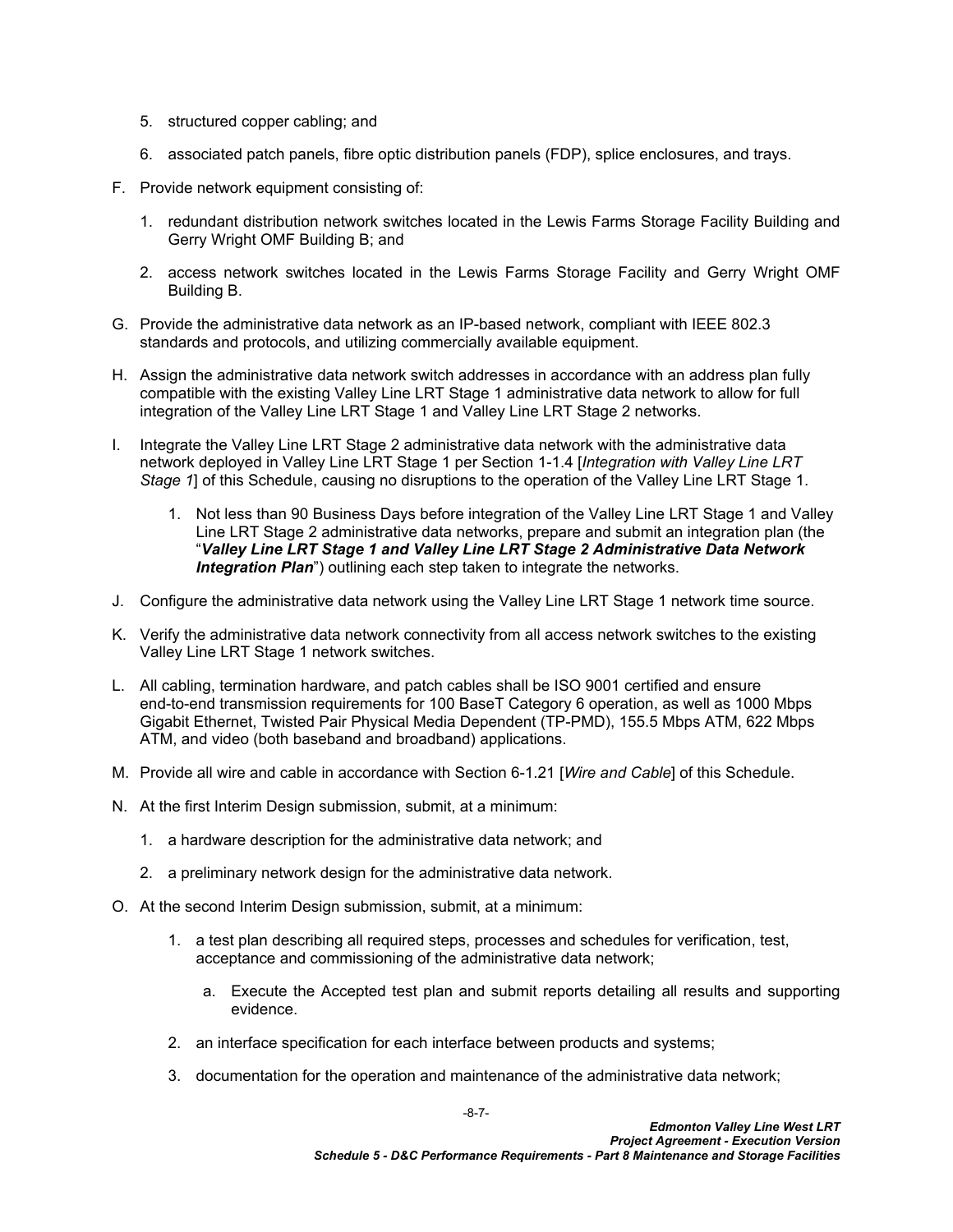- 5. structured copper cabling; and
- 6. associated patch panels, fibre optic distribution panels (FDP), splice enclosures, and trays.
- F. Provide network equipment consisting of:
	- 1. redundant distribution network switches located in the Lewis Farms Storage Facility Building and Gerry Wright OMF Building B; and
	- 2. access network switches located in the Lewis Farms Storage Facility and Gerry Wright OMF Building B.
- G. Provide the administrative data network as an IP-based network, compliant with IEEE 802.3 standards and protocols, and utilizing commercially available equipment.
- H. Assign the administrative data network switch addresses in accordance with an address plan fully compatible with the existing Valley Line LRT Stage 1 administrative data network to allow for full integration of the Valley Line LRT Stage 1 and Valley Line LRT Stage 2 networks.
- I. Integrate the Valley Line LRT Stage 2 administrative data network with the administrative data network deployed in Valley Line LRT Stage 1 per Section 1-1.4 [*Integration with Valley Line LRT Stage 1*] of this Schedule, causing no disruptions to the operation of the Valley Line LRT Stage 1.
	- 1. Not less than 90 Business Days before integration of the Valley Line LRT Stage 1 and Valley Line LRT Stage 2 administrative data networks, prepare and submit an integration plan (the "*Valley Line LRT Stage 1 and Valley Line LRT Stage 2 Administrative Data Network*  **Integration Plan**") outlining each step taken to integrate the networks.
- J. Configure the administrative data network using the Valley Line LRT Stage 1 network time source.
- K. Verify the administrative data network connectivity from all access network switches to the existing Valley Line LRT Stage 1 network switches.
- L. All cabling, termination hardware, and patch cables shall be ISO 9001 certified and ensure end-to-end transmission requirements for 100 BaseT Category 6 operation, as well as 1000 Mbps Gigabit Ethernet, Twisted Pair Physical Media Dependent (TP-PMD), 155.5 Mbps ATM, 622 Mbps ATM, and video (both baseband and broadband) applications.
- M. Provide all wire and cable in accordance with Section 6-1.21 [*Wire and Cable*] of this Schedule.
- N. At the first Interim Design submission, submit, at a minimum:
	- 1. a hardware description for the administrative data network; and
	- 2. a preliminary network design for the administrative data network.
- O. At the second Interim Design submission, submit, at a minimum:
	- 1. a test plan describing all required steps, processes and schedules for verification, test, acceptance and commissioning of the administrative data network;
		- a. Execute the Accepted test plan and submit reports detailing all results and supporting evidence.
	- 2. an interface specification for each interface between products and systems;
	- 3. documentation for the operation and maintenance of the administrative data network;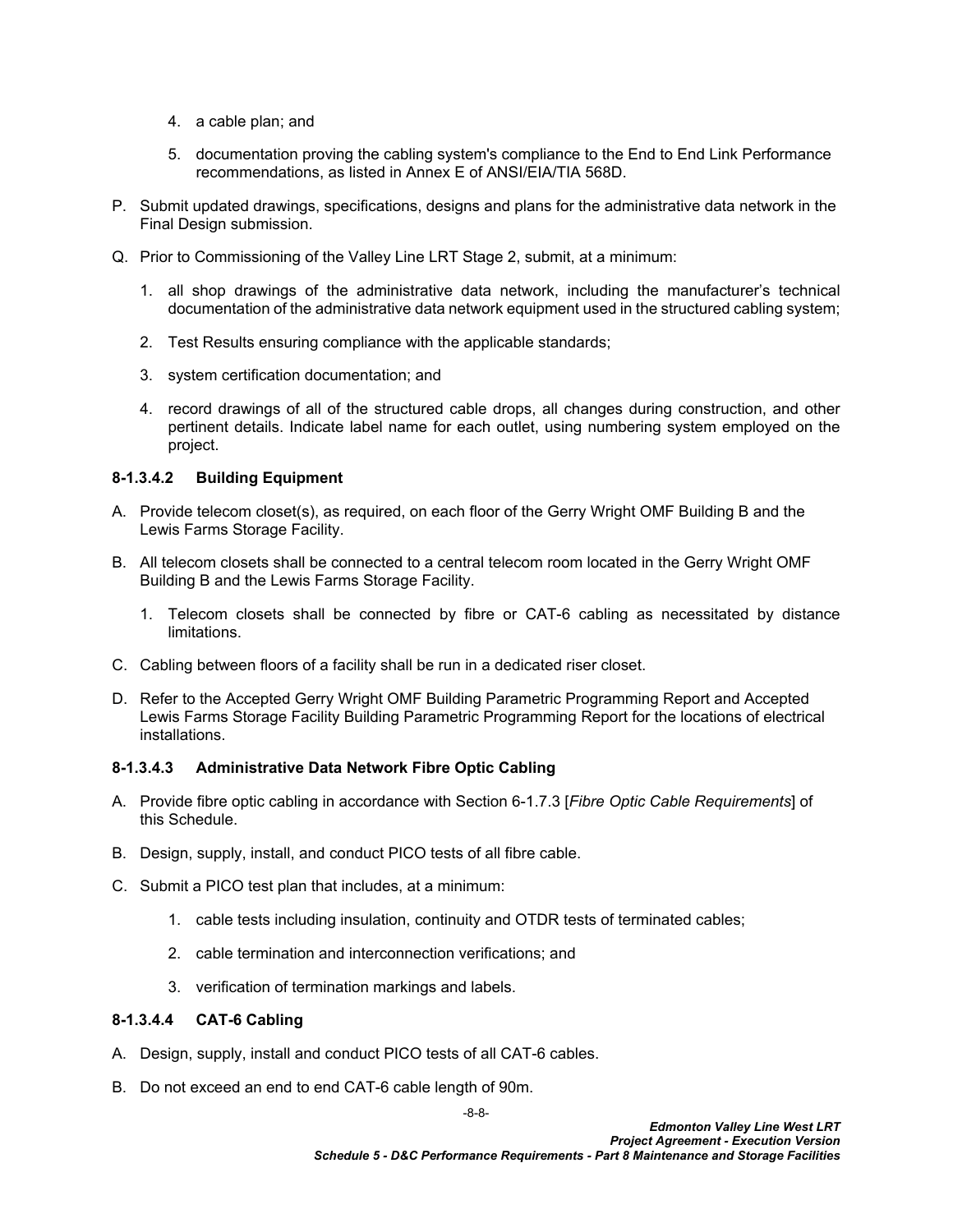- 4. a cable plan; and
- 5. documentation proving the cabling system's compliance to the End to End Link Performance recommendations, as listed in Annex E of ANSI/EIA/TIA 568D.
- P. Submit updated drawings, specifications, designs and plans for the administrative data network in the Final Design submission.
- Q. Prior to Commissioning of the Valley Line LRT Stage 2, submit, at a minimum:
	- 1. all shop drawings of the administrative data network, including the manufacturer's technical documentation of the administrative data network equipment used in the structured cabling system;
	- 2. Test Results ensuring compliance with the applicable standards;
	- 3. system certification documentation; and
	- 4. record drawings of all of the structured cable drops, all changes during construction, and other pertinent details. Indicate label name for each outlet, using numbering system employed on the project.

## **8-1.3.4.2 Building Equipment**

- A. Provide telecom closet(s), as required, on each floor of the Gerry Wright OMF Building B and the Lewis Farms Storage Facility.
- B. All telecom closets shall be connected to a central telecom room located in the Gerry Wright OMF Building B and the Lewis Farms Storage Facility.
	- 1. Telecom closets shall be connected by fibre or CAT-6 cabling as necessitated by distance limitations.
- C. Cabling between floors of a facility shall be run in a dedicated riser closet.
- D. Refer to the Accepted Gerry Wright OMF Building Parametric Programming Report and Accepted Lewis Farms Storage Facility Building Parametric Programming Report for the locations of electrical installations.

### **8-1.3.4.3 Administrative Data Network Fibre Optic Cabling**

- A. Provide fibre optic cabling in accordance with Section 6-1.7.3 [*Fibre Optic Cable Requirements*] of this Schedule.
- B. Design, supply, install, and conduct PICO tests of all fibre cable.
- C. Submit a PICO test plan that includes, at a minimum:
	- 1. cable tests including insulation, continuity and OTDR tests of terminated cables;
	- 2. cable termination and interconnection verifications; and
	- 3. verification of termination markings and labels.

## **8-1.3.4.4 CAT-6 Cabling**

- A. Design, supply, install and conduct PICO tests of all CAT-6 cables.
- B. Do not exceed an end to end CAT-6 cable length of 90m.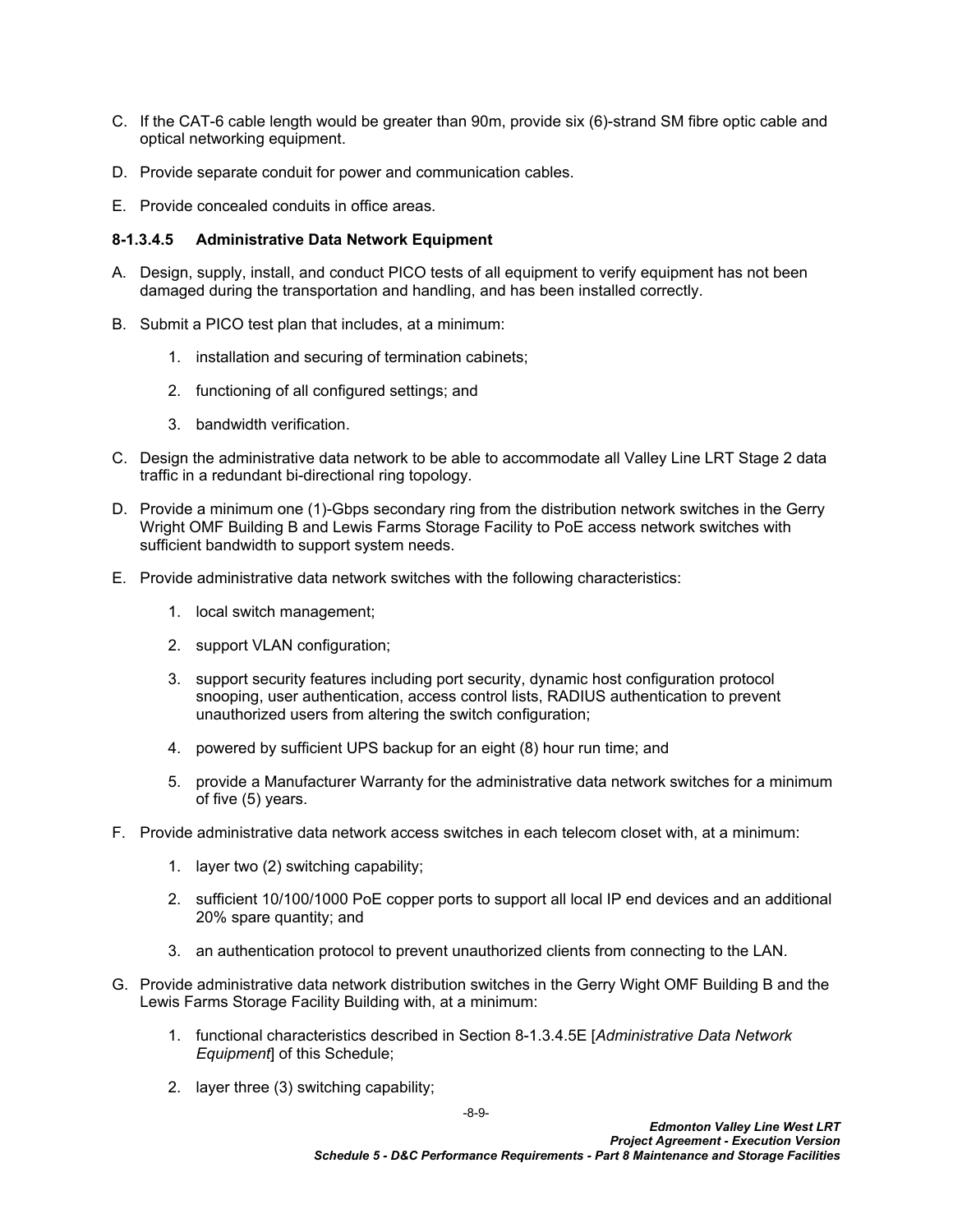- C. If the CAT-6 cable length would be greater than 90m, provide six (6)-strand SM fibre optic cable and optical networking equipment.
- D. Provide separate conduit for power and communication cables.
- E. Provide concealed conduits in office areas.

#### **8-1.3.4.5 Administrative Data Network Equipment**

- A. Design, supply, install, and conduct PICO tests of all equipment to verify equipment has not been damaged during the transportation and handling, and has been installed correctly.
- B. Submit a PICO test plan that includes, at a minimum:
	- 1. installation and securing of termination cabinets;
	- 2. functioning of all configured settings; and
	- 3. bandwidth verification.
- C. Design the administrative data network to be able to accommodate all Valley Line LRT Stage 2 data traffic in a redundant bi-directional ring topology.
- D. Provide a minimum one (1)-Gbps secondary ring from the distribution network switches in the Gerry Wright OMF Building B and Lewis Farms Storage Facility to PoE access network switches with sufficient bandwidth to support system needs.
- <span id="page-10-0"></span>E. Provide administrative data network switches with the following characteristics:
	- 1. local switch management;
	- 2. support VLAN configuration;
	- 3. support security features including port security, dynamic host configuration protocol snooping, user authentication, access control lists, RADIUS authentication to prevent unauthorized users from altering the switch configuration;
	- 4. powered by sufficient UPS backup for an eight (8) hour run time; and
	- 5. provide a Manufacturer Warranty for the administrative data network switches for a minimum of five (5) years.
- F. Provide administrative data network access switches in each telecom closet with, at a minimum:
	- 1. layer two (2) switching capability;
	- 2. sufficient 10/100/1000 PoE copper ports to support all local IP end devices and an additional 20% spare quantity; and
	- 3. an authentication protocol to prevent unauthorized clients from connecting to the LAN.
- G. Provide administrative data network distribution switches in the Gerry Wight OMF Building B and the Lewis Farms Storage Facility Building with, at a minimum:
	- 1. functional characteristics described in Section [8-1.3.4.5E](#page-10-0) [*Administrative Data Network Equipment*] of this Schedule;
	- 2. layer three (3) switching capability;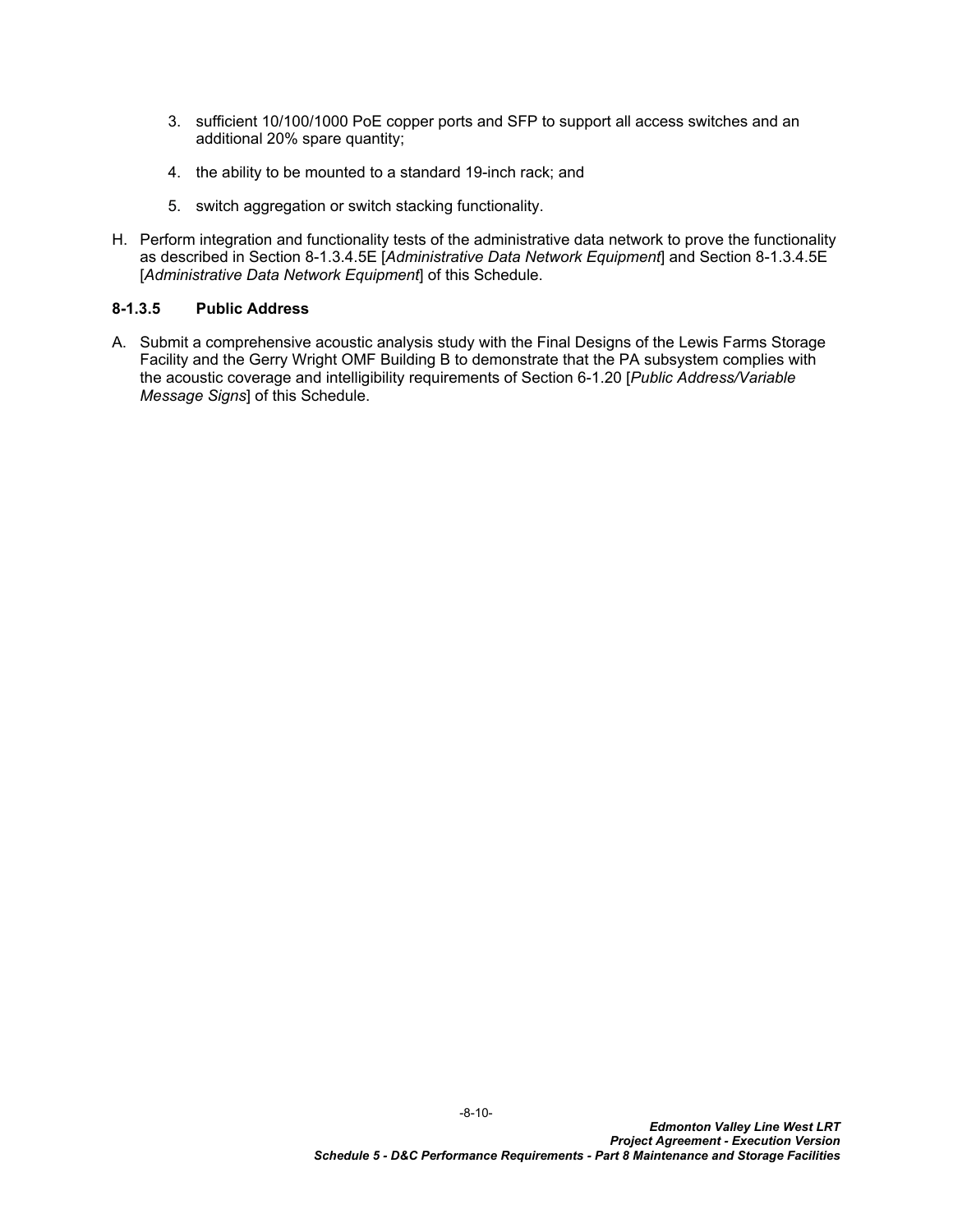- 3. sufficient 10/100/1000 PoE copper ports and SFP to support all access switches and an additional 20% spare quantity;
- 4. the ability to be mounted to a standard 19-inch rack; and
- 5. switch aggregation or switch stacking functionality.
- H. Perform integration and functionality tests of the administrative data network to prove the functionality as described in Section [8-1.3.4.5E](#page-10-0) [*Administrative Data Network Equipment*] and Section [8-1.3.4.5E](#page-10-0)  [*Administrative Data Network Equipment*] of this Schedule.

## **8-1.3.5 Public Address**

A. Submit a comprehensive acoustic analysis study with the Final Designs of the Lewis Farms Storage Facility and the Gerry Wright OMF Building B to demonstrate that the PA subsystem complies with the acoustic coverage and intelligibility requirements of Section 6-1.20 [*Public Address/Variable Message Signs*] of this Schedule.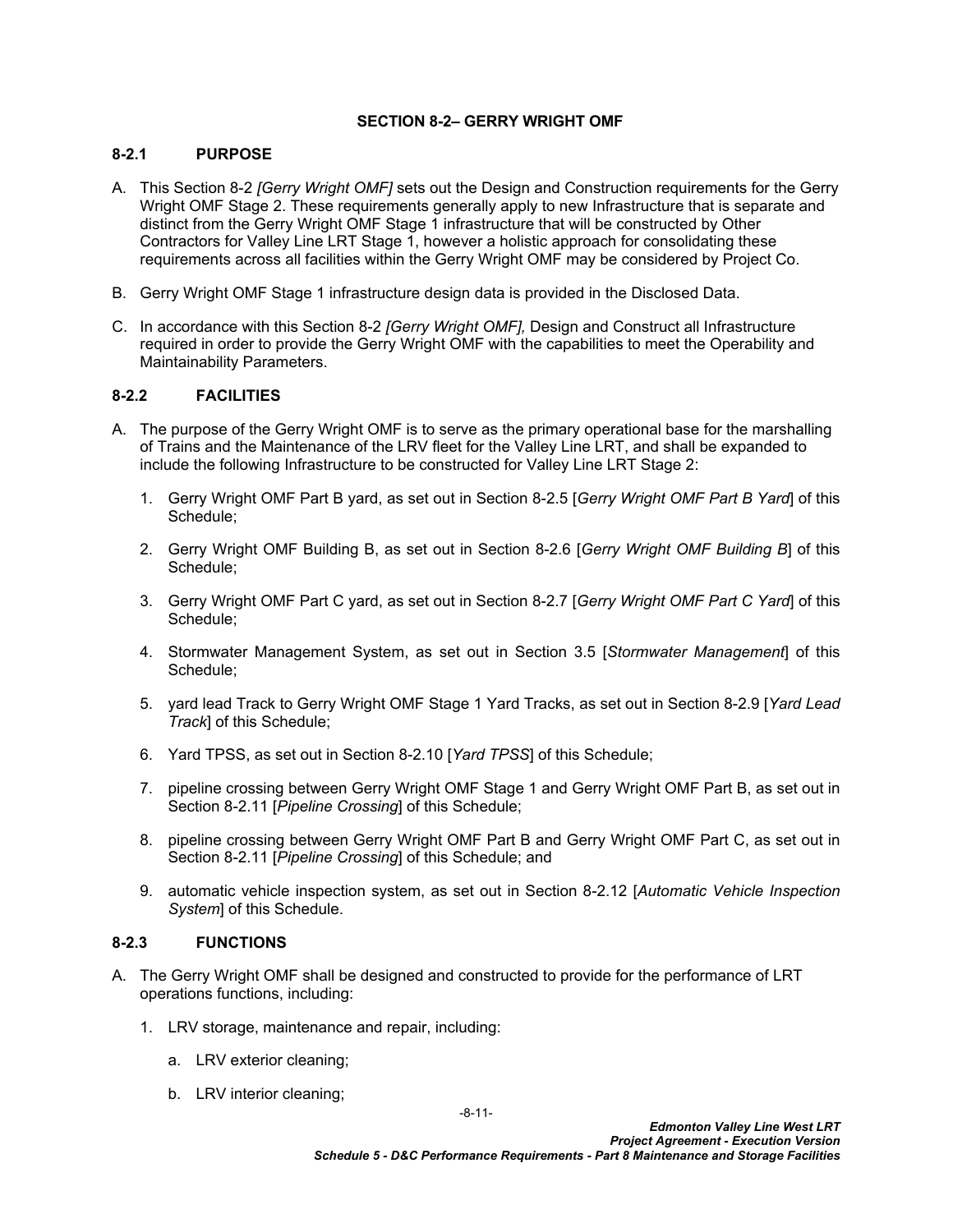## <span id="page-12-0"></span>**SECTION 8-2– GERRY WRIGHT OMF**

## <span id="page-12-1"></span>**8-2.1 PURPOSE**

- A. This [Section 8-2](#page-12-0) *[Gerry Wright OMF]* sets out the Design and Construction requirements for the Gerry Wright OMF Stage 2. These requirements generally apply to new Infrastructure that is separate and distinct from the Gerry Wright OMF Stage 1 infrastructure that will be constructed by Other Contractors for Valley Line LRT Stage 1, however a holistic approach for consolidating these requirements across all facilities within the Gerry Wright OMF may be considered by Project Co.
- B. Gerry Wright OMF Stage 1 infrastructure design data is provided in the Disclosed Data.
- C. In accordance with this [Section 8-2](#page-12-0) *[Gerry Wright OMF],* Design and Construct all Infrastructure required in order to provide the Gerry Wright OMF with the capabilities to meet the Operability and Maintainability Parameters.

## <span id="page-12-2"></span>**8-2.2 FACILITIES**

- <span id="page-12-4"></span>A. The purpose of the Gerry Wright OMF is to serve as the primary operational base for the marshalling of Trains and the Maintenance of the LRV fleet for the Valley Line LRT, and shall be expanded to include the following Infrastructure to be constructed for Valley Line LRT Stage 2:
	- 1. Gerry Wright OMF Part B yard, as set out in Section [8-2.5](#page-14-0) [*Gerry Wright OMF Part B Yard*] of this Schedule;
	- 2. Gerry Wright OMF Building B, as set out in Section [8-2.6](#page-17-0) [*Gerry Wright OMF Building B*] of this Schedule;
	- 3. Gerry Wright OMF Part C yard, as set out in Section [8-2.7](#page-37-0) [*Gerry Wright OMF Part C Yard*] of this Schedule;
	- 4. Stormwater Management System, as set out in Section 3.5 [*Stormwater Management*] of this Schedule;
	- 5. yard lead Track to Gerry Wright OMF Stage 1 Yard Tracks, as set out in Section [8-2.9](#page-37-2) [*Yard Lead Track*] of this Schedule;
	- 6. Yard TPSS, as set out in Section [8-2.10](#page-38-0) [*Yard TPSS*] of this Schedule;
	- 7. pipeline crossing between Gerry Wright OMF Stage 1 and Gerry Wright OMF Part B, as set out in Section [8-2.11](#page-38-1) [*Pipeline Crossing*] of this Schedule;
	- 8. pipeline crossing between Gerry Wright OMF Part B and Gerry Wright OMF Part C, as set out in Section [8-2.11](#page-38-1) [*Pipeline Crossing*] of this Schedule; and
	- 9. automatic vehicle inspection system, as set out in Section [8-2.12](#page-39-0) [*Automatic Vehicle Inspection System*] of this Schedule.

## <span id="page-12-3"></span>**8-2.3 FUNCTIONS**

- A. The Gerry Wright OMF shall be designed and constructed to provide for the performance of LRT operations functions, including:
	- 1. LRV storage, maintenance and repair, including:
		- a. LRV exterior cleaning;
		- b. LRV interior cleaning;

-8-11-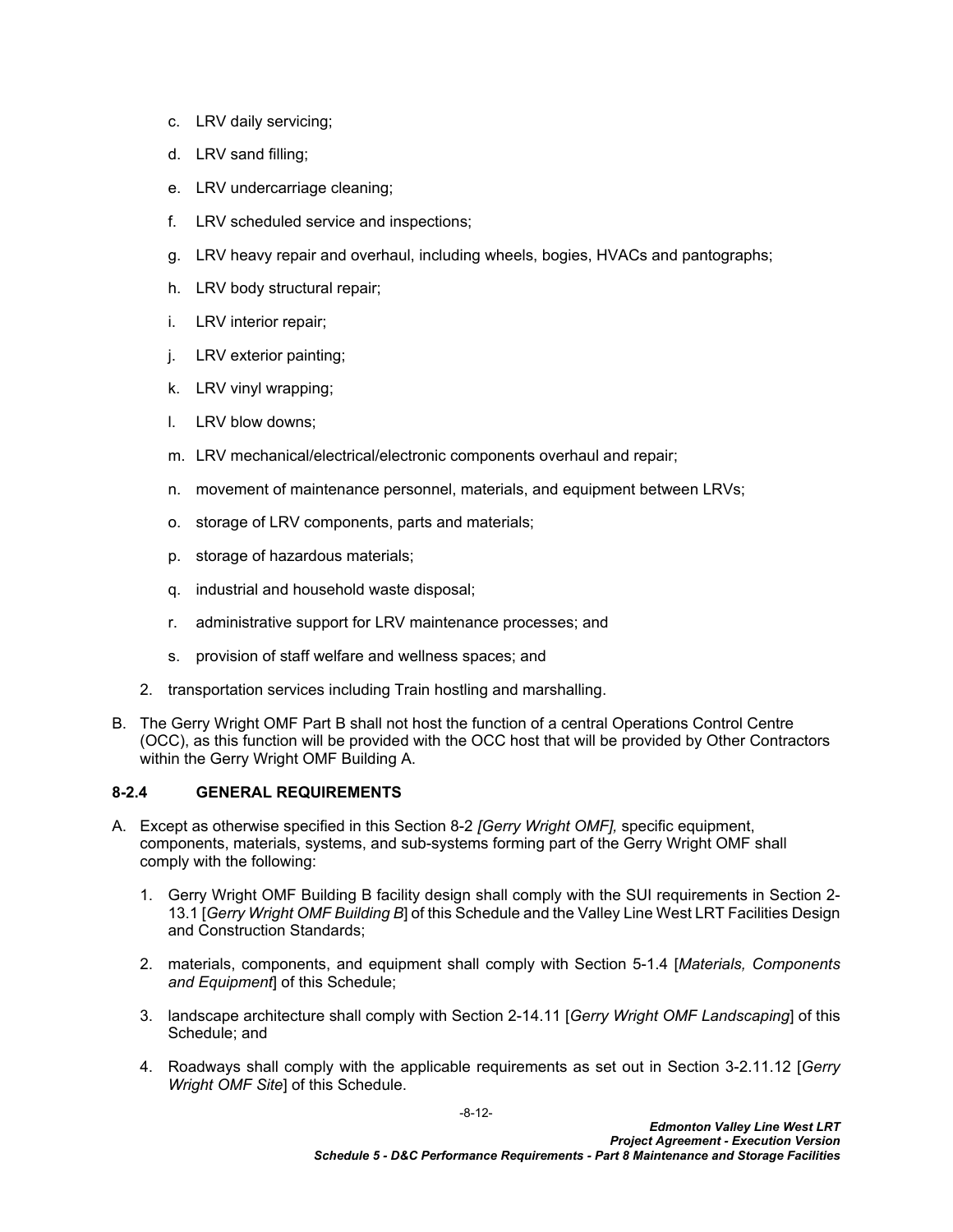- c. LRV daily servicing;
- d. LRV sand filling;
- e. LRV undercarriage cleaning;
- f. LRV scheduled service and inspections;
- g. LRV heavy repair and overhaul, including wheels, bogies, HVACs and pantographs;
- h. LRV body structural repair;
- i. LRV interior repair;
- j. LRV exterior painting;
- k. LRV vinyl wrapping;
- l. LRV blow downs;
- m. LRV mechanical/electrical/electronic components overhaul and repair;
- n. movement of maintenance personnel, materials, and equipment between LRVs;
- o. storage of LRV components, parts and materials;
- p. storage of hazardous materials;
- q. industrial and household waste disposal;
- r. administrative support for LRV maintenance processes; and
- s. provision of staff welfare and wellness spaces; and
- 2. transportation services including Train hostling and marshalling.
- B. The Gerry Wright OMF Part B shall not host the function of a central Operations Control Centre (OCC), as this function will be provided with the OCC host that will be provided by Other Contractors within the Gerry Wright OMF Building A.

## <span id="page-13-0"></span>**8-2.4 GENERAL REQUIREMENTS**

- A. Except as otherwise specified in this [Section 8-2](#page-12-0) *[Gerry Wright OMF],* specific equipment, components, materials, systems, and sub-systems forming part of the Gerry Wright OMF shall comply with the following:
	- 1. Gerry Wright OMF Building B facility design shall comply with the SUI requirements in Section 2- 13.1 [*Gerry Wright OMF Building B*] of this Schedule and the Valley Line West LRT Facilities Design and Construction Standards;
	- 2. materials, components, and equipment shall comply with Section 5-1.4 [*Materials, Components and Equipment*] of this Schedule;
	- 3. landscape architecture shall comply with Section 2-14.11 [*Gerry Wright OMF Landscaping*] of this Schedule; and
	- 4. Roadways shall comply with the applicable requirements as set out in Section 3-2.11.12 [*Gerry Wright OMF Site*] of this Schedule.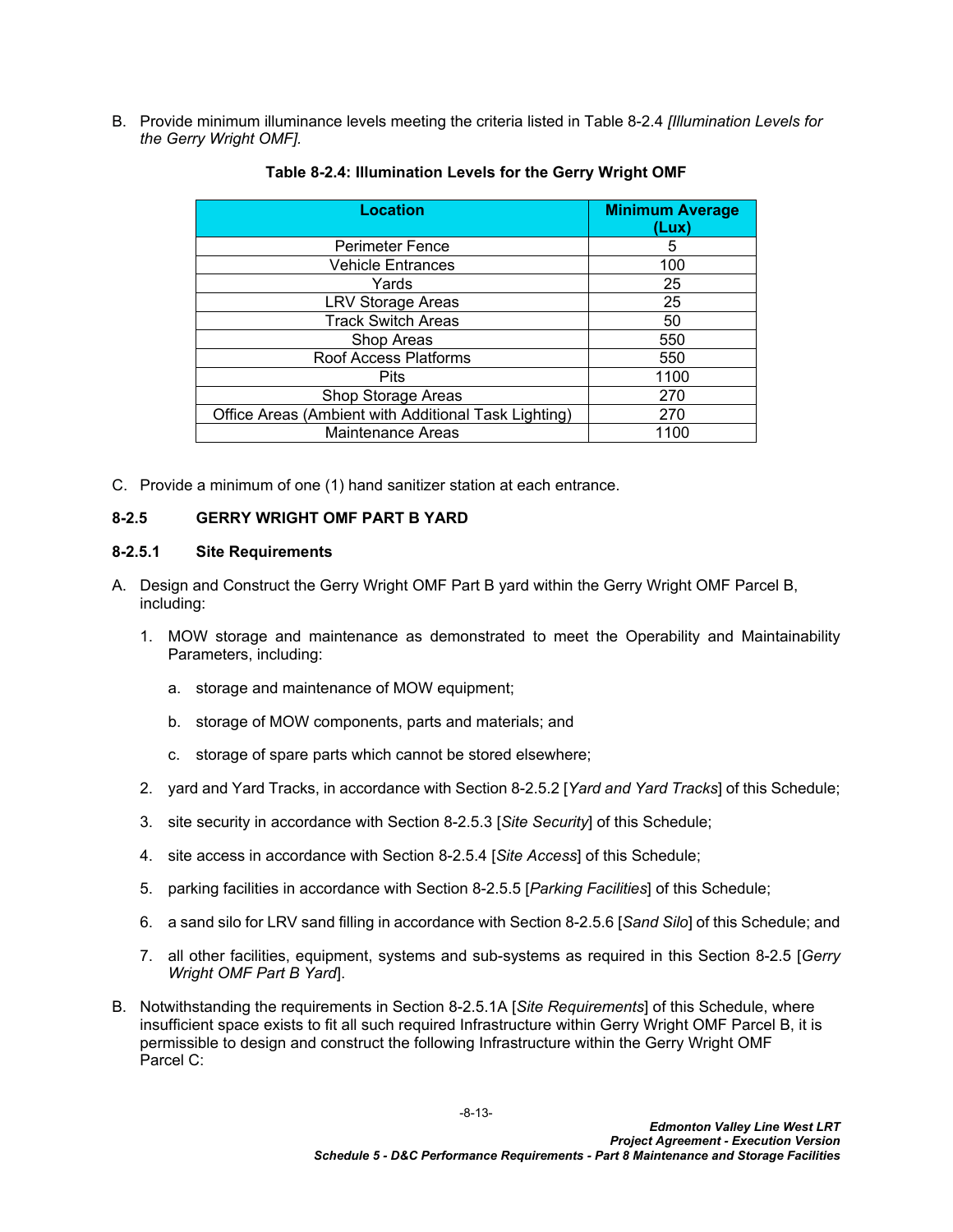B. Provide minimum illuminance levels meeting the criteria listed in Table 8-2.4 *[Illumination Levels for the Gerry Wright OMF].*

| <b>Location</b>                                      | <b>Minimum Average</b><br>(Lux) |
|------------------------------------------------------|---------------------------------|
| <b>Perimeter Fence</b>                               | 5                               |
| <b>Vehicle Entrances</b>                             | 100                             |
| Yards                                                | 25                              |
| <b>LRV Storage Areas</b>                             | 25                              |
| <b>Track Switch Areas</b>                            | 50                              |
| Shop Areas                                           | 550                             |
| Roof Access Platforms                                | 550                             |
| <b>Pits</b>                                          | 1100                            |
| Shop Storage Areas                                   | 270                             |
| Office Areas (Ambient with Additional Task Lighting) | 270                             |
| <b>Maintenance Areas</b>                             | 1100                            |

#### <span id="page-14-1"></span>**Table 8-2.4: Illumination Levels for the Gerry Wright OMF**

C. Provide a minimum of one (1) hand sanitizer station at each entrance.

#### <span id="page-14-0"></span>**8-2.5 GERRY WRIGHT OMF PART B YARD**

#### <span id="page-14-2"></span>**8-2.5.1 Site Requirements**

- <span id="page-14-3"></span>A. Design and Construct the Gerry Wright OMF Part B yard within the Gerry Wright OMF Parcel B, including:
	- 1. MOW storage and maintenance as demonstrated to meet the Operability and Maintainability Parameters, including:
		- a. storage and maintenance of MOW equipment;
		- b. storage of MOW components, parts and materials; and
		- c. storage of spare parts which cannot be stored elsewhere;
	- 2. yard and Yard Tracks, in accordance with Section [8-2.5.2](#page-15-0) [*Yard and Yard Tracks*] of this Schedule;
	- 3. site security in accordance with Section [8-2.5.3](#page-16-0) [*Site Security*] of this Schedule;
	- 4. site access in accordance with Section [8-2.5.4](#page-16-1) [*Site Access*] of this Schedule;
	- 5. parking facilities in accordance with Section [8-2.5.5](#page-17-1) [*Parking Facilities*] of this Schedule;
	- 6. a sand silo for LRV sand filling in accordance with Section 8-2.5.6 [*Sand Silo*] of this Schedule; and
	- 7. all other facilities, equipment, systems and sub-systems as required in this Section [8-2.5](#page-14-0) [*Gerry Wright OMF Part B Yard*].
- <span id="page-14-4"></span>B. Notwithstanding the requirements in Section [8-2.5.1](#page-14-2)[A](#page-14-3) [*Site Requirements*] of this Schedule, where insufficient space exists to fit all such required Infrastructure within Gerry Wright OMF Parcel B, it is permissible to design and construct the following Infrastructure within the Gerry Wright OMF Parcel C: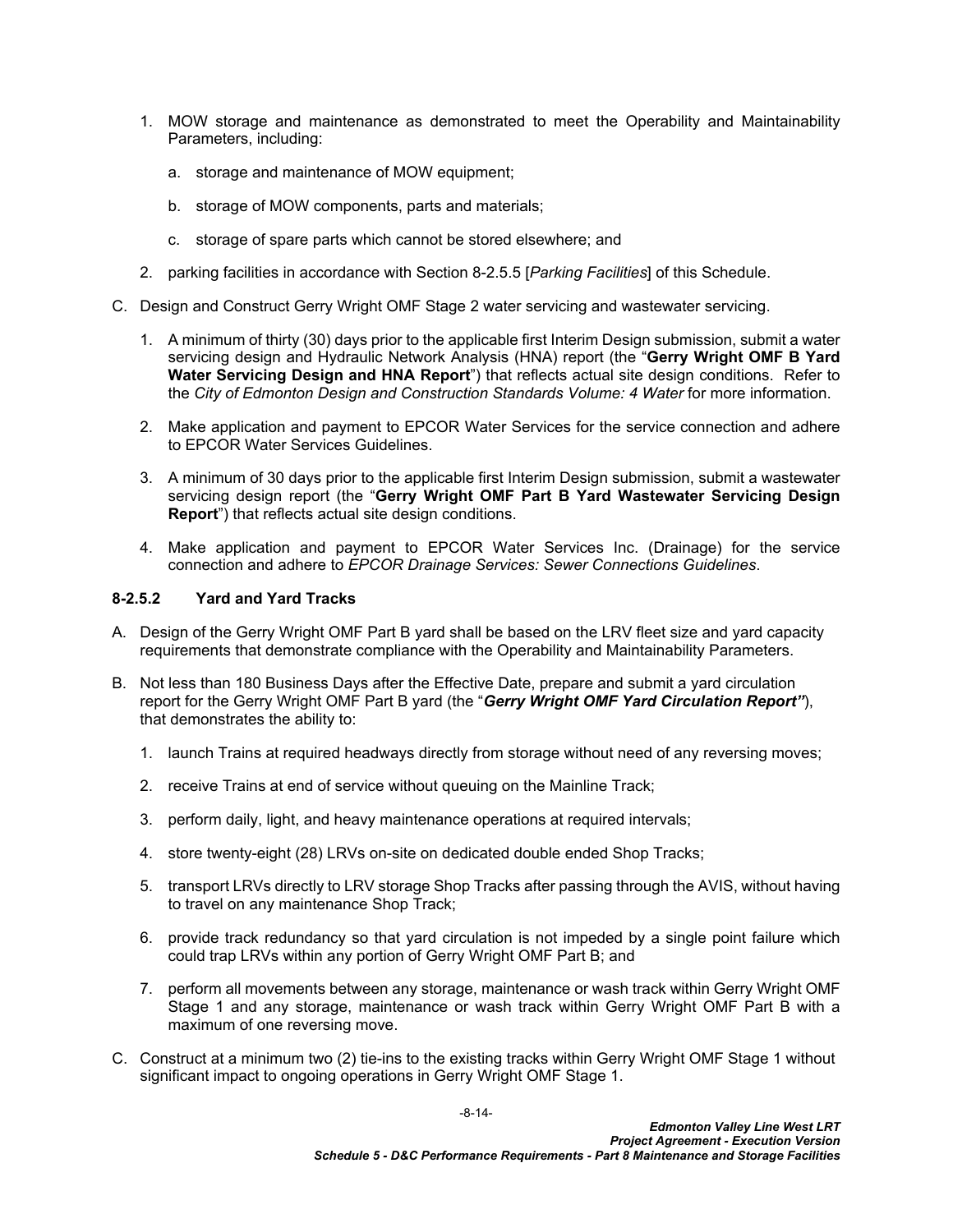- 1. MOW storage and maintenance as demonstrated to meet the Operability and Maintainability Parameters, including:
	- a. storage and maintenance of MOW equipment;
	- b. storage of MOW components, parts and materials;
	- c. storage of spare parts which cannot be stored elsewhere; and
- 2. parking facilities in accordance with Section [8-2.5.5](#page-17-1) [*Parking Facilities*] of this Schedule.
- C. Design and Construct Gerry Wright OMF Stage 2 water servicing and wastewater servicing.
	- 1. A minimum of thirty (30) days prior to the applicable first Interim Design submission, submit a water servicing design and Hydraulic Network Analysis (HNA) report (the "**Gerry Wright OMF B Yard Water Servicing Design and HNA Report**") that reflects actual site design conditions. Refer to the *City of Edmonton Design and Construction Standards Volume: 4 Water* for more information.
	- 2. Make application and payment to EPCOR Water Services for the service connection and adhere to EPCOR Water Services Guidelines.
	- 3. A minimum of 30 days prior to the applicable first Interim Design submission, submit a wastewater servicing design report (the "**Gerry Wright OMF Part B Yard Wastewater Servicing Design Report**") that reflects actual site design conditions.
	- 4. Make application and payment to EPCOR Water Services Inc. (Drainage) for the service connection and adhere to *EPCOR Drainage Services: Sewer Connections Guidelines*.

## <span id="page-15-0"></span>**8-2.5.2 Yard and Yard Tracks**

- A. Design of the Gerry Wright OMF Part B yard shall be based on the LRV fleet size and yard capacity requirements that demonstrate compliance with the Operability and Maintainability Parameters.
- B. Not less than 180 Business Days after the Effective Date, prepare and submit a yard circulation report for the Gerry Wright OMF Part B yard (the "*Gerry Wright OMF Yard Circulation Report"*), that demonstrates the ability to:
	- 1. launch Trains at required headways directly from storage without need of any reversing moves;
	- 2. receive Trains at end of service without queuing on the Mainline Track;
	- 3. perform daily, light, and heavy maintenance operations at required intervals;
	- 4. store twenty-eight (28) LRVs on-site on dedicated double ended Shop Tracks;
	- 5. transport LRVs directly to LRV storage Shop Tracks after passing through the AVIS, without having to travel on any maintenance Shop Track;
	- 6. provide track redundancy so that yard circulation is not impeded by a single point failure which could trap LRVs within any portion of Gerry Wright OMF Part B; and
	- 7. perform all movements between any storage, maintenance or wash track within Gerry Wright OMF Stage 1 and any storage, maintenance or wash track within Gerry Wright OMF Part B with a maximum of one reversing move.
- C. Construct at a minimum two (2) tie-ins to the existing tracks within Gerry Wright OMF Stage 1 without significant impact to ongoing operations in Gerry Wright OMF Stage 1.

-8-14-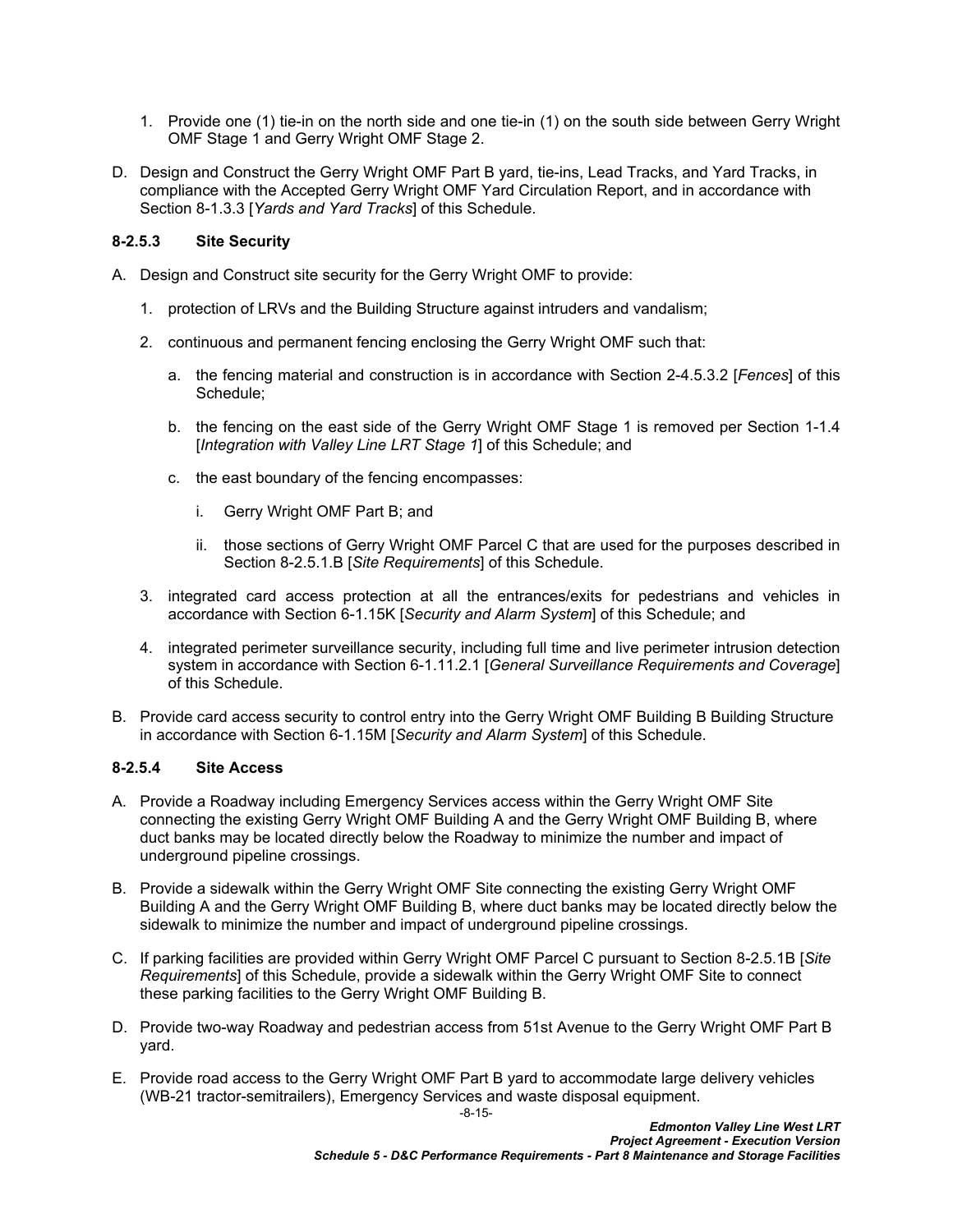- 1. Provide one (1) tie-in on the north side and one tie-in (1) on the south side between Gerry Wright OMF Stage 1 and Gerry Wright OMF Stage 2.
- D. Design and Construct the Gerry Wright OMF Part B yard, tie-ins, Lead Tracks, and Yard Tracks, in compliance with the Accepted Gerry Wright OMF Yard Circulation Report, and in accordance with Section [8-1.3.3](#page-6-0) [*Yards and Yard Tracks*] of this Schedule.

## <span id="page-16-0"></span>**8-2.5.3 Site Security**

- A. Design and Construct site security for the Gerry Wright OMF to provide:
	- 1. protection of LRVs and the Building Structure against intruders and vandalism;
	- 2. continuous and permanent fencing enclosing the Gerry Wright OMF such that:
		- a. the fencing material and construction is in accordance with Section 2-4.5.3.2 [*Fences*] of this Schedule;
		- b. the fencing on the east side of the Gerry Wright OMF Stage 1 is removed per Section 1-1.4 [*Integration with Valley Line LRT Stage 1*] of this Schedule; and
		- c. the east boundary of the fencing encompasses:
			- i. Gerry Wright OMF Part B; and
			- ii. those sections of Gerry Wright OMF Parcel C that are used for the purposes described in Section [8-2.5.1](#page-14-2)[.B](#page-14-4) [*Site Requirements*] of this Schedule.
	- 3. integrated card access protection at all the entrances/exits for pedestrians and vehicles in accordance with Section 6-1.15K [*Security and Alarm System*] of this Schedule; and
	- 4. integrated perimeter surveillance security, including full time and live perimeter intrusion detection system in accordance with Section 6-1.11.2.1 [*General Surveillance Requirements and Coverage*] of this Schedule.
- B. Provide card access security to control entry into the Gerry Wright OMF Building B Building Structure in accordance with Section 6-1.15M [*Security and Alarm System*] of this Schedule.

#### <span id="page-16-1"></span>**8-2.5.4 Site Access**

- A. Provide a Roadway including Emergency Services access within the Gerry Wright OMF Site connecting the existing Gerry Wright OMF Building A and the Gerry Wright OMF Building B, where duct banks may be located directly below the Roadway to minimize the number and impact of underground pipeline crossings.
- B. Provide a sidewalk within the Gerry Wright OMF Site connecting the existing Gerry Wright OMF Building A and the Gerry Wright OMF Building B, where duct banks may be located directly below the sidewalk to minimize the number and impact of underground pipeline crossings.
- C. If parking facilities are provided within Gerry Wright OMF Parcel C pursuant to Section [8-2.5.1](#page-14-2)[B](#page-14-4) [*Site Requirements*] of this Schedule, provide a sidewalk within the Gerry Wright OMF Site to connect these parking facilities to the Gerry Wright OMF Building B.
- D. Provide two-way Roadway and pedestrian access from 51st Avenue to the Gerry Wright OMF Part B yard.
- E. Provide road access to the Gerry Wright OMF Part B yard to accommodate large delivery vehicles (WB-21 tractor-semitrailers), Emergency Services and waste disposal equipment.

-8-15-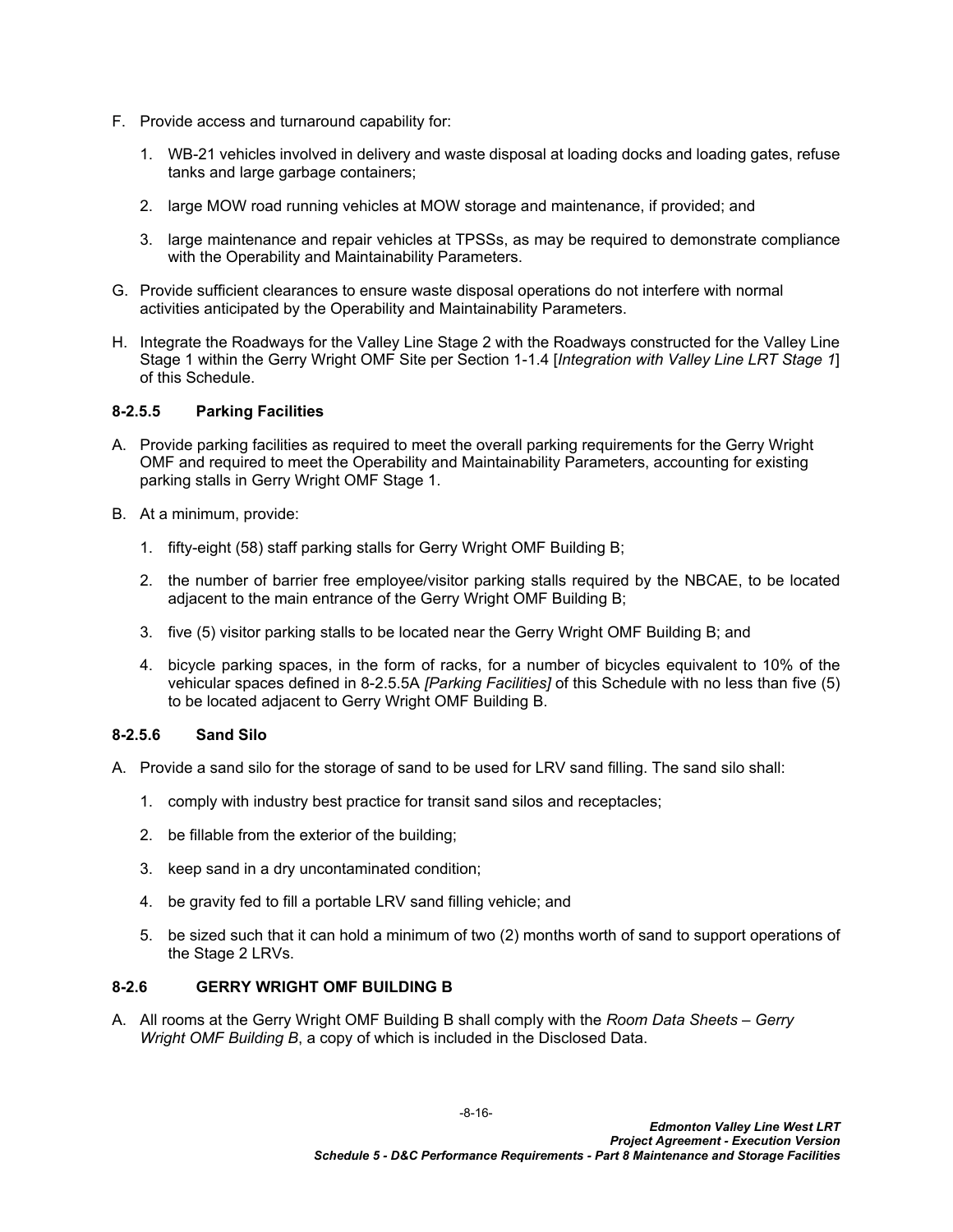- F. Provide access and turnaround capability for:
	- 1. WB-21 vehicles involved in delivery and waste disposal at loading docks and loading gates, refuse tanks and large garbage containers;
	- 2. large MOW road running vehicles at MOW storage and maintenance, if provided; and
	- 3. large maintenance and repair vehicles at TPSSs, as may be required to demonstrate compliance with the Operability and Maintainability Parameters.
- G. Provide sufficient clearances to ensure waste disposal operations do not interfere with normal activities anticipated by the Operability and Maintainability Parameters.
- H. Integrate the Roadways for the Valley Line Stage 2 with the Roadways constructed for the Valley Line Stage 1 within the Gerry Wright OMF Site per Section 1-1.4 [*Integration with Valley Line LRT Stage 1*] of this Schedule.

## <span id="page-17-1"></span>**8-2.5.5 Parking Facilities**

- <span id="page-17-2"></span>A. Provide parking facilities as required to meet the overall parking requirements for the Gerry Wright OMF and required to meet the Operability and Maintainability Parameters, accounting for existing parking stalls in Gerry Wright OMF Stage 1.
- B. At a minimum, provide:
	- 1. fifty-eight (58) staff parking stalls for Gerry Wright OMF Building B;
	- 2. the number of barrier free employee/visitor parking stalls required by the NBCAE, to be located adjacent to the main entrance of the Gerry Wright OMF Building B;
	- 3. five (5) visitor parking stalls to be located near the Gerry Wright OMF Building B; and
	- 4. bicycle parking spaces, in the form of racks, for a number of bicycles equivalent to 10% of the vehicular spaces defined in [8-2.5.5A](#page-17-2) *[Parking Facilities]* of this Schedule with no less than five (5) to be located adjacent to Gerry Wright OMF Building B.

#### **8-2.5.6 Sand Silo**

- A. Provide a sand silo for the storage of sand to be used for LRV sand filling. The sand silo shall:
	- 1. comply with industry best practice for transit sand silos and receptacles;
	- 2. be fillable from the exterior of the building;
	- 3. keep sand in a dry uncontaminated condition;
	- 4. be gravity fed to fill a portable LRV sand filling vehicle; and
	- 5. be sized such that it can hold a minimum of two (2) months worth of sand to support operations of the Stage 2 LRVs.

#### <span id="page-17-0"></span>**8-2.6 GERRY WRIGHT OMF BUILDING B**

A. All rooms at the Gerry Wright OMF Building B shall comply with the *Room Data Sheets – Gerry Wright OMF Building B*, a copy of which is included in the Disclosed Data.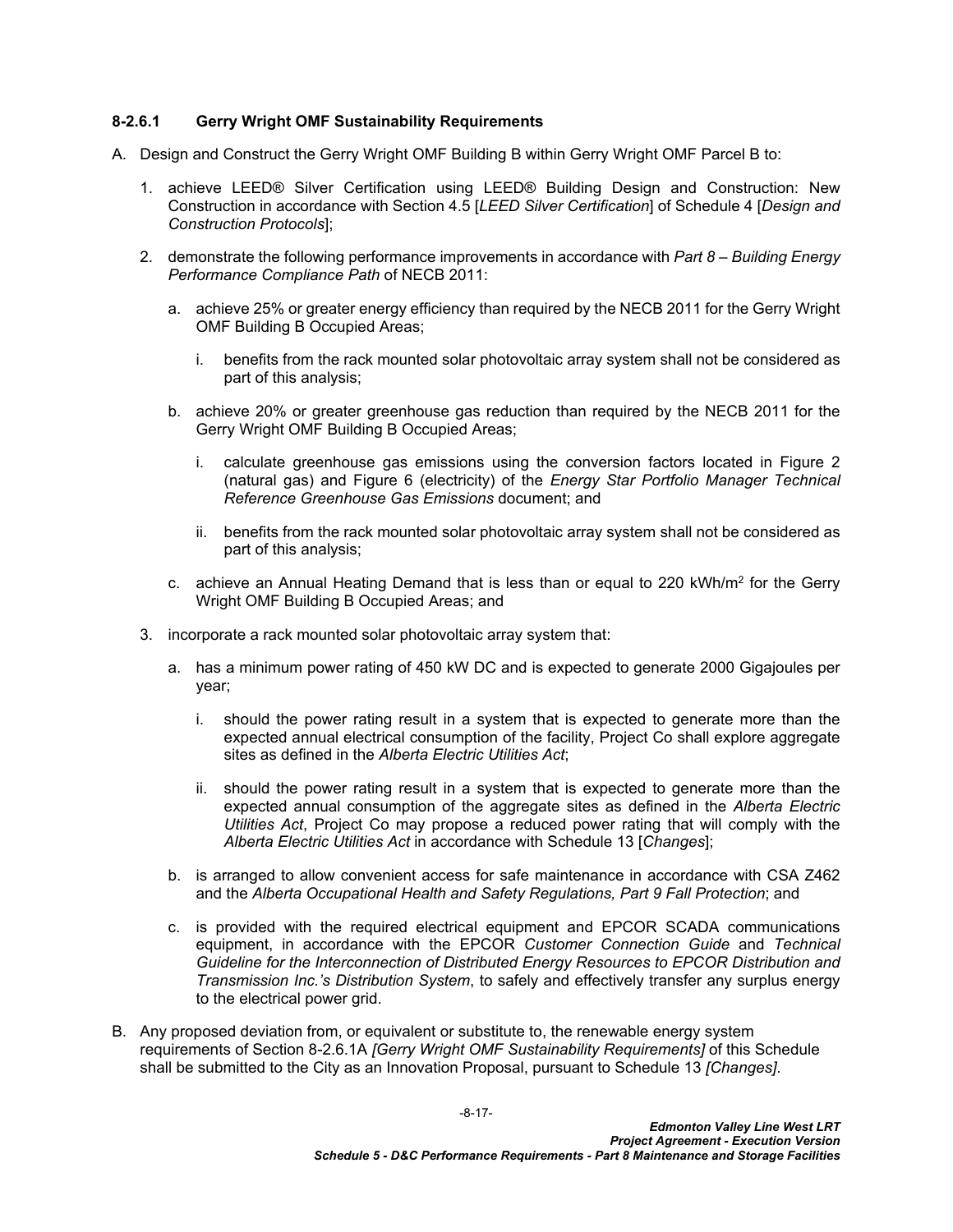## <span id="page-18-2"></span>**8-2.6.1 Gerry Wright OMF Sustainability Requirements**

- <span id="page-18-0"></span>A. Design and Construct the Gerry Wright OMF Building B within Gerry Wright OMF Parcel B to:
	- 1. achieve LEED® Silver Certification using LEED® Building Design and Construction: New Construction in accordance with Section 4.5 [*LEED Silver Certification*] of Schedule 4 [*Design and Construction Protocols*];
	- 2. demonstrate the following performance improvements in accordance with *Part 8 Building Energy Performance Compliance Path* of NECB 2011:
		- a. achieve 25% or greater energy efficiency than required by the NECB 2011 for the Gerry Wright OMF Building B Occupied Areas;
			- i. benefits from the rack mounted solar photovoltaic array system shall not be considered as part of this analysis;
		- b. achieve 20% or greater greenhouse gas reduction than required by the NECB 2011 for the Gerry Wright OMF Building B Occupied Areas;
			- i. calculate greenhouse gas emissions using the conversion factors located in Figure 2 (natural gas) and Figure 6 (electricity) of the *Energy Star Portfolio Manager Technical Reference Greenhouse Gas Emissions* document; and
			- ii. benefits from the rack mounted solar photovoltaic array system shall not be considered as part of this analysis;
		- c.  $\alpha$  achieve an Annual Heating Demand that is less than or equal to 220 kWh/m<sup>2</sup> for the Gerry Wright OMF Building B Occupied Areas; and
	- 3. incorporate a rack mounted solar photovoltaic array system that:
		- a. has a minimum power rating of 450 kW DC and is expected to generate 2000 Gigajoules per year;
			- i. should the power rating result in a system that is expected to generate more than the expected annual electrical consumption of the facility, Project Co shall explore aggregate sites as defined in the *Alberta Electric Utilities Act*;
			- ii. should the power rating result in a system that is expected to generate more than the expected annual consumption of the aggregate sites as defined in the *Alberta Electric Utilities Act*, Project Co may propose a reduced power rating that will comply with the *Alberta Electric Utilities Act* in accordance with Schedule 13 [*Changes*];
		- b. is arranged to allow convenient access for safe maintenance in accordance with CSA Z462 and the *Alberta Occupational Health and Safety Regulations, Part 9 Fall Protection*; and
		- c. is provided with the required electrical equipment and EPCOR SCADA communications equipment, in accordance with the EPCOR *Customer Connection Guide* and *Technical Guideline for the Interconnection of Distributed Energy Resources to EPCOR Distribution and Transmission Inc.'s Distribution System*, to safely and effectively transfer any surplus energy to the electrical power grid.
- <span id="page-18-1"></span>B. Any proposed deviation from, or equivalent or substitute to, the renewable energy system requirements of Section [8-2.6.1A](#page-18-0) *[Gerry Wright OMF Sustainability Requirements]* of this Schedule shall be submitted to the City as an Innovation Proposal, pursuant to Schedule 13 *[Changes]*.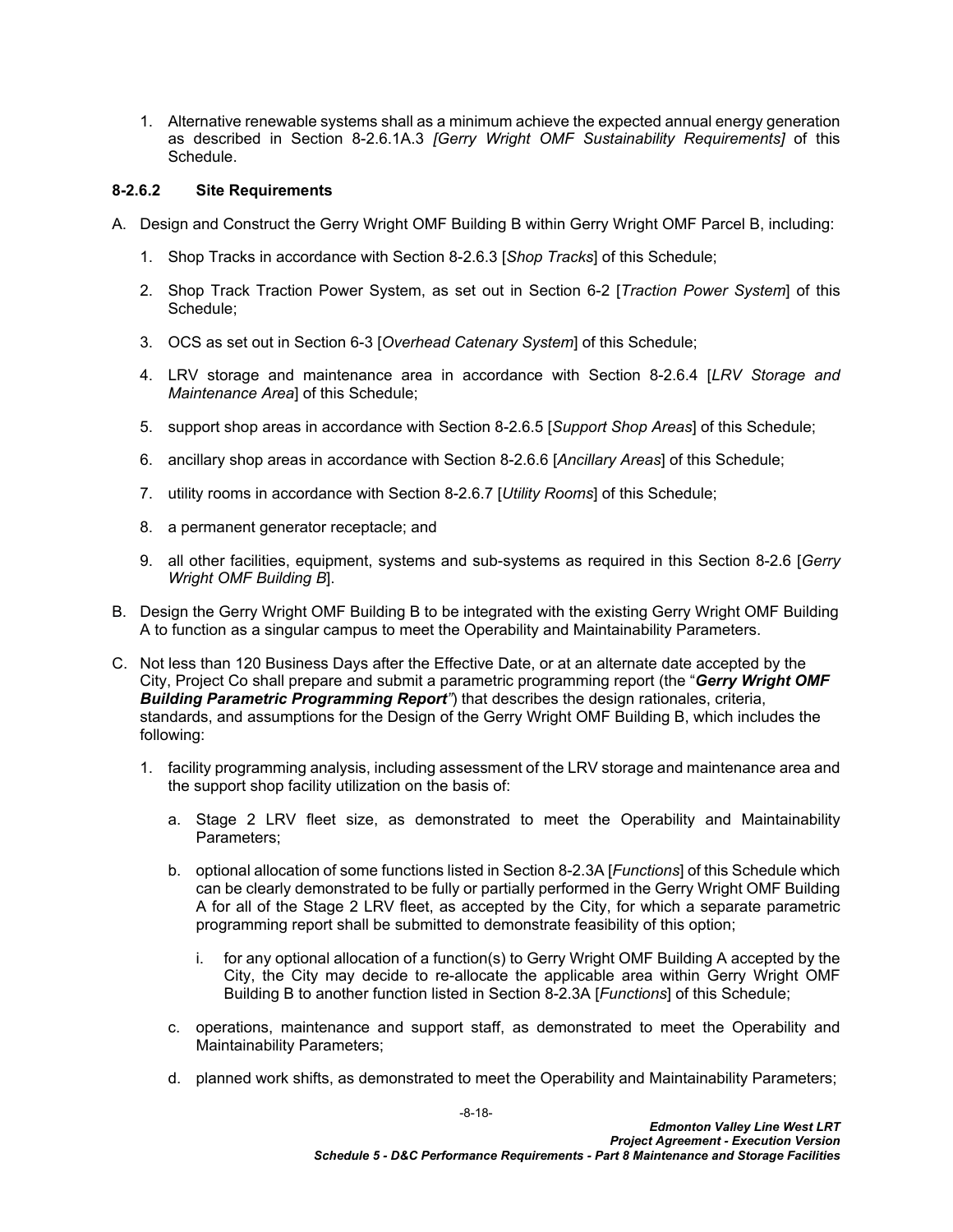1. Alternative renewable systems shall as a minimum achieve the expected annual energy generation as described in Section [8-2.6.1A.3](#page-18-1) *[Gerry Wright OMF Sustainability Requirements]* of this Schedule.

### **8-2.6.2 Site Requirements**

- A. Design and Construct the Gerry Wright OMF Building B within Gerry Wright OMF Parcel B, including:
	- 1. Shop Tracks in accordance with Section [8-2.6.3](#page-22-0) [*Shop Tracks*] of this Schedule;
	- 2. Shop Track Traction Power System, as set out in Section 6-2 [*Traction Power System*] of this Schedule;
	- 3. OCS as set out in Section 6-3 [*Overhead Catenary System*] of this Schedule;
	- 4. LRV storage and maintenance area in accordance with Section [8-2.6.4](#page-23-0) [*LRV Storage and Maintenance Area*] of this Schedule;
	- 5. support shop areas in accordance with Section [8-2.6.5](#page-28-0) [*Support Shop Areas*] of this Schedule;
	- 6. ancillary shop areas in accordance with Section [8-2.6.6](#page-34-0) [*Ancillary Areas*] of this Schedule;
	- 7. utility rooms in accordance with Section [8-2.6.7](#page-35-0) [*Utility Rooms*] of this Schedule;
	- 8. a permanent generator receptacle; and
	- 9. all other facilities, equipment, systems and sub-systems as required in this Section [8-2.6](#page-17-0) [*Gerry Wright OMF Building B*].
- B. Design the Gerry Wright OMF Building B to be integrated with the existing Gerry Wright OMF Building A to function as a singular campus to meet the Operability and Maintainability Parameters.
- C. Not less than 120 Business Days after the Effective Date, or at an alternate date accepted by the City, Project Co shall prepare and submit a parametric programming report (the "*Gerry Wright OMF Building Parametric Programming Report"*) that describes the design rationales, criteria, standards, and assumptions for the Design of the Gerry Wright OMF Building B, which includes the following:
	- 1. facility programming analysis, including assessment of the LRV storage and maintenance area and the support shop facility utilization on the basis of:
		- a. Stage 2 LRV fleet size, as demonstrated to meet the Operability and Maintainability Parameters;
		- b. optional allocation of some functions listed in Section [8-2.3](#page-12-3)[A](#page-12-4) [*Functions*] of this Schedule which can be clearly demonstrated to be fully or partially performed in the Gerry Wright OMF Building A for all of the Stage 2 LRV fleet, as accepted by the City, for which a separate parametric programming report shall be submitted to demonstrate feasibility of this option;
			- i. for any optional allocation of a function(s) to Gerry Wright OMF Building A accepted by the City, the City may decide to re-allocate the applicable area within Gerry Wright OMF Building B to another function listed in Section 8-2.3A [*Functions*] of this Schedule;
		- c. operations, maintenance and support staff, as demonstrated to meet the Operability and Maintainability Parameters;
		- d. planned work shifts, as demonstrated to meet the Operability and Maintainability Parameters;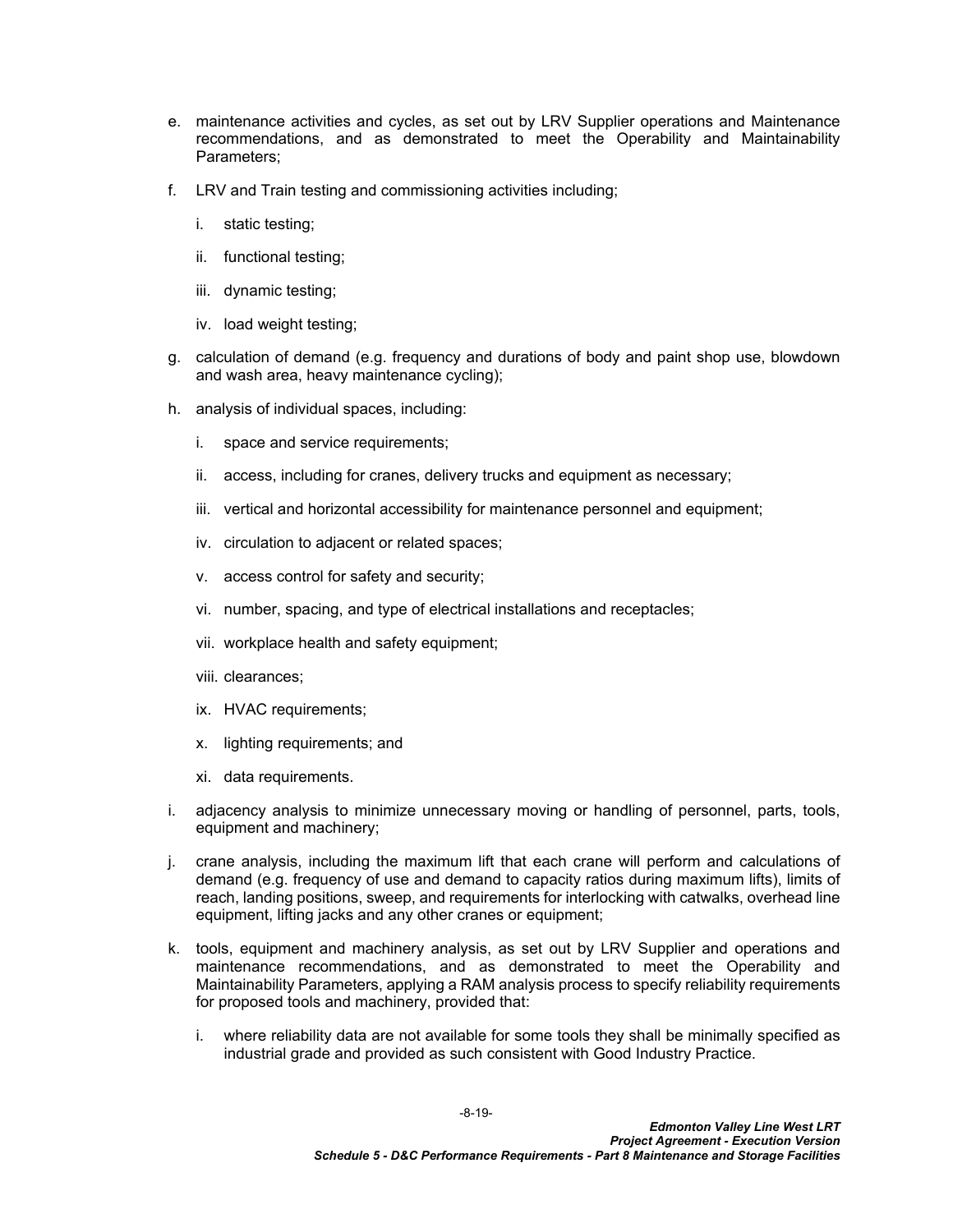- e. maintenance activities and cycles, as set out by LRV Supplier operations and Maintenance recommendations, and as demonstrated to meet the Operability and Maintainability Parameters;
- f. LRV and Train testing and commissioning activities including;
	- i. static testing;
	- ii. functional testing;
	- iii. dynamic testing;
	- iv. load weight testing;
- g. calculation of demand (e.g. frequency and durations of body and paint shop use, blowdown and wash area, heavy maintenance cycling);
- h. analysis of individual spaces, including:
	- i. space and service requirements;
	- ii. access, including for cranes, delivery trucks and equipment as necessary;
	- iii. vertical and horizontal accessibility for maintenance personnel and equipment;
	- iv. circulation to adjacent or related spaces;
	- v. access control for safety and security;
	- vi. number, spacing, and type of electrical installations and receptacles;
	- vii. workplace health and safety equipment;
	- viii. clearances;
	- ix. HVAC requirements;
	- x. lighting requirements; and
	- xi. data requirements.
- i. adjacency analysis to minimize unnecessary moving or handling of personnel, parts, tools, equipment and machinery;
- j. crane analysis, including the maximum lift that each crane will perform and calculations of demand (e.g. frequency of use and demand to capacity ratios during maximum lifts), limits of reach, landing positions, sweep, and requirements for interlocking with catwalks, overhead line equipment, lifting jacks and any other cranes or equipment;
- k. tools, equipment and machinery analysis, as set out by LRV Supplier and operations and maintenance recommendations, and as demonstrated to meet the Operability and Maintainability Parameters, applying a RAM analysis process to specify reliability requirements for proposed tools and machinery, provided that:
	- i. where reliability data are not available for some tools they shall be minimally specified as industrial grade and provided as such consistent with Good Industry Practice.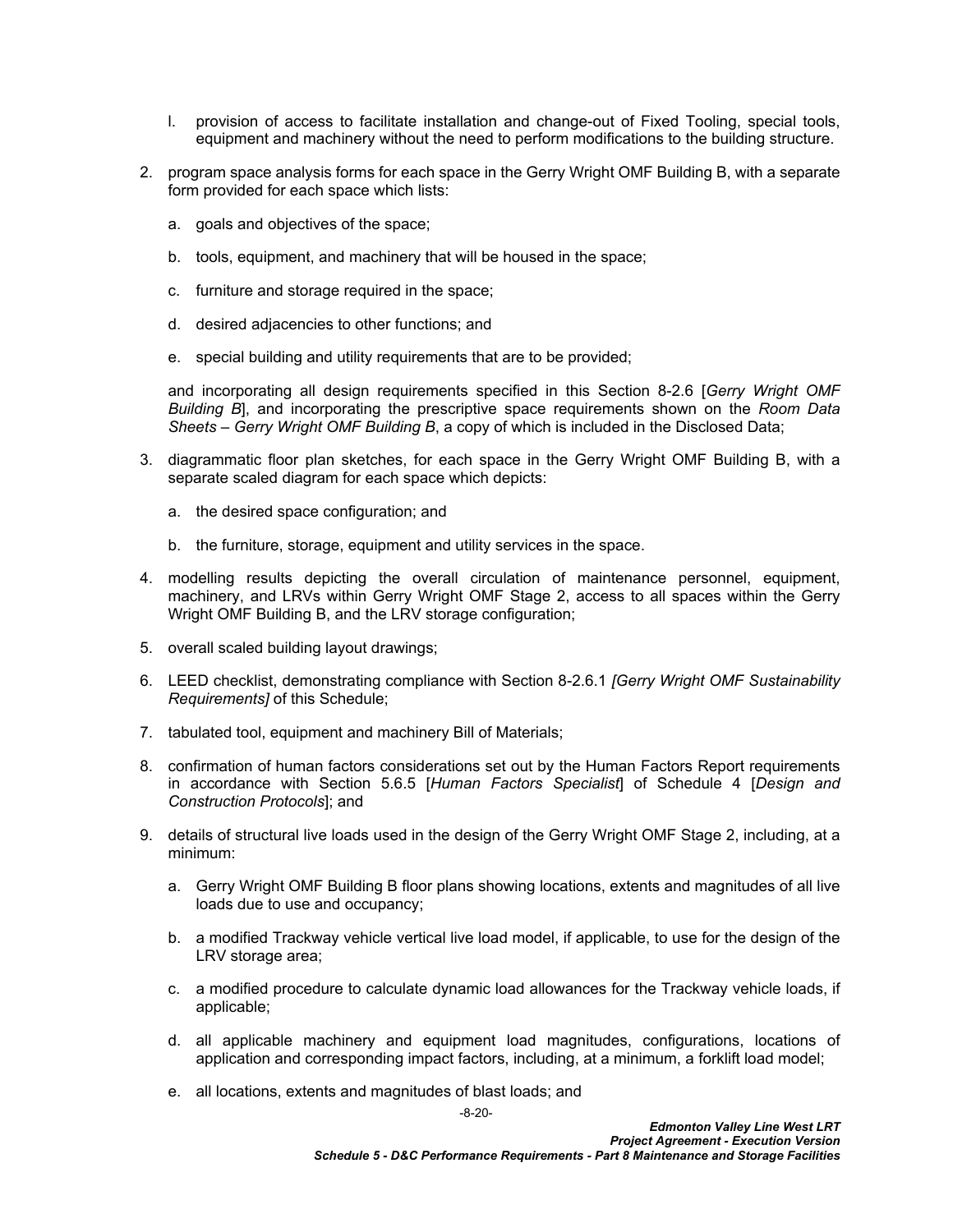- l. provision of access to facilitate installation and change-out of Fixed Tooling, special tools, equipment and machinery without the need to perform modifications to the building structure.
- 2. program space analysis forms for each space in the Gerry Wright OMF Building B, with a separate form provided for each space which lists:
	- a. goals and objectives of the space;
	- b. tools, equipment, and machinery that will be housed in the space;
	- c. furniture and storage required in the space;
	- d. desired adjacencies to other functions; and
	- e. special building and utility requirements that are to be provided;

and incorporating all design requirements specified in this Section [8-2.6](#page-17-0) [*Gerry Wright OMF Building B*], and incorporating the prescriptive space requirements shown on the *Room Data Sheets – Gerry Wright OMF Building B*, a copy of which is included in the Disclosed Data;

- 3. diagrammatic floor plan sketches, for each space in the Gerry Wright OMF Building B, with a separate scaled diagram for each space which depicts:
	- a. the desired space configuration; and
	- b. the furniture, storage, equipment and utility services in the space.
- 4. modelling results depicting the overall circulation of maintenance personnel, equipment, machinery, and LRVs within Gerry Wright OMF Stage 2, access to all spaces within the Gerry Wright OMF Building B, and the LRV storage configuration;
- 5. overall scaled building layout drawings;
- 6. LEED checklist, demonstrating compliance with Section [8-2.6.1](#page-18-2) *[Gerry Wright OMF Sustainability Requirements]* of this Schedule;
- 7. tabulated tool, equipment and machinery Bill of Materials;
- 8. confirmation of human factors considerations set out by the Human Factors Report requirements in accordance with Section 5.6.5 [*Human Factors Specialist*] of Schedule 4 [*Design and Construction Protocols*]; and
- 9. details of structural live loads used in the design of the Gerry Wright OMF Stage 2, including, at a minimum:
	- a. Gerry Wright OMF Building B floor plans showing locations, extents and magnitudes of all live loads due to use and occupancy;
	- b. a modified Trackway vehicle vertical live load model, if applicable, to use for the design of the LRV storage area;
	- c. a modified procedure to calculate dynamic load allowances for the Trackway vehicle loads, if applicable;
	- d. all applicable machinery and equipment load magnitudes, configurations, locations of application and corresponding impact factors, including, at a minimum, a forklift load model;
	- e. all locations, extents and magnitudes of blast loads; and

-8-20-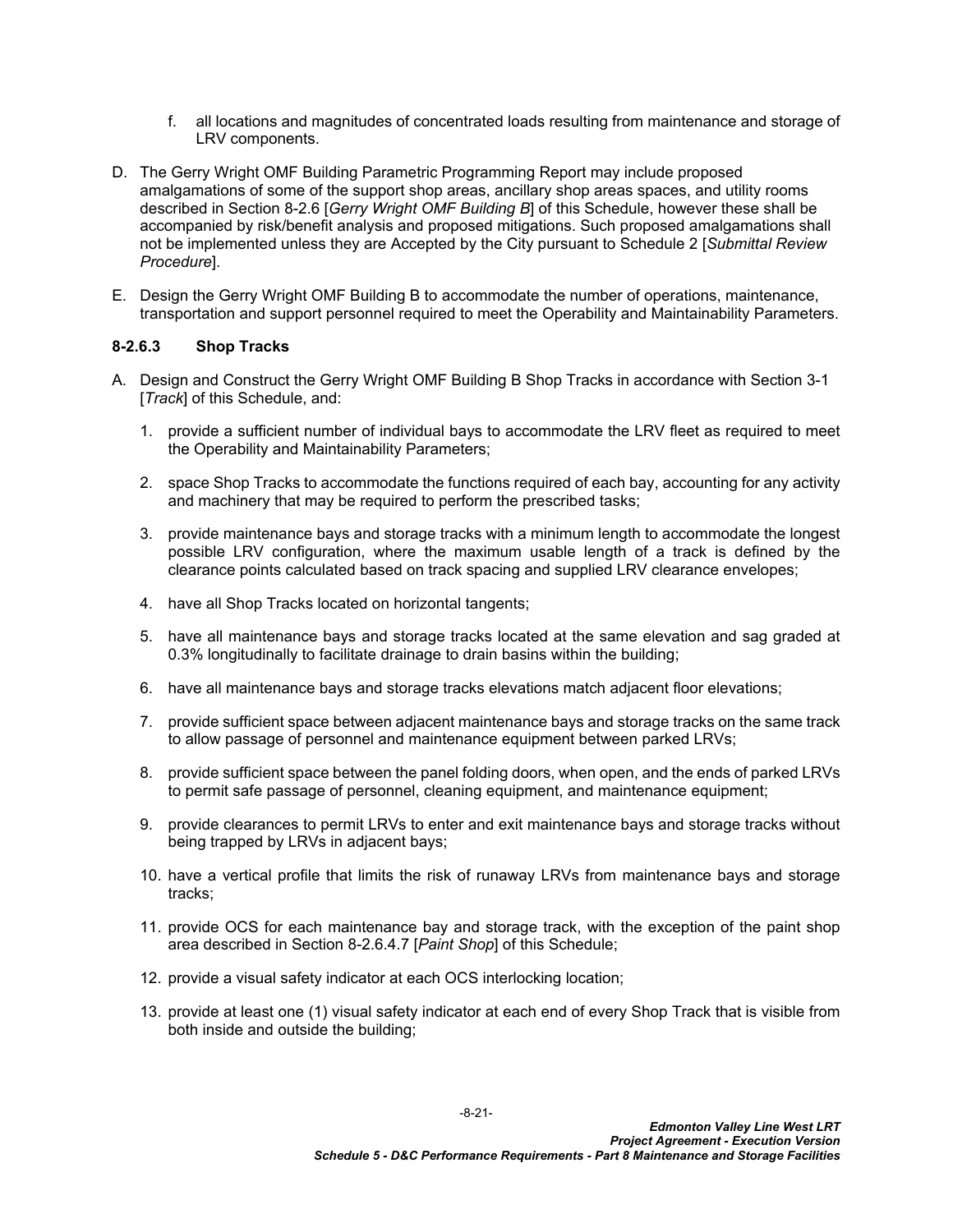- f. all locations and magnitudes of concentrated loads resulting from maintenance and storage of LRV components.
- D. The Gerry Wright OMF Building Parametric Programming Report may include proposed amalgamations of some of the support shop areas, ancillary shop areas spaces, and utility rooms described in Section [8-2.6](#page-17-0) [*Gerry Wright OMF Building B*] of this Schedule, however these shall be accompanied by risk/benefit analysis and proposed mitigations. Such proposed amalgamations shall not be implemented unless they are Accepted by the City pursuant to Schedule 2 [*Submittal Review Procedure*].
- E. Design the Gerry Wright OMF Building B to accommodate the number of operations, maintenance, transportation and support personnel required to meet the Operability and Maintainability Parameters.

## <span id="page-22-0"></span>**8-2.6.3 Shop Tracks**

- A. Design and Construct the Gerry Wright OMF Building B Shop Tracks in accordance with Section 3-1 [*Track*] of this Schedule, and:
	- 1. provide a sufficient number of individual bays to accommodate the LRV fleet as required to meet the Operability and Maintainability Parameters;
	- 2. space Shop Tracks to accommodate the functions required of each bay, accounting for any activity and machinery that may be required to perform the prescribed tasks;
	- 3. provide maintenance bays and storage tracks with a minimum length to accommodate the longest possible LRV configuration, where the maximum usable length of a track is defined by the clearance points calculated based on track spacing and supplied LRV clearance envelopes;
	- 4. have all Shop Tracks located on horizontal tangents;
	- 5. have all maintenance bays and storage tracks located at the same elevation and sag graded at 0.3% longitudinally to facilitate drainage to drain basins within the building;
	- 6. have all maintenance bays and storage tracks elevations match adjacent floor elevations;
	- 7. provide sufficient space between adjacent maintenance bays and storage tracks on the same track to allow passage of personnel and maintenance equipment between parked LRVs;
	- 8. provide sufficient space between the panel folding doors, when open, and the ends of parked LRVs to permit safe passage of personnel, cleaning equipment, and maintenance equipment;
	- 9. provide clearances to permit LRVs to enter and exit maintenance bays and storage tracks without being trapped by LRVs in adjacent bays;
	- 10. have a vertical profile that limits the risk of runaway LRVs from maintenance bays and storage tracks;
	- 11. provide OCS for each maintenance bay and storage track, with the exception of the paint shop area described in Section [8-2.6.4.7](#page-26-0) [*Paint Shop*] of this Schedule;
	- 12. provide a visual safety indicator at each OCS interlocking location;
	- 13. provide at least one (1) visual safety indicator at each end of every Shop Track that is visible from both inside and outside the building;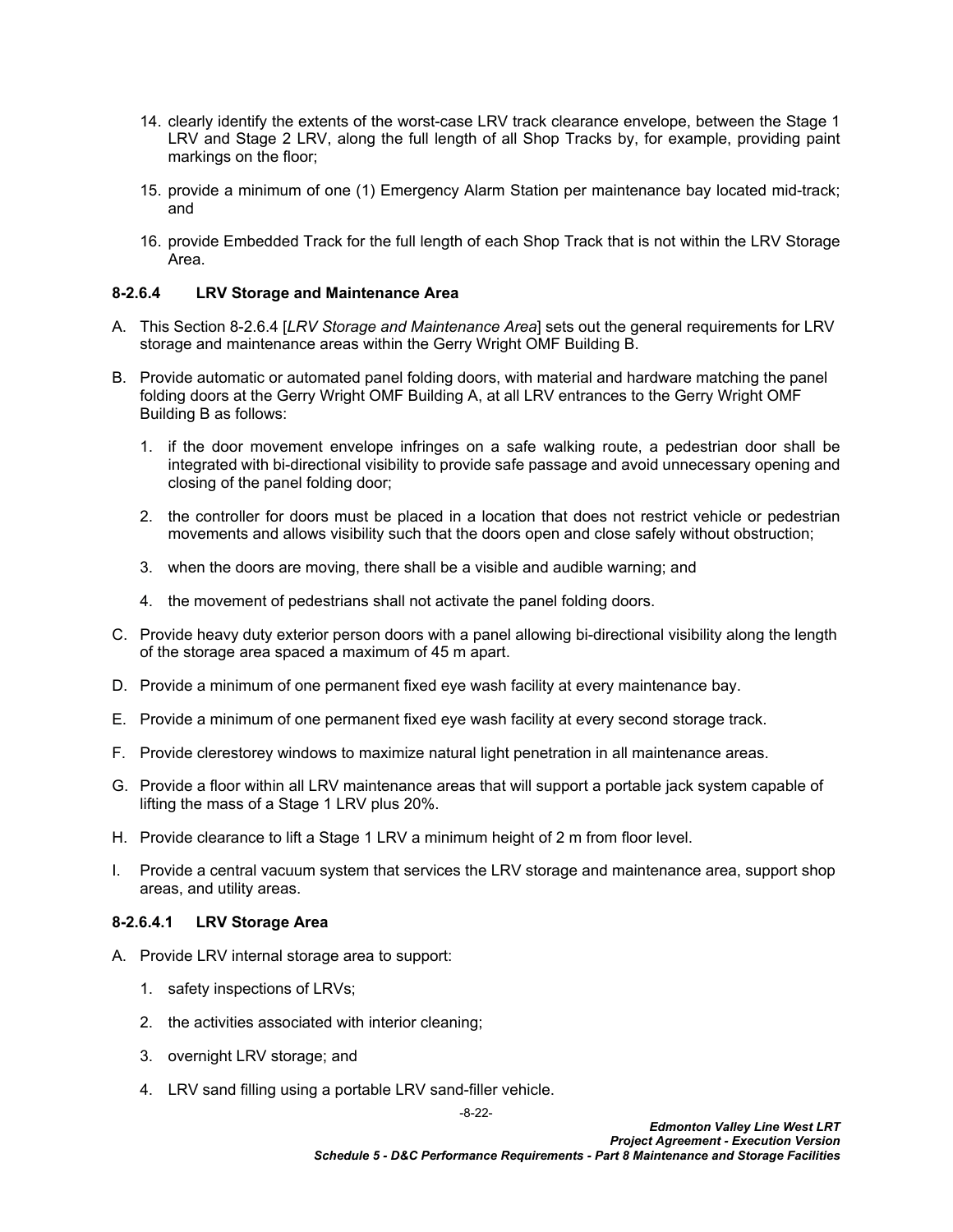- 14. clearly identify the extents of the worst-case LRV track clearance envelope, between the Stage 1 LRV and Stage 2 LRV, along the full length of all Shop Tracks by, for example, providing paint markings on the floor;
- 15. provide a minimum of one (1) Emergency Alarm Station per maintenance bay located mid-track; and
- 16. provide Embedded Track for the full length of each Shop Track that is not within the LRV Storage Area.

## <span id="page-23-0"></span>**8-2.6.4 LRV Storage and Maintenance Area**

- A. This Section [8-2.6.4](#page-23-0) [*LRV Storage and Maintenance Area*] sets out the general requirements for LRV storage and maintenance areas within the Gerry Wright OMF Building B.
- B. Provide automatic or automated panel folding doors, with material and hardware matching the panel folding doors at the Gerry Wright OMF Building A, at all LRV entrances to the Gerry Wright OMF Building B as follows:
	- 1. if the door movement envelope infringes on a safe walking route, a pedestrian door shall be integrated with bi-directional visibility to provide safe passage and avoid unnecessary opening and closing of the panel folding door;
	- 2. the controller for doors must be placed in a location that does not restrict vehicle or pedestrian movements and allows visibility such that the doors open and close safely without obstruction;
	- 3. when the doors are moving, there shall be a visible and audible warning; and
	- 4. the movement of pedestrians shall not activate the panel folding doors.
- C. Provide heavy duty exterior person doors with a panel allowing bi-directional visibility along the length of the storage area spaced a maximum of 45 m apart.
- D. Provide a minimum of one permanent fixed eye wash facility at every maintenance bay.
- E. Provide a minimum of one permanent fixed eye wash facility at every second storage track.
- F. Provide clerestorey windows to maximize natural light penetration in all maintenance areas.
- G. Provide a floor within all LRV maintenance areas that will support a portable jack system capable of lifting the mass of a Stage 1 LRV plus 20%.
- H. Provide clearance to lift a Stage 1 LRV a minimum height of 2 m from floor level.
- I. Provide a central vacuum system that services the LRV storage and maintenance area, support shop areas, and utility areas.

#### **8-2.6.4.1 LRV Storage Area**

- A. Provide LRV internal storage area to support:
	- 1. safety inspections of LRVs;
	- 2. the activities associated with interior cleaning;
	- 3. overnight LRV storage; and
	- 4. LRV sand filling using a portable LRV sand-filler vehicle.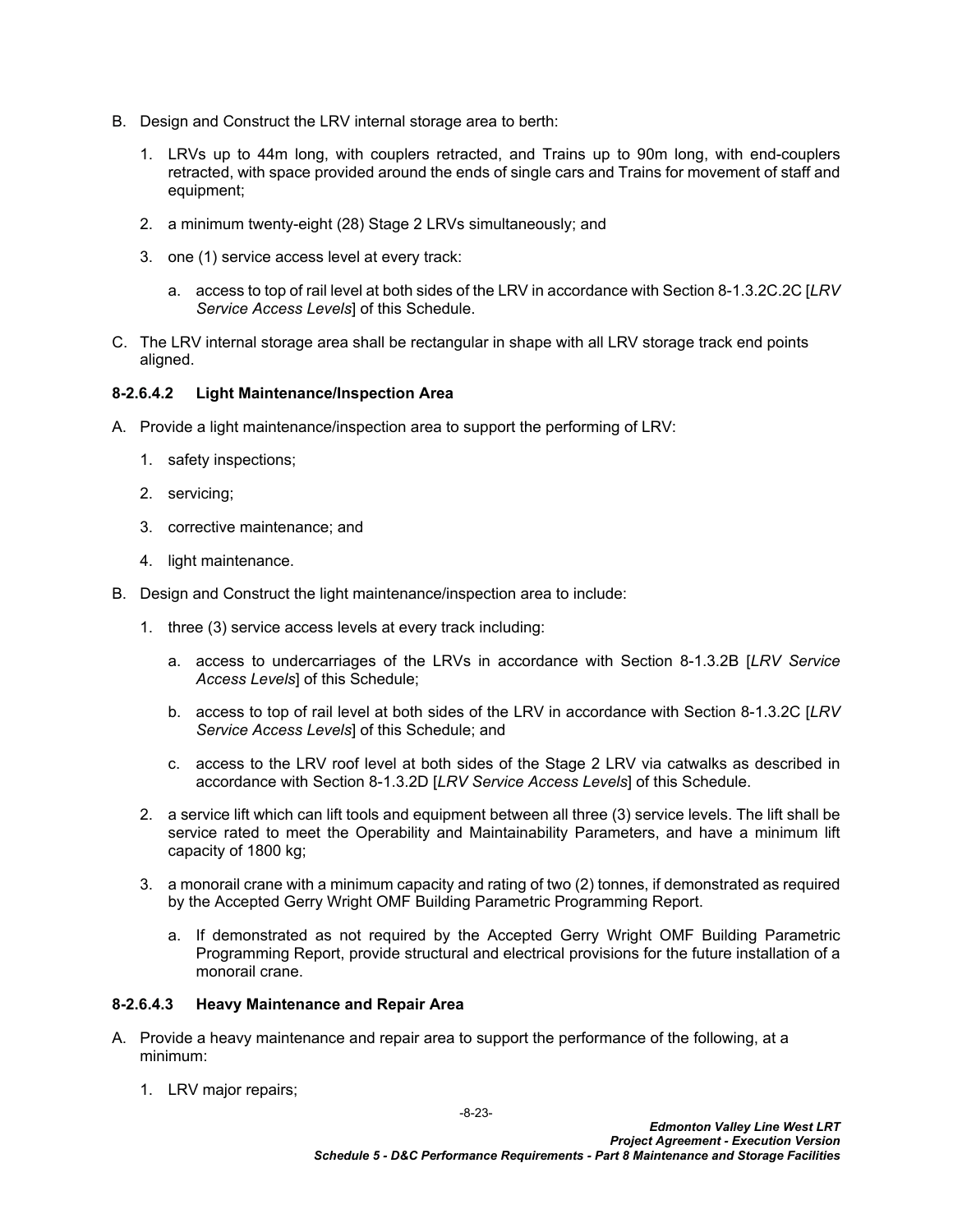- B. Design and Construct the LRV internal storage area to berth:
	- 1. LRVs up to 44m long, with couplers retracted, and Trains up to 90m long, with end-couplers retracted, with space provided around the ends of single cars and Trains for movement of staff and equipment;
	- 2. a minimum twenty-eight (28) Stage 2 LRVs simultaneously; and
	- 3. one (1) service access level at every track:
		- a. access to top of rail level at both sides of the LRV in accordance with Section [8-1.3.2C.2](#page-5-0)C [*LRV Service Access Levels*] of this Schedule.
- C. The LRV internal storage area shall be rectangular in shape with all LRV storage track end points aligned.

## **8-2.6.4.2 Light Maintenance/Inspection Area**

- A. Provide a light maintenance/inspection area to support the performing of LRV:
	- 1. safety inspections;
	- 2. servicing;
	- 3. corrective maintenance; and
	- 4. light maintenance.
- B. Design and Construct the light maintenance/inspection area to include:
	- 1. three (3) service access levels at every track including:
		- a. access to undercarriages of the LRVs in accordance with Section [8-1.3.2B](#page-4-1) [*LRV Service Access Levels*] of this Schedule;
		- b. access to top of rail level at both sides of the LRV in accordance with Section [8-1.3.2C](#page-5-1) [*LRV Service Access Levels*] of this Schedule; and
		- c. access to the LRV roof level at both sides of the Stage 2 LRV via catwalks as described in accordance with Section [8-1.3.2D](#page-5-2) [*LRV Service Access Levels*] of this Schedule.
	- 2. a service lift which can lift tools and equipment between all three (3) service levels. The lift shall be service rated to meet the Operability and Maintainability Parameters, and have a minimum lift capacity of 1800 kg;
	- 3. a monorail crane with a minimum capacity and rating of two (2) tonnes, if demonstrated as required by the Accepted Gerry Wright OMF Building Parametric Programming Report.
		- a. If demonstrated as not required by the Accepted Gerry Wright OMF Building Parametric Programming Report, provide structural and electrical provisions for the future installation of a monorail crane.

#### **8-2.6.4.3 Heavy Maintenance and Repair Area**

- A. Provide a heavy maintenance and repair area to support the performance of the following, at a minimum:
	- 1. LRV major repairs;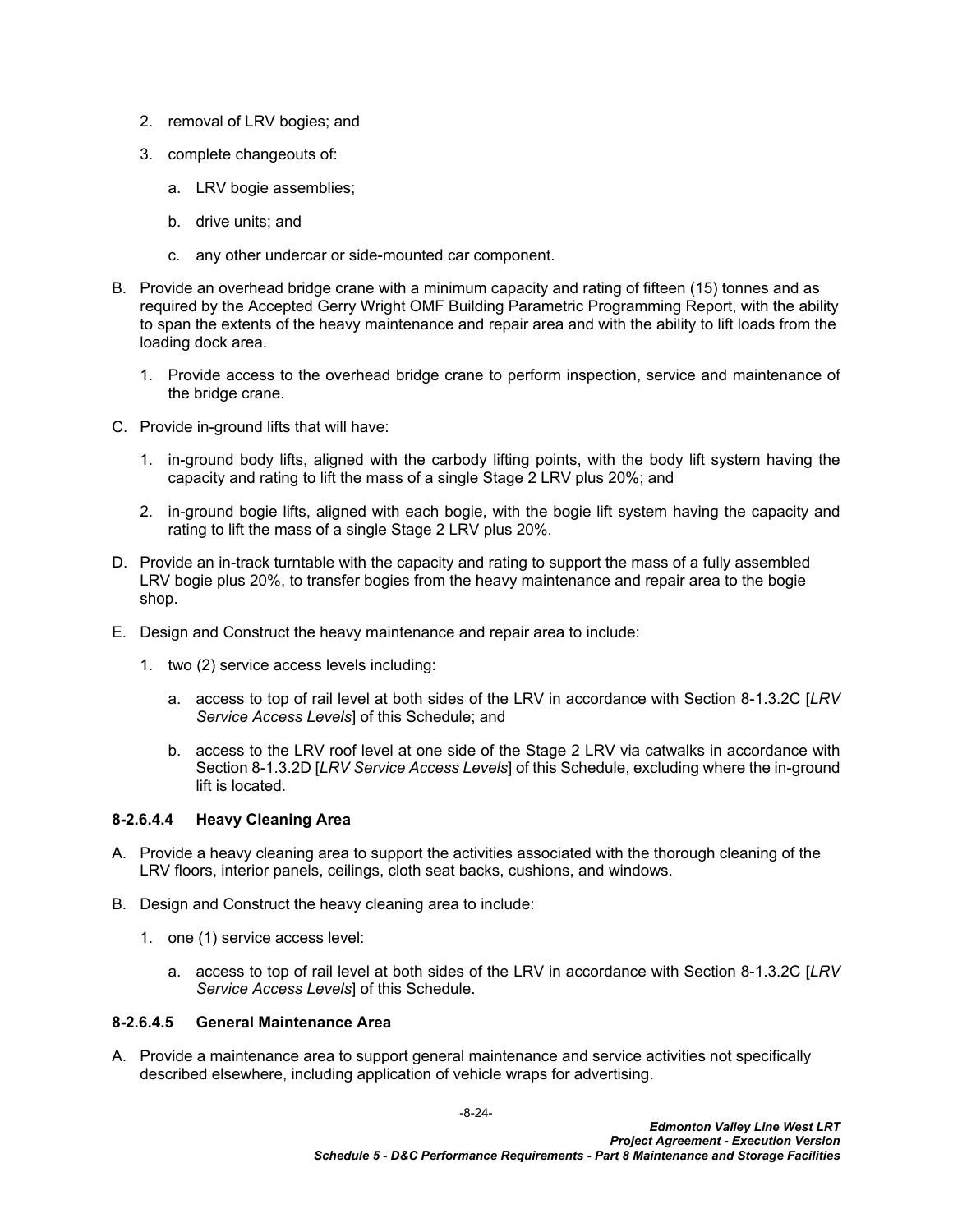- 2. removal of LRV bogies; and
- 3. complete changeouts of:
	- a. LRV bogie assemblies;
	- b. drive units; and
	- c. any other undercar or side-mounted car component.
- B. Provide an overhead bridge crane with a minimum capacity and rating of fifteen (15) tonnes and as required by the Accepted Gerry Wright OMF Building Parametric Programming Report, with the ability to span the extents of the heavy maintenance and repair area and with the ability to lift loads from the loading dock area.
	- 1. Provide access to the overhead bridge crane to perform inspection, service and maintenance of the bridge crane.
- C. Provide in-ground lifts that will have:
	- 1. in-ground body lifts, aligned with the carbody lifting points, with the body lift system having the capacity and rating to lift the mass of a single Stage 2 LRV plus 20%; and
	- 2. in-ground bogie lifts, aligned with each bogie, with the bogie lift system having the capacity and rating to lift the mass of a single Stage 2 LRV plus 20%.
- D. Provide an in-track turntable with the capacity and rating to support the mass of a fully assembled LRV bogie plus 20%, to transfer bogies from the heavy maintenance and repair area to the bogie shop.
- E. Design and Construct the heavy maintenance and repair area to include:
	- 1. two (2) service access levels including:
		- a. access to top of rail level at both sides of the LRV in accordance with Section [8-1.3.2C](#page-5-1) [*LRV Service Access Levels*] of this Schedule; and
		- b. access to the LRV roof level at one side of the Stage 2 LRV via catwalks in accordance with Section [8-1.3.2D](#page-5-2) [*LRV Service Access Levels*] of this Schedule, excluding where the in-ground lift is located.

#### **8-2.6.4.4 Heavy Cleaning Area**

- A. Provide a heavy cleaning area to support the activities associated with the thorough cleaning of the LRV floors, interior panels, ceilings, cloth seat backs, cushions, and windows.
- B. Design and Construct the heavy cleaning area to include:
	- 1. one (1) service access level:
		- a. access to top of rail level at both sides of the LRV in accordance with Section [8-1.3.2C](#page-5-1) [*LRV Service Access Levels*] of this Schedule.

#### **8-2.6.4.5 General Maintenance Area**

A. Provide a maintenance area to support general maintenance and service activities not specifically described elsewhere, including application of vehicle wraps for advertising.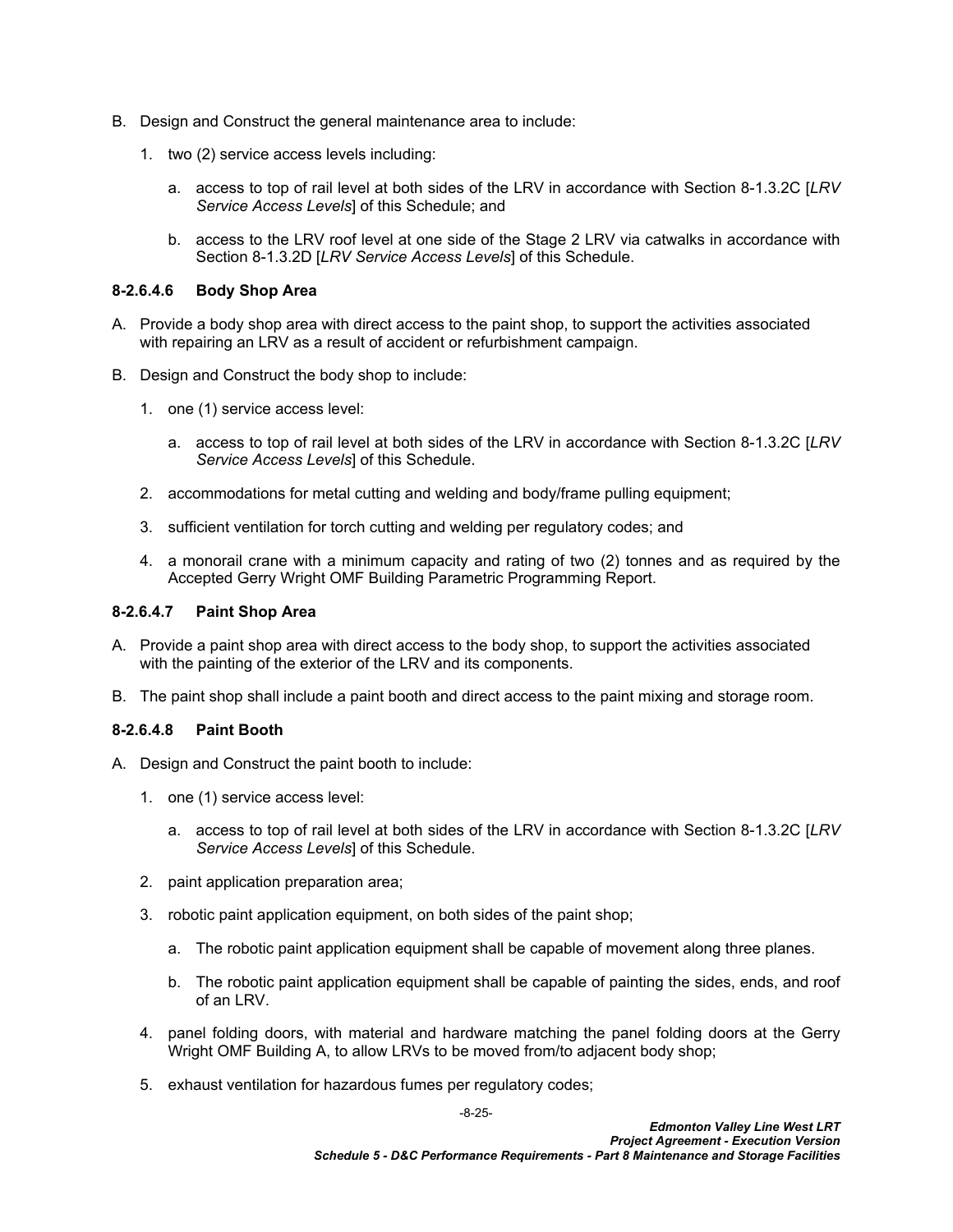- B. Design and Construct the general maintenance area to include:
	- 1. two (2) service access levels including:
		- a. access to top of rail level at both sides of the LRV in accordance with Section [8-1.3.2C](#page-5-1) [*LRV Service Access Levels*] of this Schedule; and
		- b. access to the LRV roof level at one side of the Stage 2 LRV via catwalks in accordance with Section [8-1.3.2D](#page-5-2) [*LRV Service Access Levels*] of this Schedule.

#### **8-2.6.4.6 Body Shop Area**

- A. Provide a body shop area with direct access to the paint shop, to support the activities associated with repairing an LRV as a result of accident or refurbishment campaign.
- B. Design and Construct the body shop to include:
	- 1. one (1) service access level:
		- a. access to top of rail level at both sides of the LRV in accordance with Section [8-1.3.2C](#page-5-1) [*LRV Service Access Levels*] of this Schedule.
	- 2. accommodations for metal cutting and welding and body/frame pulling equipment;
	- 3. sufficient ventilation for torch cutting and welding per regulatory codes; and
	- 4. a monorail crane with a minimum capacity and rating of two (2) tonnes and as required by the Accepted Gerry Wright OMF Building Parametric Programming Report.

#### <span id="page-26-0"></span>**8-2.6.4.7 Paint Shop Area**

- A. Provide a paint shop area with direct access to the body shop, to support the activities associated with the painting of the exterior of the LRV and its components.
- B. The paint shop shall include a paint booth and direct access to the paint mixing and storage room.

## **8-2.6.4.8 Paint Booth**

- A. Design and Construct the paint booth to include:
	- 1. one (1) service access level:
		- a. access to top of rail level at both sides of the LRV in accordance with Section [8-1.3.2C](#page-5-1) [*LRV Service Access Levels*] of this Schedule.
	- 2. paint application preparation area;
	- 3. robotic paint application equipment, on both sides of the paint shop;
		- a. The robotic paint application equipment shall be capable of movement along three planes.
		- b. The robotic paint application equipment shall be capable of painting the sides, ends, and roof of an LRV.
	- 4. panel folding doors, with material and hardware matching the panel folding doors at the Gerry Wright OMF Building A, to allow LRVs to be moved from/to adjacent body shop;
	- 5. exhaust ventilation for hazardous fumes per regulatory codes;

-8-25-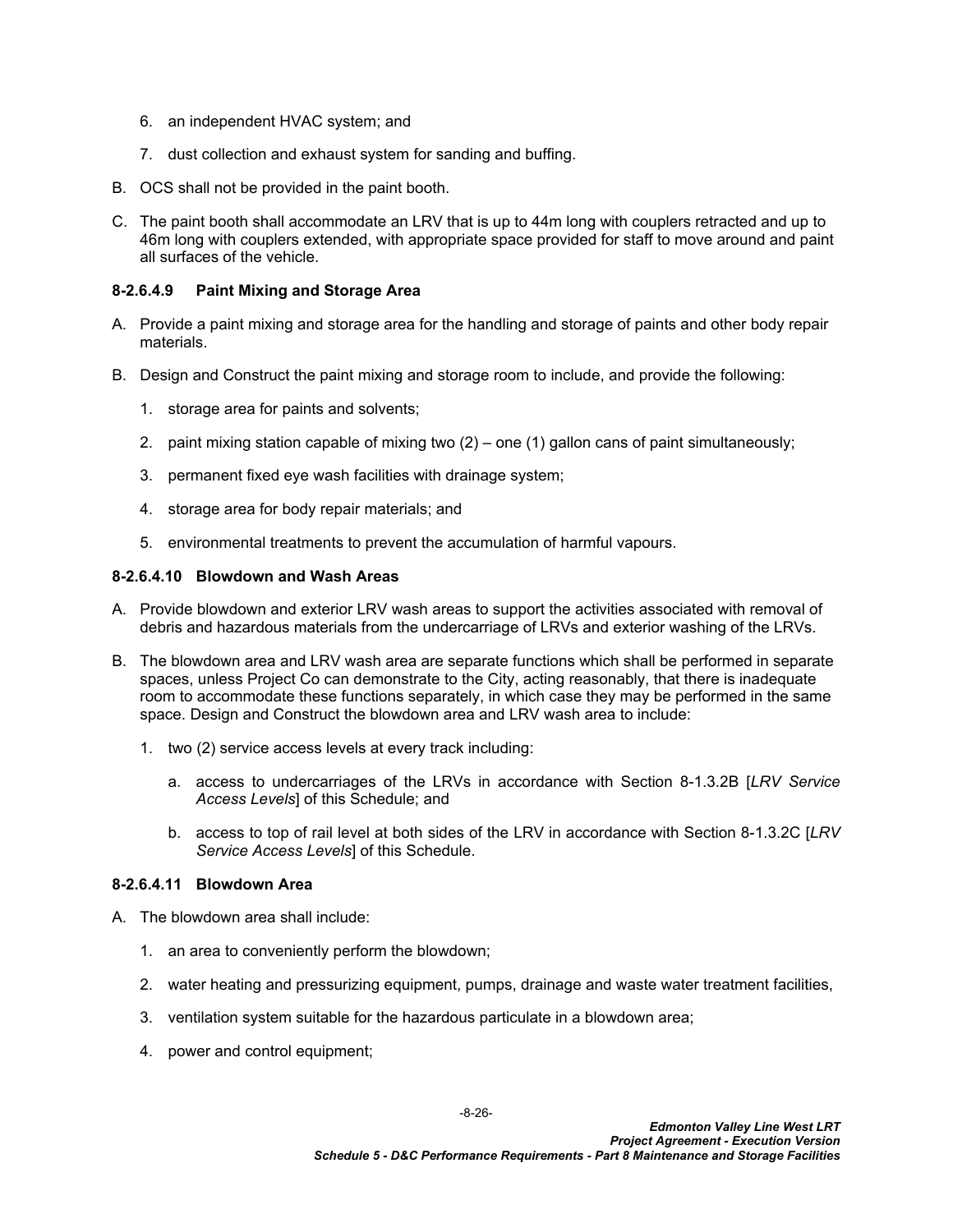- 6. an independent HVAC system; and
- 7. dust collection and exhaust system for sanding and buffing.
- B. OCS shall not be provided in the paint booth.
- C. The paint booth shall accommodate an LRV that is up to 44m long with couplers retracted and up to 46m long with couplers extended, with appropriate space provided for staff to move around and paint all surfaces of the vehicle.

### **8-2.6.4.9 Paint Mixing and Storage Area**

- A. Provide a paint mixing and storage area for the handling and storage of paints and other body repair materials.
- B. Design and Construct the paint mixing and storage room to include, and provide the following:
	- 1. storage area for paints and solvents;
	- 2. paint mixing station capable of mixing two  $(2)$  one  $(1)$  gallon cans of paint simultaneously;
	- 3. permanent fixed eye wash facilities with drainage system;
	- 4. storage area for body repair materials; and
	- 5. environmental treatments to prevent the accumulation of harmful vapours.

#### **8-2.6.4.10 Blowdown and Wash Areas**

- A. Provide blowdown and exterior LRV wash areas to support the activities associated with removal of debris and hazardous materials from the undercarriage of LRVs and exterior washing of the LRVs.
- B. The blowdown area and LRV wash area are separate functions which shall be performed in separate spaces, unless Project Co can demonstrate to the City, acting reasonably, that there is inadequate room to accommodate these functions separately, in which case they may be performed in the same space. Design and Construct the blowdown area and LRV wash area to include:
	- 1. two (2) service access levels at every track including:
		- a. access to undercarriages of the LRVs in accordance with Section [8-1.3.2B](#page-4-1) [*LRV Service Access Levels*] of this Schedule; and
		- b. access to top of rail level at both sides of the LRV in accordance with Section [8-1.3.2C](#page-5-1) [*LRV Service Access Levels*] of this Schedule.

#### **8-2.6.4.11 Blowdown Area**

- A. The blowdown area shall include:
	- 1. an area to conveniently perform the blowdown;
	- 2. water heating and pressurizing equipment, pumps, drainage and waste water treatment facilities,
	- 3. ventilation system suitable for the hazardous particulate in a blowdown area;
	- 4. power and control equipment;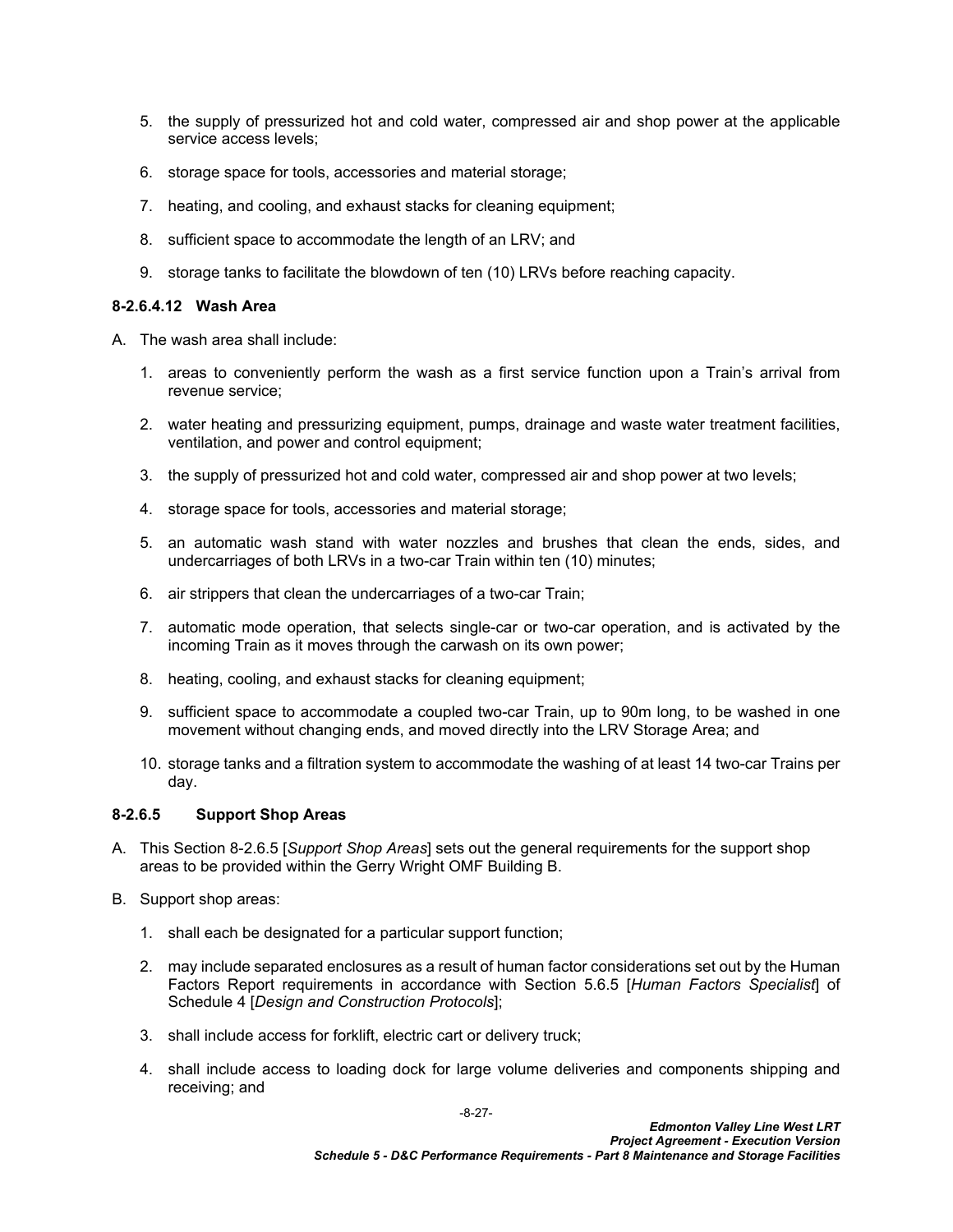- 5. the supply of pressurized hot and cold water, compressed air and shop power at the applicable service access levels;
- 6. storage space for tools, accessories and material storage;
- 7. heating, and cooling, and exhaust stacks for cleaning equipment;
- 8. sufficient space to accommodate the length of an LRV; and
- 9. storage tanks to facilitate the blowdown of ten (10) LRVs before reaching capacity.

#### **8-2.6.4.12 Wash Area**

- A. The wash area shall include:
	- 1. areas to conveniently perform the wash as a first service function upon a Train's arrival from revenue service;
	- 2. water heating and pressurizing equipment, pumps, drainage and waste water treatment facilities, ventilation, and power and control equipment;
	- 3. the supply of pressurized hot and cold water, compressed air and shop power at two levels;
	- 4. storage space for tools, accessories and material storage;
	- 5. an automatic wash stand with water nozzles and brushes that clean the ends, sides, and undercarriages of both LRVs in a two-car Train within ten (10) minutes;
	- 6. air strippers that clean the undercarriages of a two-car Train;
	- 7. automatic mode operation, that selects single-car or two-car operation, and is activated by the incoming Train as it moves through the carwash on its own power;
	- 8. heating, cooling, and exhaust stacks for cleaning equipment;
	- 9. sufficient space to accommodate a coupled two-car Train, up to 90m long, to be washed in one movement without changing ends, and moved directly into the LRV Storage Area; and
	- 10. storage tanks and a filtration system to accommodate the washing of at least 14 two-car Trains per day.

## <span id="page-28-0"></span>**8-2.6.5 Support Shop Areas**

- A. This Section [8-2.6.5](#page-28-0) [*Support Shop Areas*] sets out the general requirements for the support shop areas to be provided within the Gerry Wright OMF Building B.
- B. Support shop areas:
	- 1. shall each be designated for a particular support function;
	- 2. may include separated enclosures as a result of human factor considerations set out by the Human Factors Report requirements in accordance with Section 5.6.5 [*Human Factors Specialist*] of Schedule 4 [*Design and Construction Protocols*];
	- 3. shall include access for forklift, electric cart or delivery truck;
	- 4. shall include access to loading dock for large volume deliveries and components shipping and receiving; and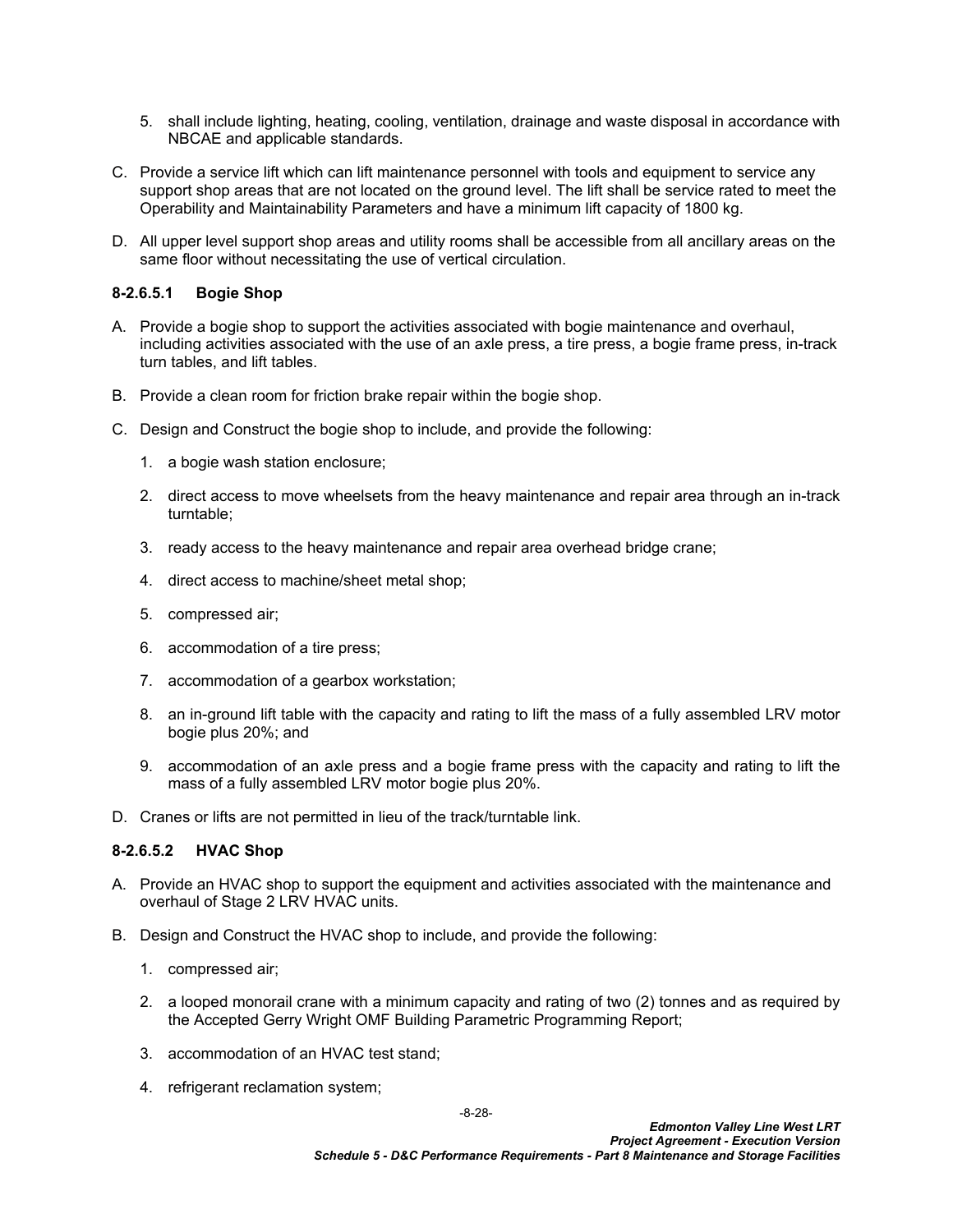- 5. shall include lighting, heating, cooling, ventilation, drainage and waste disposal in accordance with NBCAE and applicable standards.
- C. Provide a service lift which can lift maintenance personnel with tools and equipment to service any support shop areas that are not located on the ground level. The lift shall be service rated to meet the Operability and Maintainability Parameters and have a minimum lift capacity of 1800 kg.
- D. All upper level support shop areas and utility rooms shall be accessible from all ancillary areas on the same floor without necessitating the use of vertical circulation.

### **8-2.6.5.1 Bogie Shop**

- A. Provide a bogie shop to support the activities associated with bogie maintenance and overhaul, including activities associated with the use of an axle press, a tire press, a bogie frame press, in-track turn tables, and lift tables.
- B. Provide a clean room for friction brake repair within the bogie shop.
- C. Design and Construct the bogie shop to include, and provide the following:
	- 1. a bogie wash station enclosure;
	- 2. direct access to move wheelsets from the heavy maintenance and repair area through an in-track turntable;
	- 3. ready access to the heavy maintenance and repair area overhead bridge crane;
	- 4. direct access to machine/sheet metal shop;
	- 5. compressed air;
	- 6. accommodation of a tire press;
	- 7. accommodation of a gearbox workstation;
	- 8. an in-ground lift table with the capacity and rating to lift the mass of a fully assembled LRV motor bogie plus 20%; and
	- 9. accommodation of an axle press and a bogie frame press with the capacity and rating to lift the mass of a fully assembled LRV motor bogie plus 20%.
- D. Cranes or lifts are not permitted in lieu of the track/turntable link.

#### **8-2.6.5.2 HVAC Shop**

- A. Provide an HVAC shop to support the equipment and activities associated with the maintenance and overhaul of Stage 2 LRV HVAC units.
- B. Design and Construct the HVAC shop to include, and provide the following:
	- 1. compressed air;
	- 2. a looped monorail crane with a minimum capacity and rating of two (2) tonnes and as required by the Accepted Gerry Wright OMF Building Parametric Programming Report;
	- 3. accommodation of an HVAC test stand;
	- 4. refrigerant reclamation system;

-8-28-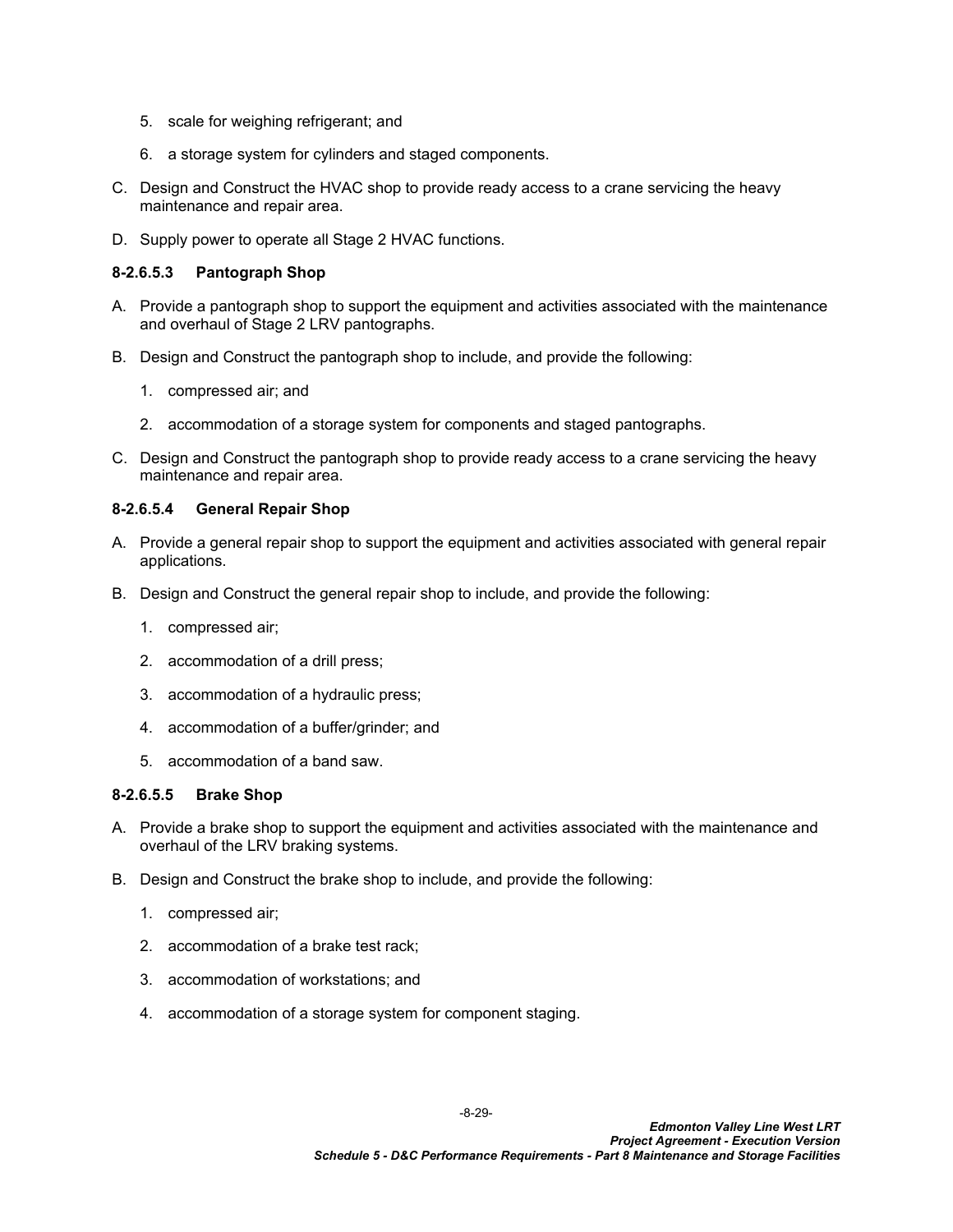- 5. scale for weighing refrigerant; and
- 6. a storage system for cylinders and staged components.
- C. Design and Construct the HVAC shop to provide ready access to a crane servicing the heavy maintenance and repair area.
- D. Supply power to operate all Stage 2 HVAC functions.

## **8-2.6.5.3 Pantograph Shop**

- A. Provide a pantograph shop to support the equipment and activities associated with the maintenance and overhaul of Stage 2 LRV pantographs.
- B. Design and Construct the pantograph shop to include, and provide the following:
	- 1. compressed air; and
	- 2. accommodation of a storage system for components and staged pantographs.
- C. Design and Construct the pantograph shop to provide ready access to a crane servicing the heavy maintenance and repair area.

## **8-2.6.5.4 General Repair Shop**

- A. Provide a general repair shop to support the equipment and activities associated with general repair applications.
- B. Design and Construct the general repair shop to include, and provide the following:
	- 1. compressed air;
	- 2. accommodation of a drill press;
	- 3. accommodation of a hydraulic press;
	- 4. accommodation of a buffer/grinder; and
	- 5. accommodation of a band saw.

## **8-2.6.5.5 Brake Shop**

- A. Provide a brake shop to support the equipment and activities associated with the maintenance and overhaul of the LRV braking systems.
- B. Design and Construct the brake shop to include, and provide the following:
	- 1. compressed air;
	- 2. accommodation of a brake test rack;
	- 3. accommodation of workstations; and
	- 4. accommodation of a storage system for component staging.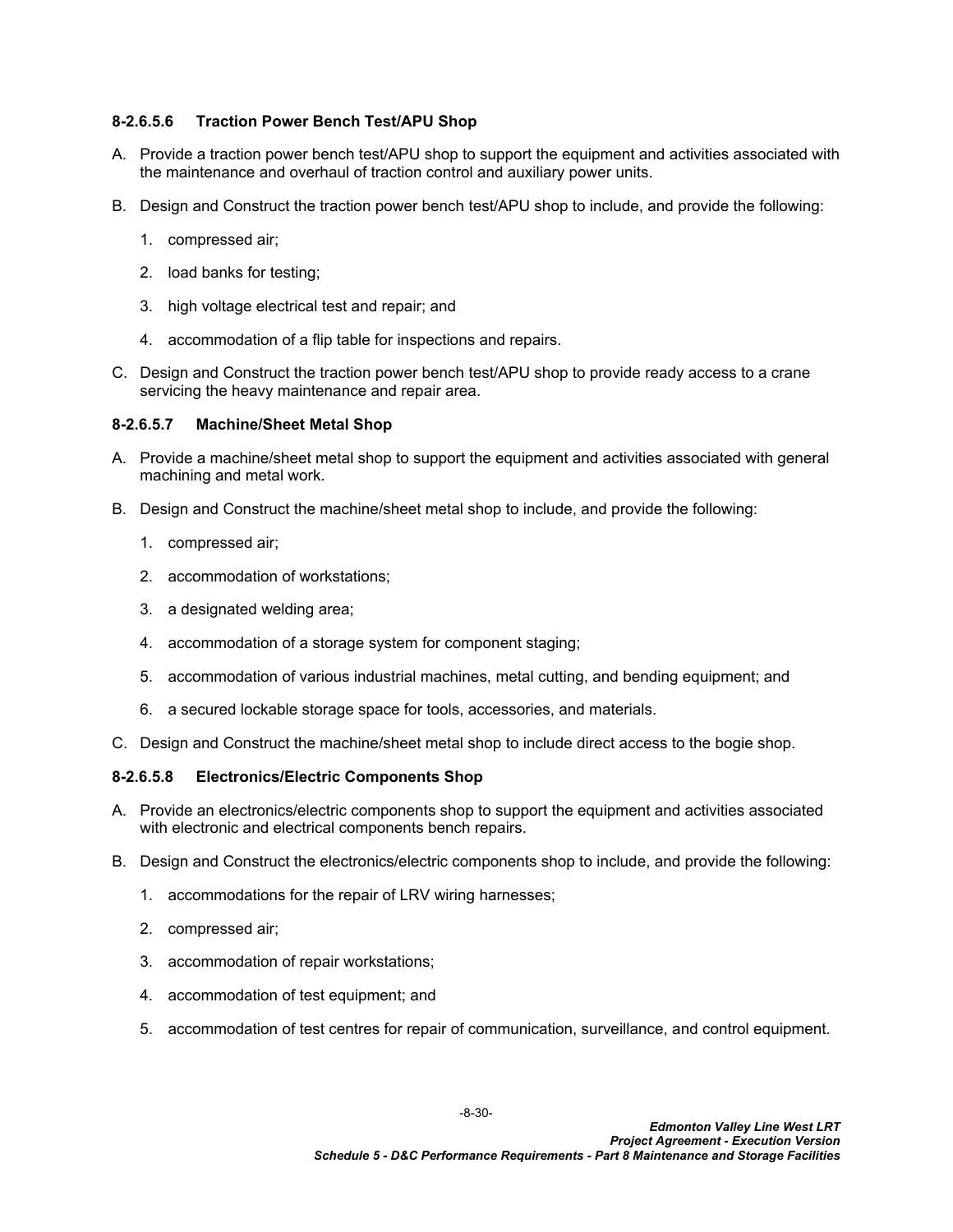## **8-2.6.5.6 Traction Power Bench Test/APU Shop**

- A. Provide a traction power bench test/APU shop to support the equipment and activities associated with the maintenance and overhaul of traction control and auxiliary power units.
- B. Design and Construct the traction power bench test/APU shop to include, and provide the following:
	- 1. compressed air;
	- 2. load banks for testing;
	- 3. high voltage electrical test and repair; and
	- 4. accommodation of a flip table for inspections and repairs.
- C. Design and Construct the traction power bench test/APU shop to provide ready access to a crane servicing the heavy maintenance and repair area.

#### **8-2.6.5.7 Machine/Sheet Metal Shop**

- A. Provide a machine/sheet metal shop to support the equipment and activities associated with general machining and metal work.
- B. Design and Construct the machine/sheet metal shop to include, and provide the following:
	- 1. compressed air;
	- 2. accommodation of workstations;
	- 3. a designated welding area;
	- 4. accommodation of a storage system for component staging;
	- 5. accommodation of various industrial machines, metal cutting, and bending equipment; and
	- 6. a secured lockable storage space for tools, accessories, and materials.
- C. Design and Construct the machine/sheet metal shop to include direct access to the bogie shop.

#### **8-2.6.5.8 Electronics/Electric Components Shop**

- A. Provide an electronics/electric components shop to support the equipment and activities associated with electronic and electrical components bench repairs.
- B. Design and Construct the electronics/electric components shop to include, and provide the following:
	- 1. accommodations for the repair of LRV wiring harnesses;
	- 2. compressed air;
	- 3. accommodation of repair workstations;
	- 4. accommodation of test equipment; and
	- 5. accommodation of test centres for repair of communication, surveillance, and control equipment.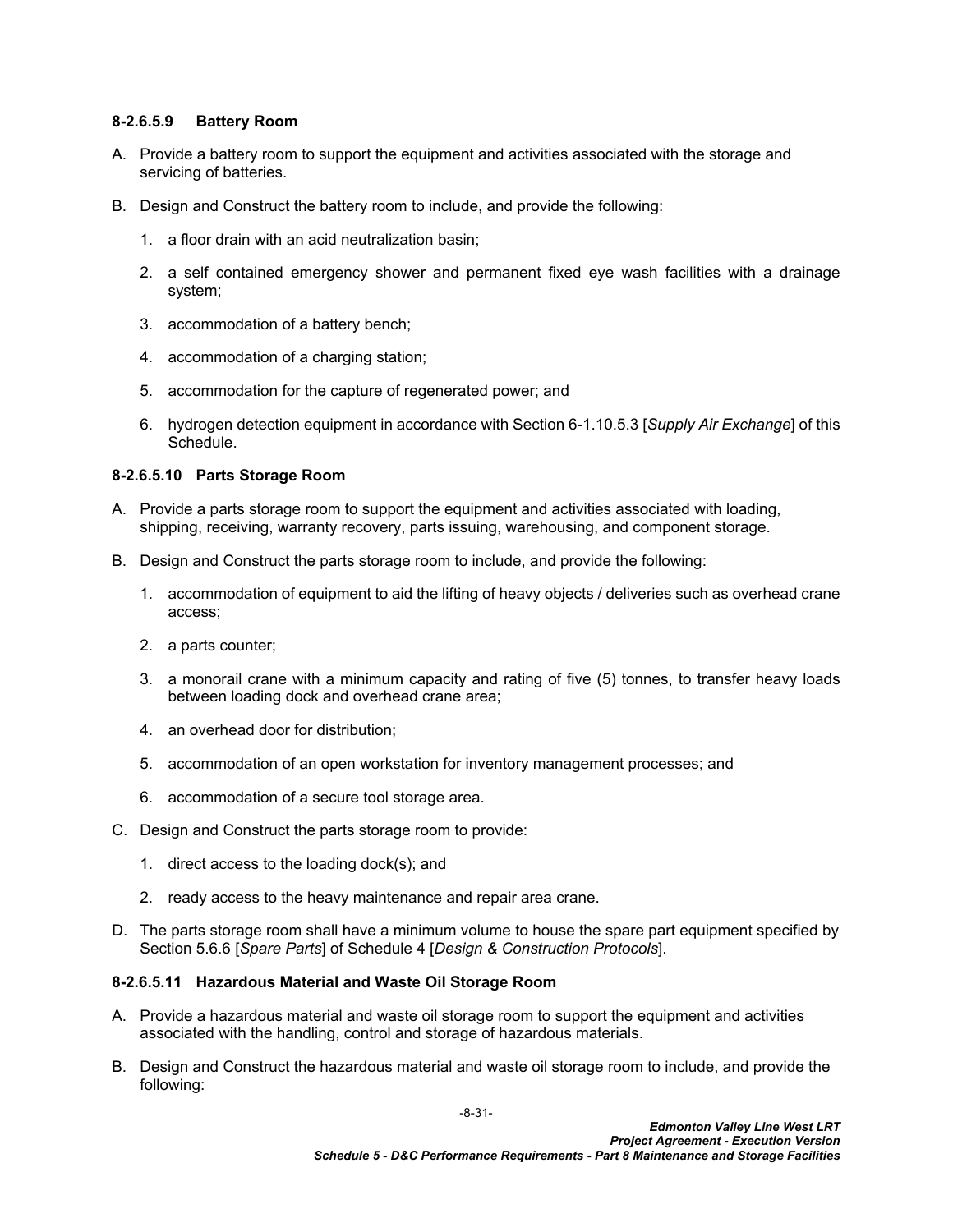### **8-2.6.5.9 Battery Room**

- A. Provide a battery room to support the equipment and activities associated with the storage and servicing of batteries.
- B. Design and Construct the battery room to include, and provide the following:
	- 1. a floor drain with an acid neutralization basin;
	- 2. a self contained emergency shower and permanent fixed eye wash facilities with a drainage system;
	- 3. accommodation of a battery bench;
	- 4. accommodation of a charging station;
	- 5. accommodation for the capture of regenerated power; and
	- 6. hydrogen detection equipment in accordance with Section 6-1.10.5.3 [*Supply Air Exchange*] of this Schedule.

## **8-2.6.5.10 Parts Storage Room**

- A. Provide a parts storage room to support the equipment and activities associated with loading, shipping, receiving, warranty recovery, parts issuing, warehousing, and component storage.
- B. Design and Construct the parts storage room to include, and provide the following:
	- 1. accommodation of equipment to aid the lifting of heavy objects / deliveries such as overhead crane access;
	- 2. a parts counter;
	- 3. a monorail crane with a minimum capacity and rating of five (5) tonnes, to transfer heavy loads between loading dock and overhead crane area;
	- 4. an overhead door for distribution;
	- 5. accommodation of an open workstation for inventory management processes; and
	- 6. accommodation of a secure tool storage area.
- C. Design and Construct the parts storage room to provide:
	- 1. direct access to the loading dock(s); and
	- 2. ready access to the heavy maintenance and repair area crane.
- D. The parts storage room shall have a minimum volume to house the spare part equipment specified by Section 5.6.6 [*Spare Parts*] of Schedule 4 [*Design & Construction Protocols*].

#### **8-2.6.5.11 Hazardous Material and Waste Oil Storage Room**

- A. Provide a hazardous material and waste oil storage room to support the equipment and activities associated with the handling, control and storage of hazardous materials.
- B. Design and Construct the hazardous material and waste oil storage room to include, and provide the following: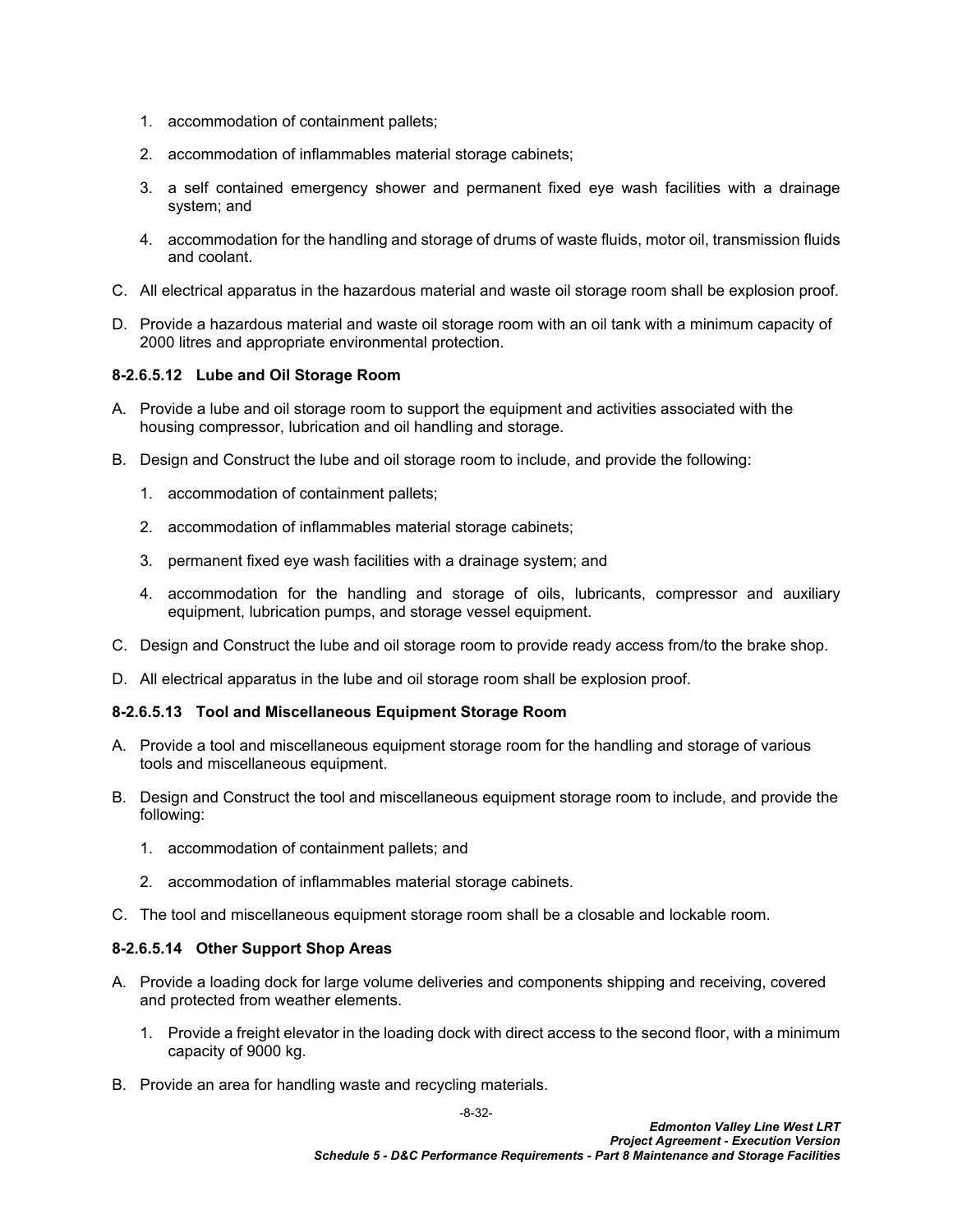- 1. accommodation of containment pallets;
- 2. accommodation of inflammables material storage cabinets;
- 3. a self contained emergency shower and permanent fixed eye wash facilities with a drainage system; and
- 4. accommodation for the handling and storage of drums of waste fluids, motor oil, transmission fluids and coolant.
- C. All electrical apparatus in the hazardous material and waste oil storage room shall be explosion proof.
- D. Provide a hazardous material and waste oil storage room with an oil tank with a minimum capacity of 2000 litres and appropriate environmental protection.

## **8-2.6.5.12 Lube and Oil Storage Room**

- A. Provide a lube and oil storage room to support the equipment and activities associated with the housing compressor, lubrication and oil handling and storage.
- B. Design and Construct the lube and oil storage room to include, and provide the following:
	- 1. accommodation of containment pallets;
	- 2. accommodation of inflammables material storage cabinets;
	- 3. permanent fixed eye wash facilities with a drainage system; and
	- 4. accommodation for the handling and storage of oils, lubricants, compressor and auxiliary equipment, lubrication pumps, and storage vessel equipment.
- C. Design and Construct the lube and oil storage room to provide ready access from/to the brake shop.
- D. All electrical apparatus in the lube and oil storage room shall be explosion proof.

## **8-2.6.5.13 Tool and Miscellaneous Equipment Storage Room**

- A. Provide a tool and miscellaneous equipment storage room for the handling and storage of various tools and miscellaneous equipment.
- B. Design and Construct the tool and miscellaneous equipment storage room to include, and provide the following:
	- 1. accommodation of containment pallets; and
	- 2. accommodation of inflammables material storage cabinets.
- C. The tool and miscellaneous equipment storage room shall be a closable and lockable room.

## **8-2.6.5.14 Other Support Shop Areas**

- A. Provide a loading dock for large volume deliveries and components shipping and receiving, covered and protected from weather elements.
	- 1. Provide a freight elevator in the loading dock with direct access to the second floor, with a minimum capacity of 9000 kg.
- B. Provide an area for handling waste and recycling materials.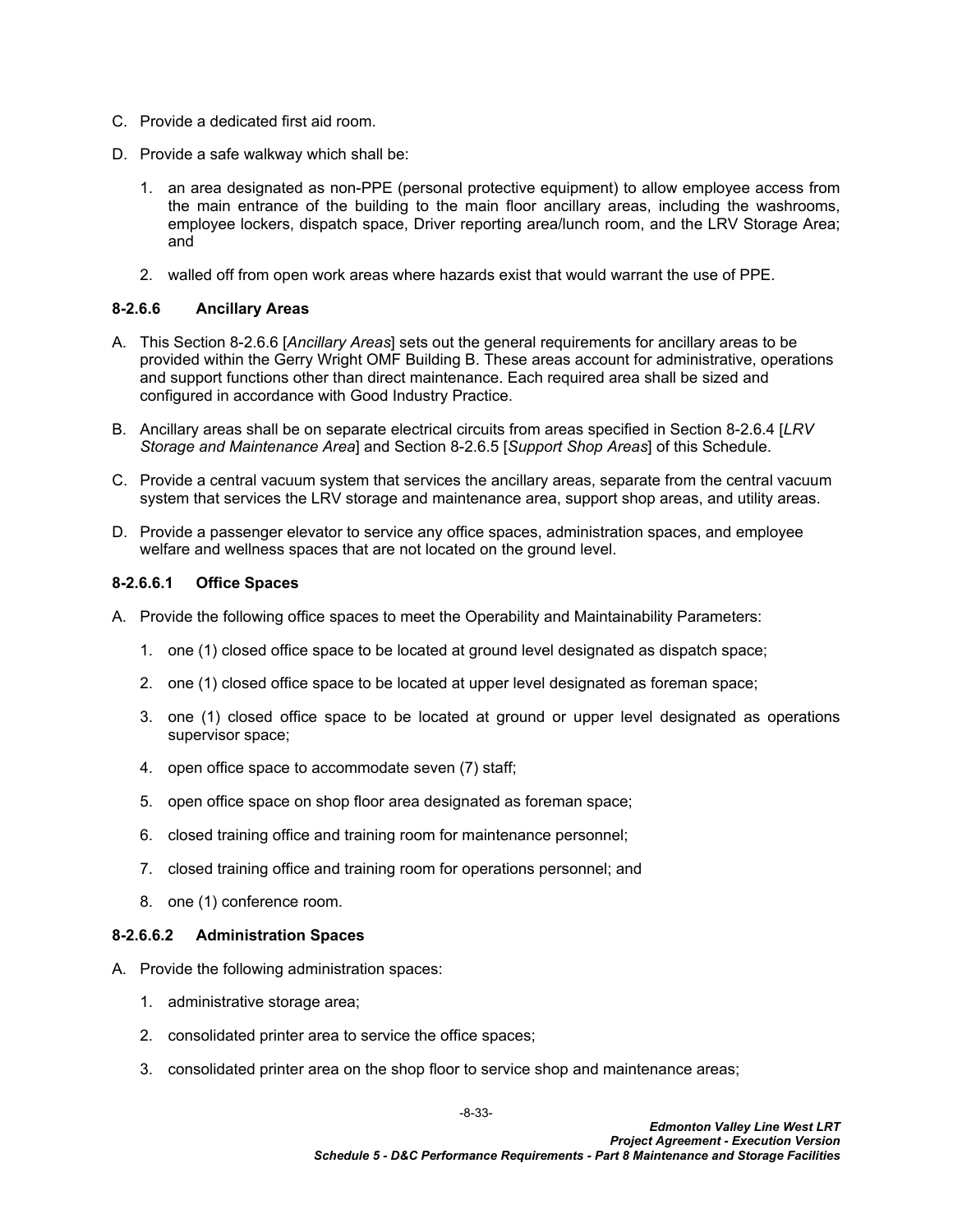- C. Provide a dedicated first aid room.
- D. Provide a safe walkway which shall be:
	- 1. an area designated as non-PPE (personal protective equipment) to allow employee access from the main entrance of the building to the main floor ancillary areas, including the washrooms, employee lockers, dispatch space, Driver reporting area/lunch room, and the LRV Storage Area; and
	- 2. walled off from open work areas where hazards exist that would warrant the use of PPE.

### <span id="page-34-0"></span>**8-2.6.6 Ancillary Areas**

- A. This Section [8-2.6.6](#page-34-0) [*Ancillary Areas*] sets out the general requirements for ancillary areas to be provided within the Gerry Wright OMF Building B. These areas account for administrative, operations and support functions other than direct maintenance. Each required area shall be sized and configured in accordance with Good Industry Practice.
- B. Ancillary areas shall be on separate electrical circuits from areas specified in Section 8-2.6.4 [*LRV Storage and Maintenance Area*] and Section 8-2.6.5 [*Support Shop Areas*] of this Schedule.
- C. Provide a central vacuum system that services the ancillary areas, separate from the central vacuum system that services the LRV storage and maintenance area, support shop areas, and utility areas.
- D. Provide a passenger elevator to service any office spaces, administration spaces, and employee welfare and wellness spaces that are not located on the ground level.

#### **8-2.6.6.1 Office Spaces**

- A. Provide the following office spaces to meet the Operability and Maintainability Parameters:
	- 1. one (1) closed office space to be located at ground level designated as dispatch space;
	- 2. one (1) closed office space to be located at upper level designated as foreman space;
	- 3. one (1) closed office space to be located at ground or upper level designated as operations supervisor space;
	- 4. open office space to accommodate seven (7) staff;
	- 5. open office space on shop floor area designated as foreman space;
	- 6. closed training office and training room for maintenance personnel;
	- 7. closed training office and training room for operations personnel; and
	- 8. one (1) conference room.

#### **8-2.6.6.2 Administration Spaces**

- A. Provide the following administration spaces:
	- 1. administrative storage area;
	- 2. consolidated printer area to service the office spaces;
	- 3. consolidated printer area on the shop floor to service shop and maintenance areas;

-8-33-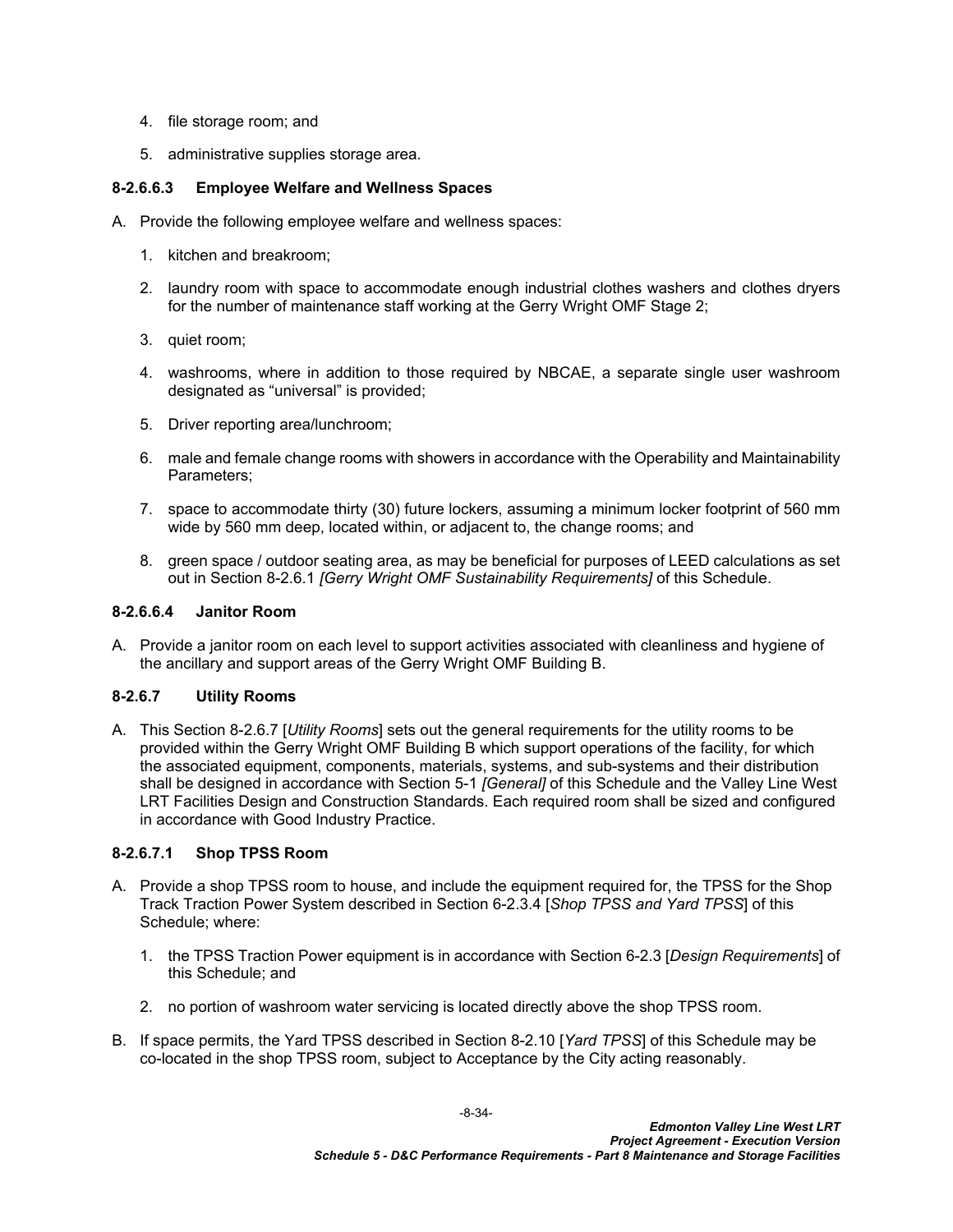- 4. file storage room; and
- 5. administrative supplies storage area.

## **8-2.6.6.3 Employee Welfare and Wellness Spaces**

- A. Provide the following employee welfare and wellness spaces:
	- 1. kitchen and breakroom;
	- 2. laundry room with space to accommodate enough industrial clothes washers and clothes dryers for the number of maintenance staff working at the Gerry Wright OMF Stage 2;
	- 3. quiet room;
	- 4. washrooms, where in addition to those required by NBCAE, a separate single user washroom designated as "universal" is provided;
	- 5. Driver reporting area/lunchroom;
	- 6. male and female change rooms with showers in accordance with the Operability and Maintainability Parameters;
	- 7. space to accommodate thirty (30) future lockers, assuming a minimum locker footprint of 560 mm wide by 560 mm deep, located within, or adjacent to, the change rooms; and
	- 8. green space / outdoor seating area, as may be beneficial for purposes of LEED calculations as set out in Section [8-2.6.1](#page-18-2) *[Gerry Wright OMF Sustainability Requirements]* of this Schedule.

#### **8-2.6.6.4 Janitor Room**

A. Provide a janitor room on each level to support activities associated with cleanliness and hygiene of the ancillary and support areas of the Gerry Wright OMF Building B.

## <span id="page-35-0"></span>**8-2.6.7 Utility Rooms**

A. This Section [8-2.6.7](#page-35-0) [*Utility Rooms*] sets out the general requirements for the utility rooms to be provided within the Gerry Wright OMF Building B which support operations of the facility, for which the associated equipment, components, materials, systems, and sub-systems and their distribution shall be designed in accordance with Section 5-1 *[General]* of this Schedule and the Valley Line West LRT Facilities Design and Construction Standards. Each required room shall be sized and configured in accordance with Good Industry Practice.

#### **8-2.6.7.1 Shop TPSS Room**

- A. Provide a shop TPSS room to house, and include the equipment required for, the TPSS for the Shop Track Traction Power System described in Section 6-2.3.4 [*Shop TPSS and Yard TPSS*] of this Schedule; where:
	- 1. the TPSS Traction Power equipment is in accordance with Section 6-2.3 [*Design Requirements*] of this Schedule; and
	- 2. no portion of washroom water servicing is located directly above the shop TPSS room.
- B. If space permits, the Yard TPSS described in Section [8-2.10](#page-38-0) [*Yard TPSS*] of this Schedule may be co-located in the shop TPSS room, subject to Acceptance by the City acting reasonably.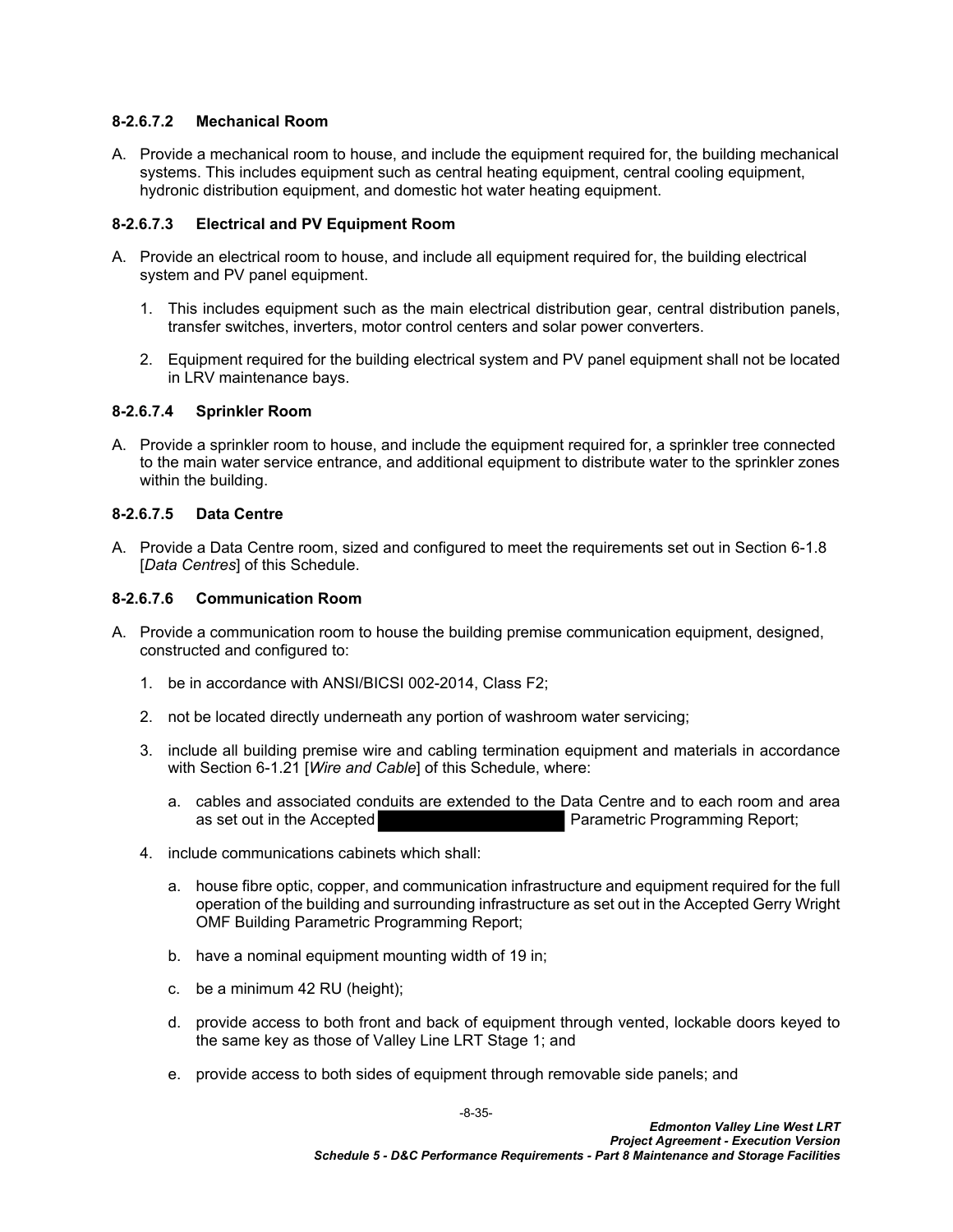### **8-2.6.7.2 Mechanical Room**

A. Provide a mechanical room to house, and include the equipment required for, the building mechanical systems. This includes equipment such as central heating equipment, central cooling equipment, hydronic distribution equipment, and domestic hot water heating equipment.

## **8-2.6.7.3 Electrical and PV Equipment Room**

- A. Provide an electrical room to house, and include all equipment required for, the building electrical system and PV panel equipment.
	- 1. This includes equipment such as the main electrical distribution gear, central distribution panels, transfer switches, inverters, motor control centers and solar power converters.
	- 2. Equipment required for the building electrical system and PV panel equipment shall not be located in LRV maintenance bays.

#### **8-2.6.7.4 Sprinkler Room**

A. Provide a sprinkler room to house, and include the equipment required for, a sprinkler tree connected to the main water service entrance, and additional equipment to distribute water to the sprinkler zones within the building.

## **8-2.6.7.5 Data Centre**

A. Provide a Data Centre room, sized and configured to meet the requirements set out in Section 6-1.8 [*Data Centres*] of this Schedule.

## **8-2.6.7.6 Communication Room**

- A. Provide a communication room to house the building premise communication equipment, designed, constructed and configured to:
	- 1. be in accordance with ANSI/BICSI 002-2014, Class F2;
	- 2. not be located directly underneath any portion of washroom water servicing;
	- 3. include all building premise wire and cabling termination equipment and materials in accordance with Section 6-1.21 [*Wire and Cable*] of this Schedule, where:
		- a. cables and associated conduits are extended to the Data Centre and to each room and area as set out in the Accepted Parametric Programming Report;
	- 4. include communications cabinets which shall:
		- a. house fibre optic, copper, and communication infrastructure and equipment required for the full operation of the building and surrounding infrastructure as set out in the Accepted Gerry Wright OMF Building Parametric Programming Report;
		- b. have a nominal equipment mounting width of 19 in;
		- c. be a minimum 42 RU (height);
		- d. provide access to both front and back of equipment through vented, lockable doors keyed to the same key as those of Valley Line LRT Stage 1; and
		- e. provide access to both sides of equipment through removable side panels; and

-8-35-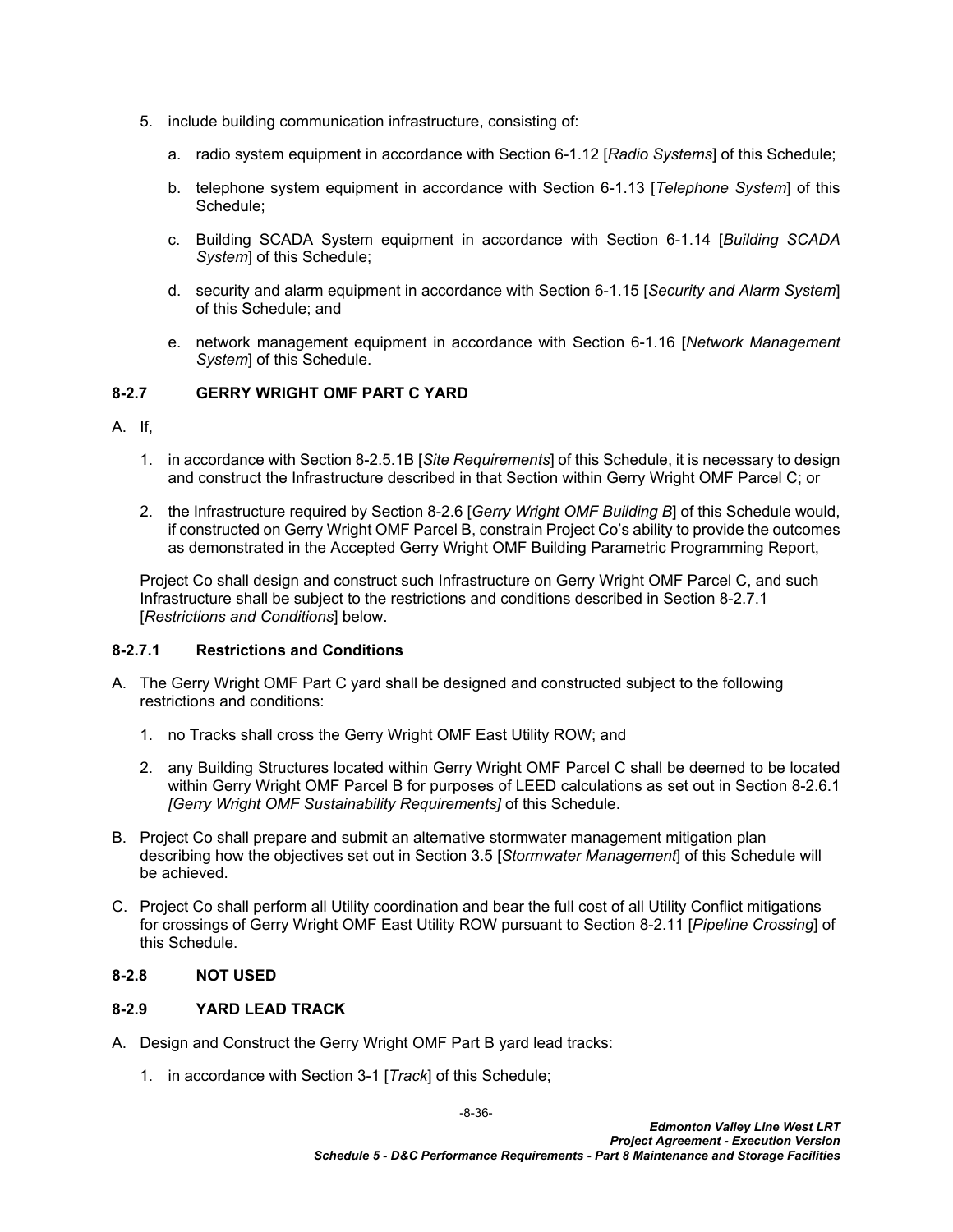- 5. include building communication infrastructure, consisting of:
	- a. radio system equipment in accordance with Section 6-1.12 [*Radio Systems*] of this Schedule;
	- b. telephone system equipment in accordance with Section 6-1.13 [*Telephone System*] of this Schedule;
	- c. Building SCADA System equipment in accordance with Section 6-1.14 [*Building SCADA System*] of this Schedule;
	- d. security and alarm equipment in accordance with Section 6-1.15 [*Security and Alarm System*] of this Schedule; and
	- e. network management equipment in accordance with Section 6-1.16 [*Network Management System*] of this Schedule.

## <span id="page-37-0"></span>**8-2.7 GERRY WRIGHT OMF PART C YARD**

- A. If,
	- 1. in accordance with Section [8-2.5.1](#page-14-2)[B](#page-14-4) [*Site Requirements*] of this Schedule, it is necessary to design and construct the Infrastructure described in that Section within Gerry Wright OMF Parcel C; or
	- 2. the Infrastructure required by Section [8-2.6](#page-17-0) [*Gerry Wright OMF Building B*] of this Schedule would, if constructed on Gerry Wright OMF Parcel B, constrain Project Co's ability to provide the outcomes as demonstrated in the Accepted Gerry Wright OMF Building Parametric Programming Report,

Project Co shall design and construct such Infrastructure on Gerry Wright OMF Parcel C, and such Infrastructure shall be subject to the restrictions and conditions described in Section [8-2.7.1](#page-37-3)  [*Restrictions and Conditions*] below.

## <span id="page-37-3"></span>**8-2.7.1 Restrictions and Conditions**

- A. The Gerry Wright OMF Part C yard shall be designed and constructed subject to the following restrictions and conditions:
	- 1. no Tracks shall cross the Gerry Wright OMF East Utility ROW; and
	- 2. any Building Structures located within Gerry Wright OMF Parcel C shall be deemed to be located within Gerry Wright OMF Parcel B for purposes of LEED calculations as set out in Section [8-2.6.1](#page-18-2)  *[Gerry Wright OMF Sustainability Requirements]* of this Schedule.
- B. Project Co shall prepare and submit an alternative stormwater management mitigation plan describing how the objectives set out in Section 3.5 [*Stormwater Management*] of this Schedule will be achieved.
- C. Project Co shall perform all Utility coordination and bear the full cost of all Utility Conflict mitigations for crossings of Gerry Wright OMF East Utility ROW pursuant to Section [8-2.11](#page-38-1) [*Pipeline Crossing*] of this Schedule.

## <span id="page-37-1"></span>**8-2.8 NOT USED**

## <span id="page-37-2"></span>**8-2.9 YARD LEAD TRACK**

- A. Design and Construct the Gerry Wright OMF Part B yard lead tracks:
	- 1. in accordance with Section 3-1 [*Track*] of this Schedule;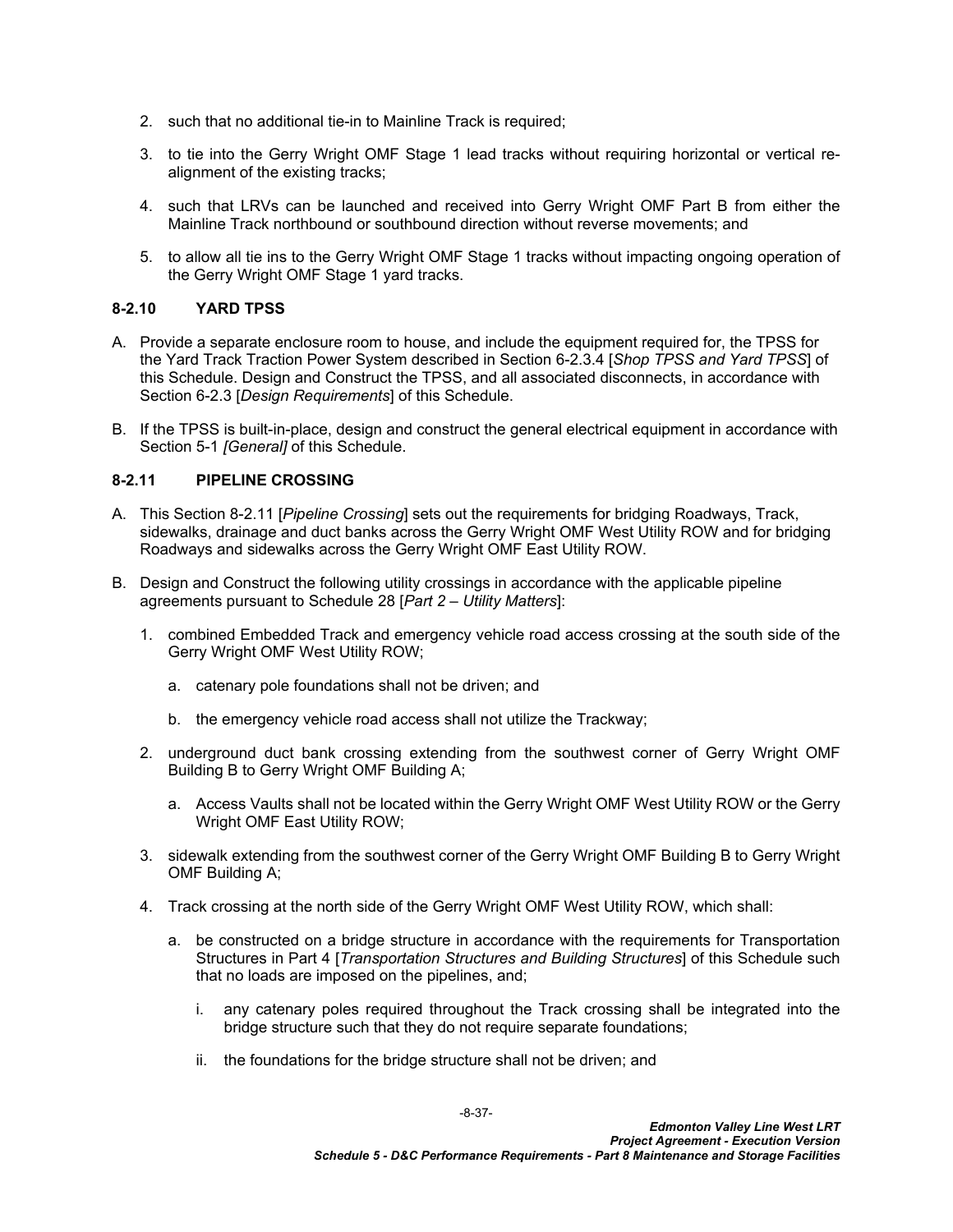- 2. such that no additional tie-in to Mainline Track is required;
- 3. to tie into the Gerry Wright OMF Stage 1 lead tracks without requiring horizontal or vertical realignment of the existing tracks;
- 4. such that LRVs can be launched and received into Gerry Wright OMF Part B from either the Mainline Track northbound or southbound direction without reverse movements; and
- 5. to allow all tie ins to the Gerry Wright OMF Stage 1 tracks without impacting ongoing operation of the Gerry Wright OMF Stage 1 yard tracks.

## <span id="page-38-0"></span>**8-2.10 YARD TPSS**

- A. Provide a separate enclosure room to house, and include the equipment required for, the TPSS for the Yard Track Traction Power System described in Section 6-2.3.4 [*Shop TPSS and Yard TPSS*] of this Schedule. Design and Construct the TPSS, and all associated disconnects, in accordance with Section 6-2.3 [*Design Requirements*] of this Schedule.
- B. If the TPSS is built-in-place, design and construct the general electrical equipment in accordance with Section 5-1 *[General]* of this Schedule.

## <span id="page-38-1"></span>**8-2.11 PIPELINE CROSSING**

- A. This Section [8-2.11](#page-38-1) [*Pipeline Crossing*] sets out the requirements for bridging Roadways, Track, sidewalks, drainage and duct banks across the Gerry Wright OMF West Utility ROW and for bridging Roadways and sidewalks across the Gerry Wright OMF East Utility ROW.
- B. Design and Construct the following utility crossings in accordance with the applicable pipeline agreements pursuant to Schedule 28 [*Part 2 – Utility Matters*]:
	- 1. combined Embedded Track and emergency vehicle road access crossing at the south side of the Gerry Wright OMF West Utility ROW;
		- a. catenary pole foundations shall not be driven; and
		- b. the emergency vehicle road access shall not utilize the Trackway;
	- 2. underground duct bank crossing extending from the southwest corner of Gerry Wright OMF Building B to Gerry Wright OMF Building A;
		- a. Access Vaults shall not be located within the Gerry Wright OMF West Utility ROW or the Gerry Wright OMF East Utility ROW;
	- 3. sidewalk extending from the southwest corner of the Gerry Wright OMF Building B to Gerry Wright OMF Building A;
	- 4. Track crossing at the north side of the Gerry Wright OMF West Utility ROW, which shall:
		- a. be constructed on a bridge structure in accordance with the requirements for Transportation Structures in Part 4 [*Transportation Structures and Building Structures*] of this Schedule such that no loads are imposed on the pipelines, and;
			- i. any catenary poles required throughout the Track crossing shall be integrated into the bridge structure such that they do not require separate foundations;
			- ii. the foundations for the bridge structure shall not be driven; and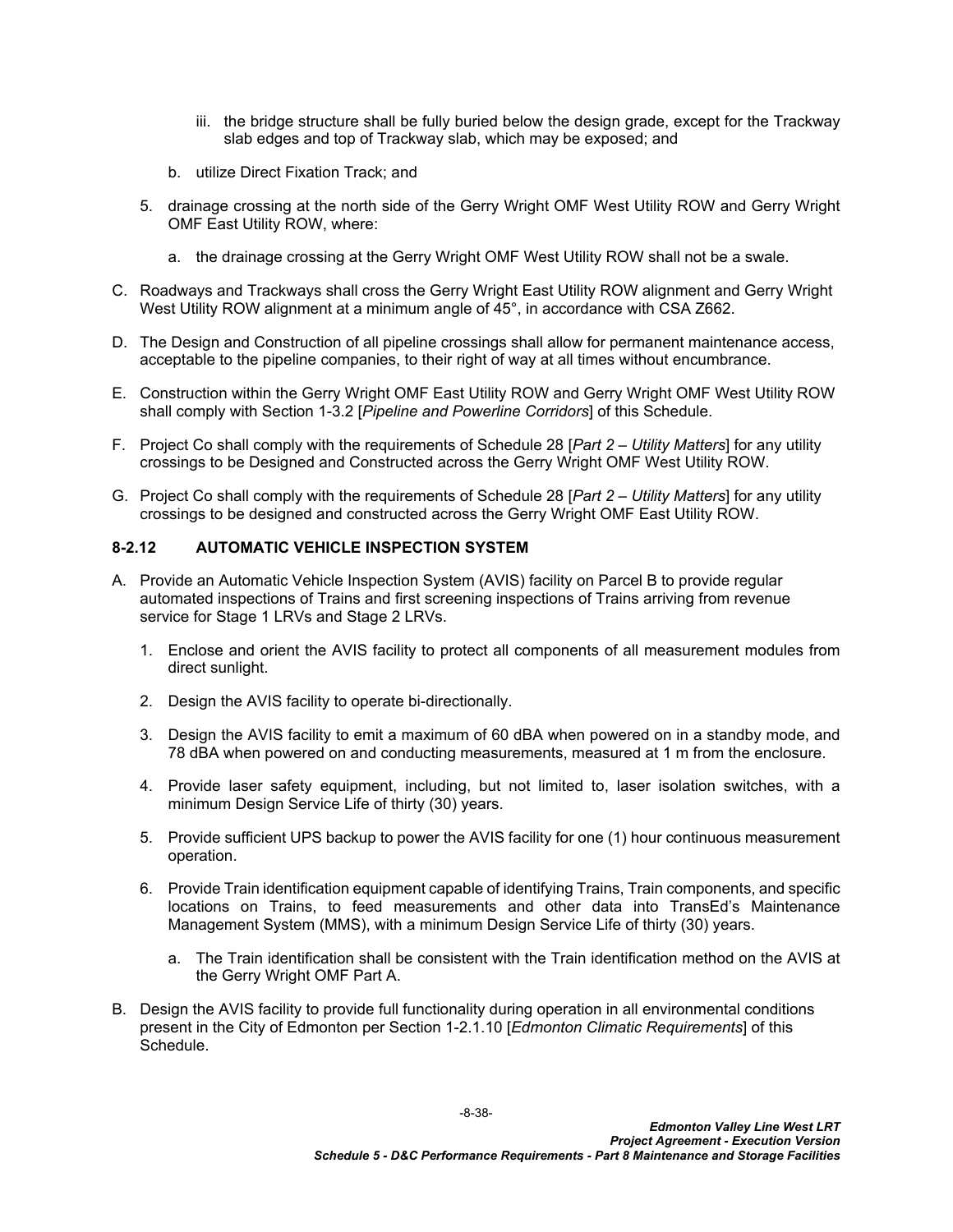- iii. the bridge structure shall be fully buried below the design grade, except for the Trackway slab edges and top of Trackway slab, which may be exposed; and
- b. utilize Direct Fixation Track; and
- 5. drainage crossing at the north side of the Gerry Wright OMF West Utility ROW and Gerry Wright OMF East Utility ROW, where:
	- a. the drainage crossing at the Gerry Wright OMF West Utility ROW shall not be a swale.
- C. Roadways and Trackways shall cross the Gerry Wright East Utility ROW alignment and Gerry Wright West Utility ROW alignment at a minimum angle of 45°, in accordance with CSA Z662.
- D. The Design and Construction of all pipeline crossings shall allow for permanent maintenance access, acceptable to the pipeline companies, to their right of way at all times without encumbrance.
- E. Construction within the Gerry Wright OMF East Utility ROW and Gerry Wright OMF West Utility ROW shall comply with Section 1-3.2 [*Pipeline and Powerline Corridors*] of this Schedule.
- F. Project Co shall comply with the requirements of Schedule 28 [*Part 2 Utility Matters*] for any utility crossings to be Designed and Constructed across the Gerry Wright OMF West Utility ROW.
- G. Project Co shall comply with the requirements of Schedule 28 [*Part 2 Utility Matters*] for any utility crossings to be designed and constructed across the Gerry Wright OMF East Utility ROW.

## <span id="page-39-0"></span>**8-2.12 AUTOMATIC VEHICLE INSPECTION SYSTEM**

- A. Provide an Automatic Vehicle Inspection System (AVIS) facility on Parcel B to provide regular automated inspections of Trains and first screening inspections of Trains arriving from revenue service for Stage 1 LRVs and Stage 2 LRVs.
	- 1. Enclose and orient the AVIS facility to protect all components of all measurement modules from direct sunlight.
	- 2. Design the AVIS facility to operate bi-directionally.
	- 3. Design the AVIS facility to emit a maximum of 60 dBA when powered on in a standby mode, and 78 dBA when powered on and conducting measurements, measured at 1 m from the enclosure.
	- 4. Provide laser safety equipment, including, but not limited to, laser isolation switches, with a minimum Design Service Life of thirty (30) years.
	- 5. Provide sufficient UPS backup to power the AVIS facility for one (1) hour continuous measurement operation.
	- 6. Provide Train identification equipment capable of identifying Trains, Train components, and specific locations on Trains, to feed measurements and other data into TransEd's Maintenance Management System (MMS), with a minimum Design Service Life of thirty (30) years.
		- a. The Train identification shall be consistent with the Train identification method on the AVIS at the Gerry Wright OMF Part A.
- B. Design the AVIS facility to provide full functionality during operation in all environmental conditions present in the City of Edmonton per Section 1-2.1.10 [*Edmonton Climatic Requirements*] of this **Schedule**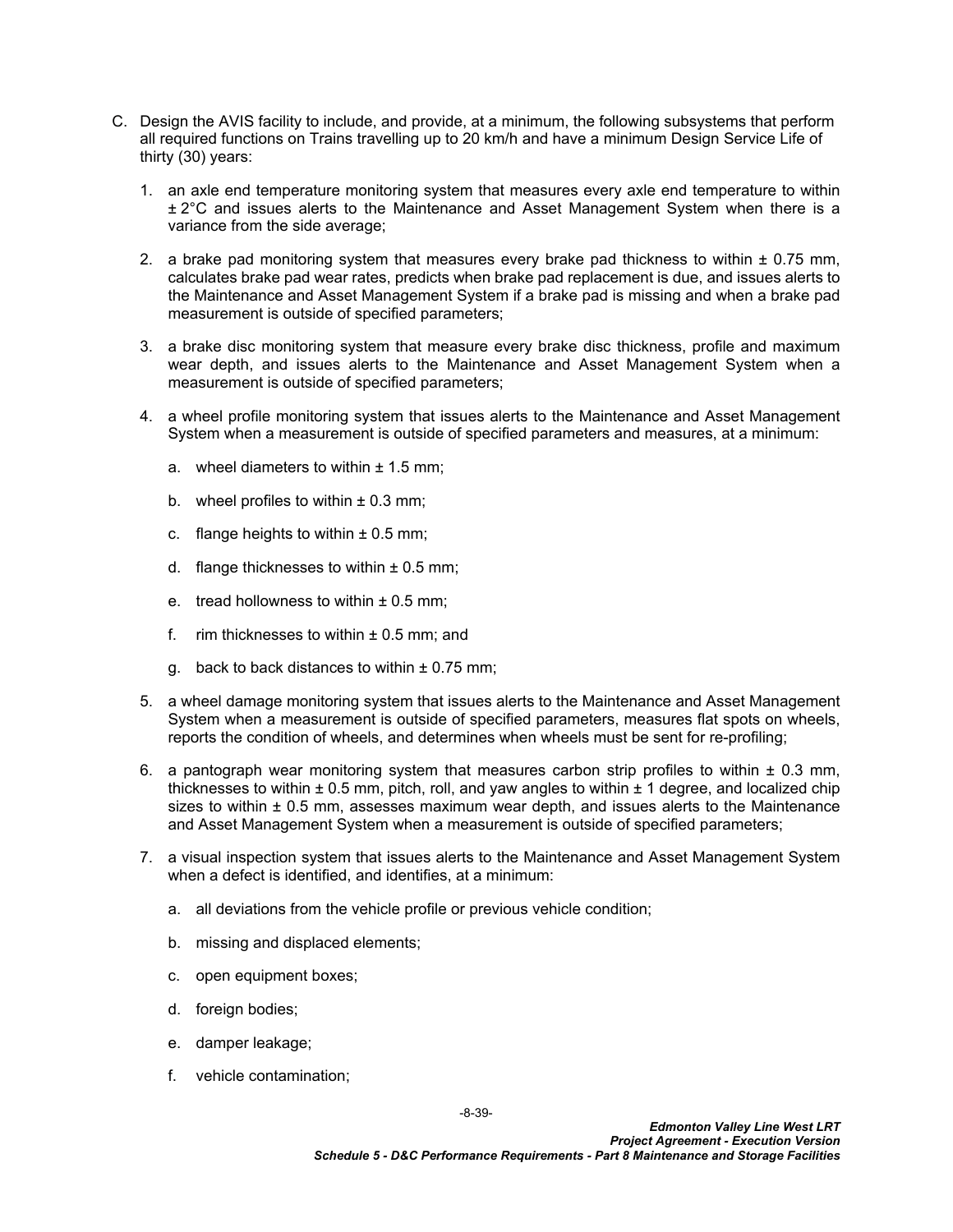- C. Design the AVIS facility to include, and provide, at a minimum, the following subsystems that perform all required functions on Trains travelling up to 20 km/h and have a minimum Design Service Life of thirty (30) years:
	- 1. an axle end temperature monitoring system that measures every axle end temperature to within ± 2°C and issues alerts to the Maintenance and Asset Management System when there is a variance from the side average;
	- 2. a brake pad monitoring system that measures every brake pad thickness to within  $\pm$  0.75 mm, calculates brake pad wear rates, predicts when brake pad replacement is due, and issues alerts to the Maintenance and Asset Management System if a brake pad is missing and when a brake pad measurement is outside of specified parameters;
	- 3. a brake disc monitoring system that measure every brake disc thickness, profile and maximum wear depth, and issues alerts to the Maintenance and Asset Management System when a measurement is outside of specified parameters;
	- 4. a wheel profile monitoring system that issues alerts to the Maintenance and Asset Management System when a measurement is outside of specified parameters and measures, at a minimum:
		- a. wheel diameters to within  $\pm$  1.5 mm;
		- b. wheel profiles to within  $\pm$  0.3 mm;
		- c. flange heights to within  $\pm$  0.5 mm;
		- d. flange thicknesses to within  $\pm$  0.5 mm;
		- e. tread hollowness to within  $\pm$  0.5 mm;
		- f. rim thicknesses to within  $\pm$  0.5 mm; and
		- g. back to back distances to within  $\pm$  0.75 mm;
	- 5. a wheel damage monitoring system that issues alerts to the Maintenance and Asset Management System when a measurement is outside of specified parameters, measures flat spots on wheels, reports the condition of wheels, and determines when wheels must be sent for re-profiling;
	- 6. a pantograph wear monitoring system that measures carbon strip profiles to within  $\pm$  0.3 mm, thicknesses to within  $\pm$  0.5 mm, pitch, roll, and yaw angles to within  $\pm$  1 degree, and localized chip sizes to within  $\pm$  0.5 mm, assesses maximum wear depth, and issues alerts to the Maintenance and Asset Management System when a measurement is outside of specified parameters;
	- 7. a visual inspection system that issues alerts to the Maintenance and Asset Management System when a defect is identified, and identifies, at a minimum:
		- a. all deviations from the vehicle profile or previous vehicle condition;
		- b. missing and displaced elements;
		- c. open equipment boxes;
		- d. foreign bodies;
		- e. damper leakage;
		- f. vehicle contamination;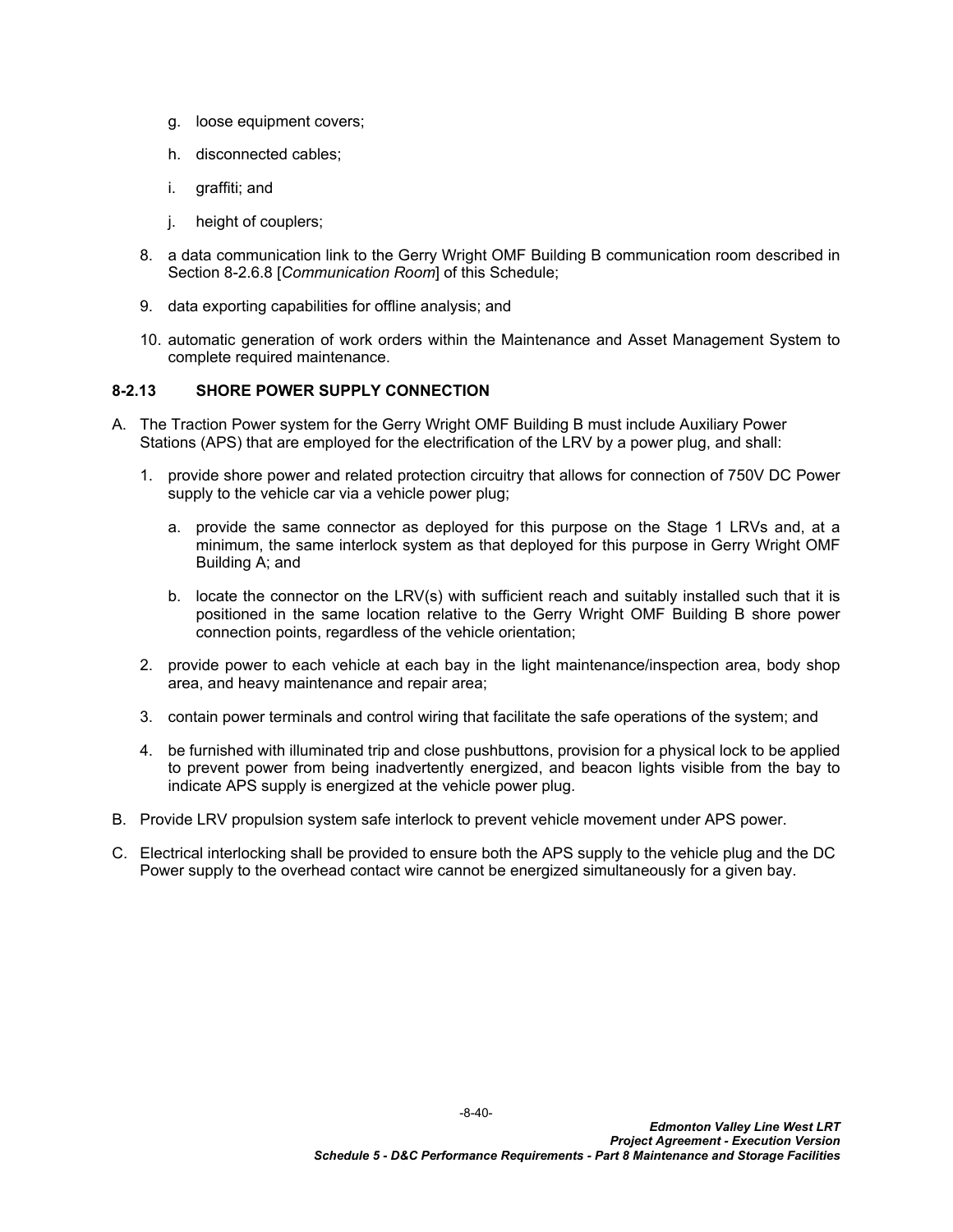- g. loose equipment covers;
- h. disconnected cables;
- i. graffiti; and
- j. height of couplers;
- 8. a data communication link to the Gerry Wright OMF Building B communication room described in Section 8-2.6.8 [*Communication Room*] of this Schedule;
- 9. data exporting capabilities for offline analysis; and
- 10. automatic generation of work orders within the Maintenance and Asset Management System to complete required maintenance.

## <span id="page-41-0"></span>**8-2.13 SHORE POWER SUPPLY CONNECTION**

- A. The Traction Power system for the Gerry Wright OMF Building B must include Auxiliary Power Stations (APS) that are employed for the electrification of the LRV by a power plug, and shall:
	- 1. provide shore power and related protection circuitry that allows for connection of 750V DC Power supply to the vehicle car via a vehicle power plug;
		- a. provide the same connector as deployed for this purpose on the Stage 1 LRVs and, at a minimum, the same interlock system as that deployed for this purpose in Gerry Wright OMF Building A; and
		- b. locate the connector on the LRV(s) with sufficient reach and suitably installed such that it is positioned in the same location relative to the Gerry Wright OMF Building B shore power connection points, regardless of the vehicle orientation;
	- 2. provide power to each vehicle at each bay in the light maintenance/inspection area, body shop area, and heavy maintenance and repair area;
	- 3. contain power terminals and control wiring that facilitate the safe operations of the system; and
	- 4. be furnished with illuminated trip and close pushbuttons, provision for a physical lock to be applied to prevent power from being inadvertently energized, and beacon lights visible from the bay to indicate APS supply is energized at the vehicle power plug.
- B. Provide LRV propulsion system safe interlock to prevent vehicle movement under APS power.
- C. Electrical interlocking shall be provided to ensure both the APS supply to the vehicle plug and the DC Power supply to the overhead contact wire cannot be energized simultaneously for a given bay.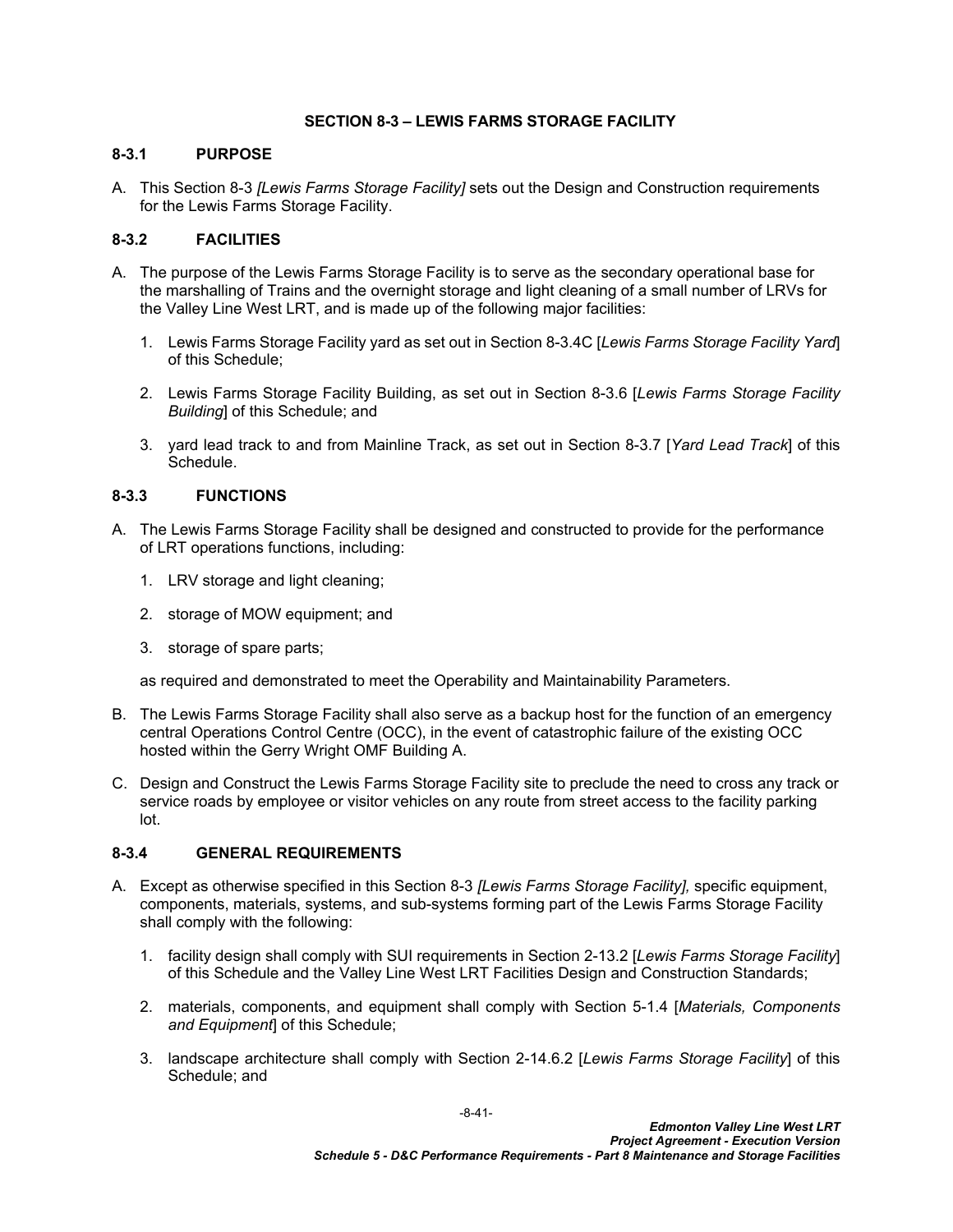## <span id="page-42-5"></span><span id="page-42-0"></span>**SECTION 8-3 – LEWIS FARMS STORAGE FACILITY**

## <span id="page-42-1"></span>**8-3.1 PURPOSE**

A. This [Section 8-3](#page-42-5) *[Lewis Farms Storage Facility]* sets out the Design and Construction requirements for the Lewis Farms Storage Facility.

## <span id="page-42-2"></span>**8-3.2 FACILITIES**

- A. The purpose of the Lewis Farms Storage Facility is to serve as the secondary operational base for the marshalling of Trains and the overnight storage and light cleaning of a small number of LRVs for the Valley Line West LRT, and is made up of the following major facilities:
	- 1. Lewis Farms Storage Facility yard as set out in Section [8-3.4C](#page-43-2) [*Lewis Farms Storage Facility Yard*] of this Schedule;
	- 2. Lewis Farms Storage Facility Building, as set out in Section [8-3.6](#page-46-0) [*Lewis Farms Storage Facility Building*] of this Schedule; and
	- 3. yard lead track to and from Mainline Track, as set out in Section [8-3.7](#page-54-0) [*Yard Lead Track*] of this Schedule.

## <span id="page-42-3"></span>**8-3.3 FUNCTIONS**

- A. The Lewis Farms Storage Facility shall be designed and constructed to provide for the performance of LRT operations functions, including:
	- 1. LRV storage and light cleaning;
	- 2. storage of MOW equipment; and
	- 3. storage of spare parts;

as required and demonstrated to meet the Operability and Maintainability Parameters.

- B. The Lewis Farms Storage Facility shall also serve as a backup host for the function of an emergency central Operations Control Centre (OCC), in the event of catastrophic failure of the existing OCC hosted within the Gerry Wright OMF Building A.
- C. Design and Construct the Lewis Farms Storage Facility site to preclude the need to cross any track or service roads by employee or visitor vehicles on any route from street access to the facility parking lot.

#### <span id="page-42-4"></span>**8-3.4 GENERAL REQUIREMENTS**

- A. Except as otherwise specified in this [Section 8-3](#page-42-5) *[Lewis Farms Storage Facility],* specific equipment, components, materials, systems, and sub-systems forming part of the Lewis Farms Storage Facility shall comply with the following:
	- 1. facility design shall comply with SUI requirements in Section 2-13.2 [*Lewis Farms Storage Facility*] of this Schedule and the Valley Line West LRT Facilities Design and Construction Standards;
	- 2. materials, components, and equipment shall comply with Section 5-1.4 [*Materials, Components and Equipment*] of this Schedule;
	- 3. landscape architecture shall comply with Section 2-14.6.2 [*Lewis Farms Storage Facility*] of this Schedule; and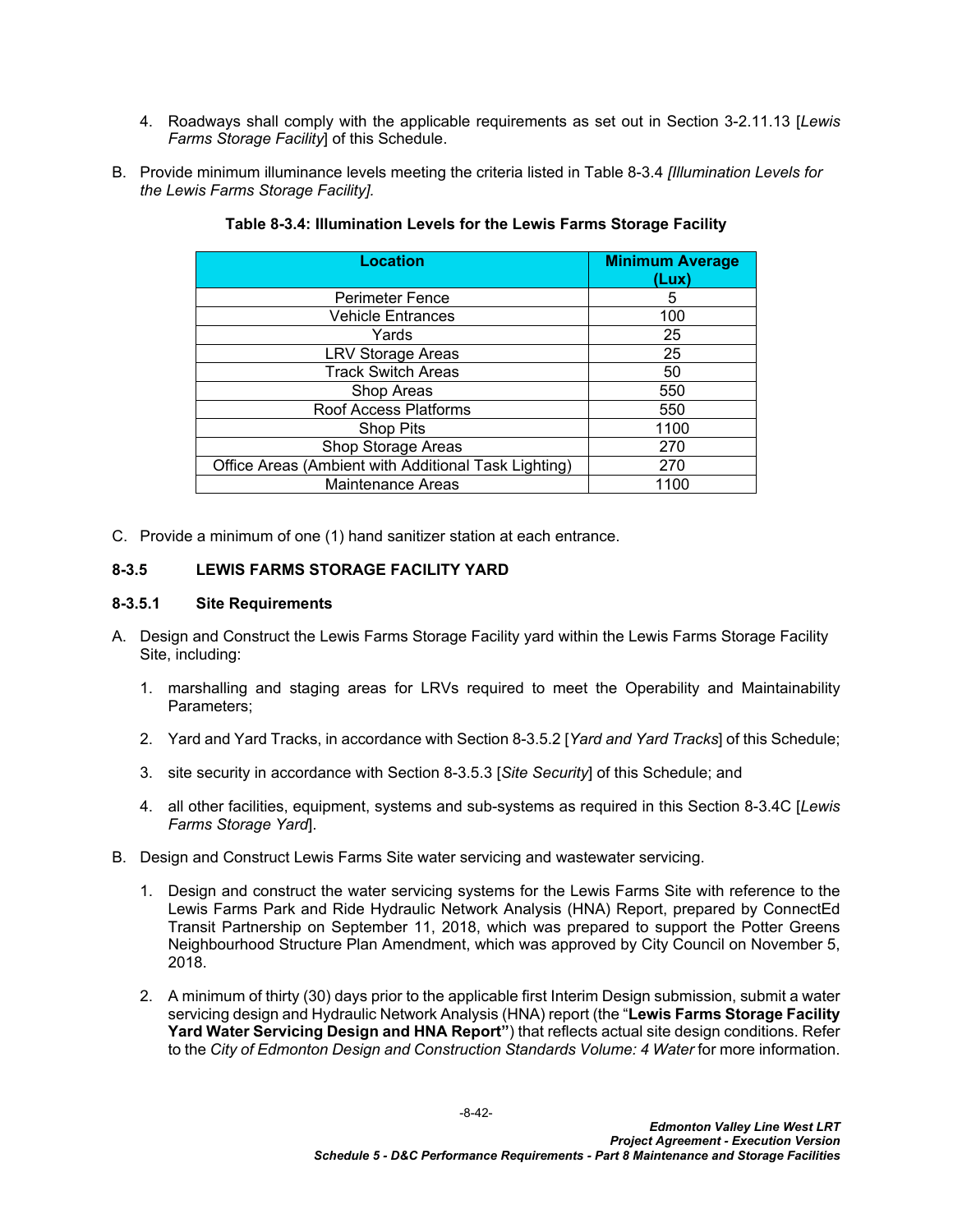- 4. Roadways shall comply with the applicable requirements as set out in Section 3-2.11.13 [*Lewis Farms Storage Facility*] of this Schedule.
- B. Provide minimum illuminance levels meeting the criteria listed in Table 8-3.4 *[Illumination Levels for the Lewis Farms Storage Facility].*

| <b>Location</b>                                      | <b>Minimum Average</b><br>(Lux) |
|------------------------------------------------------|---------------------------------|
| <b>Perimeter Fence</b>                               | 5                               |
| <b>Vehicle Entrances</b>                             | 100                             |
| Yards                                                | 25                              |
| <b>LRV Storage Areas</b>                             | 25                              |
| <b>Track Switch Areas</b>                            | 50                              |
| Shop Areas                                           | 550                             |
| Roof Access Platforms                                | 550                             |
| Shop Pits                                            | 1100                            |
| Shop Storage Areas                                   | 270                             |
| Office Areas (Ambient with Additional Task Lighting) | 270                             |
| <b>Maintenance Areas</b>                             | 1100                            |

### <span id="page-43-1"></span>**Table 8-3.4: Illumination Levels for the Lewis Farms Storage Facility**

<span id="page-43-2"></span>C. Provide a minimum of one (1) hand sanitizer station at each entrance.

## <span id="page-43-0"></span>**8-3.5 LEWIS FARMS STORAGE FACILITY YARD**

#### **8-3.5.1 Site Requirements**

- A. Design and Construct the Lewis Farms Storage Facility yard within the Lewis Farms Storage Facility Site, including:
	- 1. marshalling and staging areas for LRVs required to meet the Operability and Maintainability Parameters;
	- 2. Yard and Yard Tracks, in accordance with Section [8-3.5.2](#page-44-0) [*Yard and Yard Tracks*] of this Schedule;
	- 3. site security in accordance with Section [8-3.5.3](#page-44-1) [*Site Security*] of this Schedule; and
	- 4. all other facilities, equipment, systems and sub-systems as required in this Section [8-3.4C](#page-43-2) [*Lewis Farms Storage Yard*].
- B. Design and Construct Lewis Farms Site water servicing and wastewater servicing.
	- 1. Design and construct the water servicing systems for the Lewis Farms Site with reference to the Lewis Farms Park and Ride Hydraulic Network Analysis (HNA) Report, prepared by ConnectEd Transit Partnership on September 11, 2018, which was prepared to support the Potter Greens Neighbourhood Structure Plan Amendment, which was approved by City Council on November 5, 2018.
	- 2. A minimum of thirty (30) days prior to the applicable first Interim Design submission, submit a water servicing design and Hydraulic Network Analysis (HNA) report (the "**Lewis Farms Storage Facility Yard Water Servicing Design and HNA Report"**) that reflects actual site design conditions. Refer to the *City of Edmonton Design and Construction Standards Volume: 4 Water* for more information.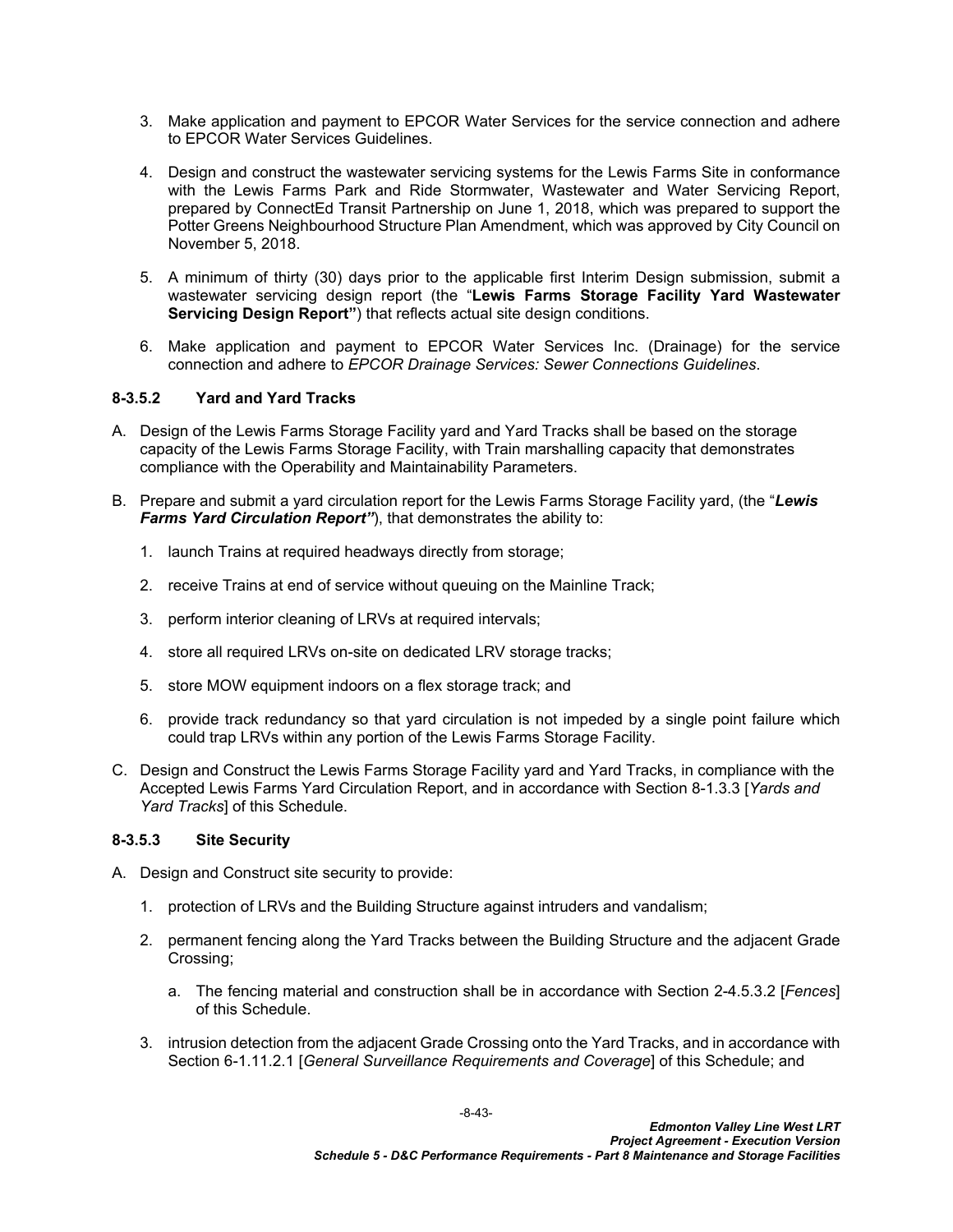- 3. Make application and payment to EPCOR Water Services for the service connection and adhere to EPCOR Water Services Guidelines.
- 4. Design and construct the wastewater servicing systems for the Lewis Farms Site in conformance with the Lewis Farms Park and Ride Stormwater, Wastewater and Water Servicing Report, prepared by ConnectEd Transit Partnership on June 1, 2018, which was prepared to support the Potter Greens Neighbourhood Structure Plan Amendment, which was approved by City Council on November 5, 2018.
- 5. A minimum of thirty (30) days prior to the applicable first Interim Design submission, submit a wastewater servicing design report (the "**Lewis Farms Storage Facility Yard Wastewater Servicing Design Report"**) that reflects actual site design conditions.
- 6. Make application and payment to EPCOR Water Services Inc. (Drainage) for the service connection and adhere to *EPCOR Drainage Services: Sewer Connections Guidelines*.

## <span id="page-44-0"></span>**8-3.5.2 Yard and Yard Tracks**

- A. Design of the Lewis Farms Storage Facility yard and Yard Tracks shall be based on the storage capacity of the Lewis Farms Storage Facility, with Train marshalling capacity that demonstrates compliance with the Operability and Maintainability Parameters.
- B. Prepare and submit a yard circulation report for the Lewis Farms Storage Facility yard, (the "*Lewis Farms Yard Circulation Report"*), that demonstrates the ability to:
	- 1. launch Trains at required headways directly from storage;
	- 2. receive Trains at end of service without queuing on the Mainline Track;
	- 3. perform interior cleaning of LRVs at required intervals;
	- 4. store all required LRVs on-site on dedicated LRV storage tracks;
	- 5. store MOW equipment indoors on a flex storage track; and
	- 6. provide track redundancy so that yard circulation is not impeded by a single point failure which could trap LRVs within any portion of the Lewis Farms Storage Facility.
- C. Design and Construct the Lewis Farms Storage Facility yard and Yard Tracks, in compliance with the Accepted Lewis Farms Yard Circulation Report, and in accordance with Section [8-1.3.3](#page-6-0) [*Yards and Yard Tracks*] of this Schedule.

#### <span id="page-44-1"></span>**8-3.5.3 Site Security**

- A. Design and Construct site security to provide:
	- 1. protection of LRVs and the Building Structure against intruders and vandalism;
	- 2. permanent fencing along the Yard Tracks between the Building Structure and the adjacent Grade Crossing;
		- a. The fencing material and construction shall be in accordance with Section 2-4.5.3.2 [*Fences*] of this Schedule.
	- 3. intrusion detection from the adjacent Grade Crossing onto the Yard Tracks, and in accordance with Section 6-1.11.2.1 [*General Surveillance Requirements and Coverage*] of this Schedule; and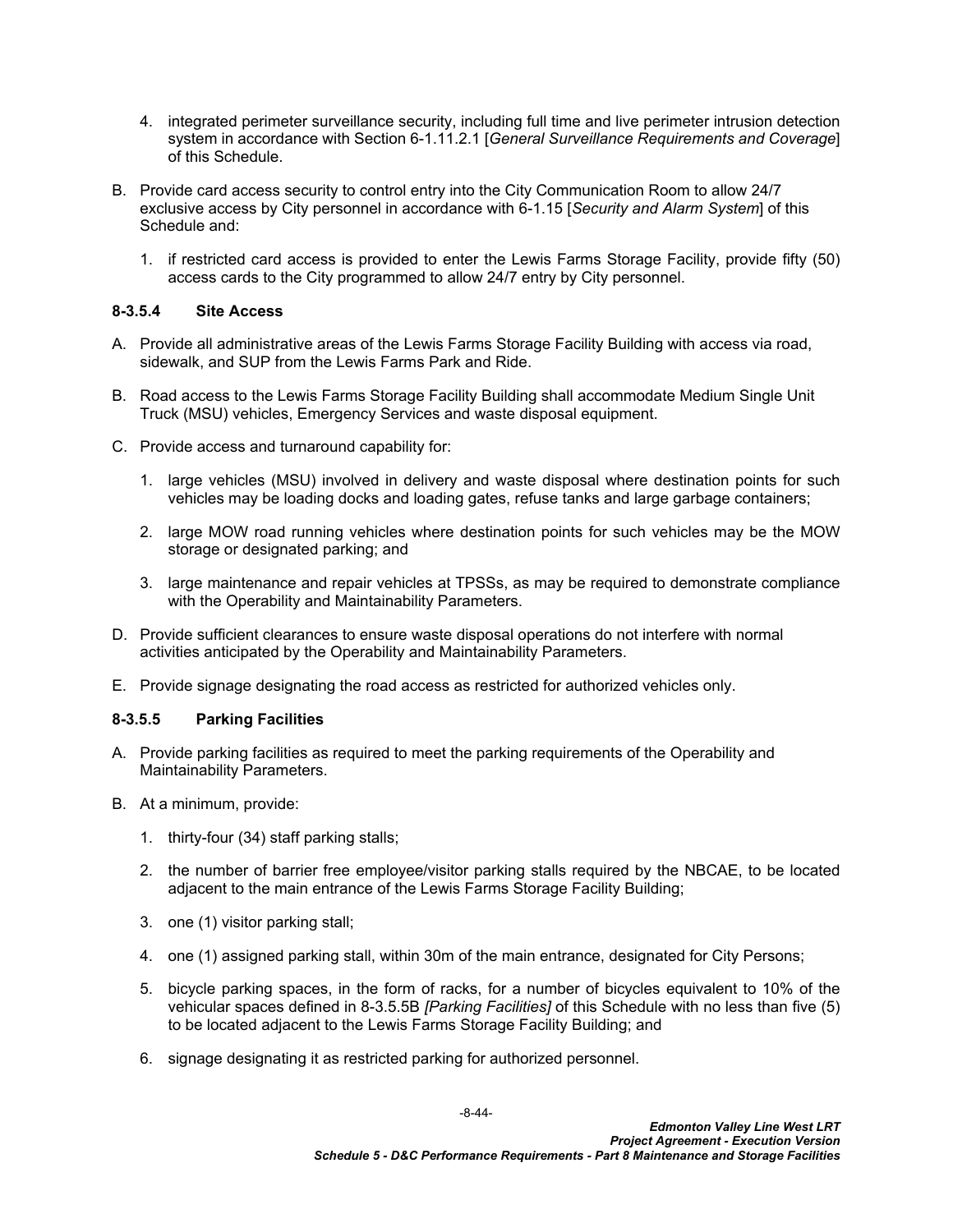- 4. integrated perimeter surveillance security, including full time and live perimeter intrusion detection system in accordance with Section 6-1.11.2.1 [*General Surveillance Requirements and Coverage*] of this Schedule.
- B. Provide card access security to control entry into the City Communication Room to allow 24/7 exclusive access by City personnel in accordance with 6-1.15 [*Security and Alarm System*] of this Schedule and:
	- 1. if restricted card access is provided to enter the Lewis Farms Storage Facility, provide fifty (50) access cards to the City programmed to allow 24/7 entry by City personnel.

## <span id="page-45-0"></span>**8-3.5.4 Site Access**

- A. Provide all administrative areas of the Lewis Farms Storage Facility Building with access via road, sidewalk, and SUP from the Lewis Farms Park and Ride.
- B. Road access to the Lewis Farms Storage Facility Building shall accommodate Medium Single Unit Truck (MSU) vehicles, Emergency Services and waste disposal equipment.
- C. Provide access and turnaround capability for:
	- 1. large vehicles (MSU) involved in delivery and waste disposal where destination points for such vehicles may be loading docks and loading gates, refuse tanks and large garbage containers;
	- 2. large MOW road running vehicles where destination points for such vehicles may be the MOW storage or designated parking; and
	- 3. large maintenance and repair vehicles at TPSSs, as may be required to demonstrate compliance with the Operability and Maintainability Parameters.
- D. Provide sufficient clearances to ensure waste disposal operations do not interfere with normal activities anticipated by the Operability and Maintainability Parameters.
- E. Provide signage designating the road access as restricted for authorized vehicles only.

#### <span id="page-45-1"></span>**8-3.5.5 Parking Facilities**

- A. Provide parking facilities as required to meet the parking requirements of the Operability and Maintainability Parameters.
- B. At a minimum, provide:
	- 1. thirty-four (34) staff parking stalls;
	- 2. the number of barrier free employee/visitor parking stalls required by the NBCAE, to be located adjacent to the main entrance of the Lewis Farms Storage Facility Building;
	- 3. one (1) visitor parking stall;
	- 4. one (1) assigned parking stall, within 30m of the main entrance, designated for City Persons;
	- 5. bicycle parking spaces, in the form of racks, for a number of bicycles equivalent to 10% of the vehicular spaces defined in 8-3.5.5B *[Parking Facilities]* of this Schedule with no less than five (5) to be located adjacent to the Lewis Farms Storage Facility Building; and
	- 6. signage designating it as restricted parking for authorized personnel.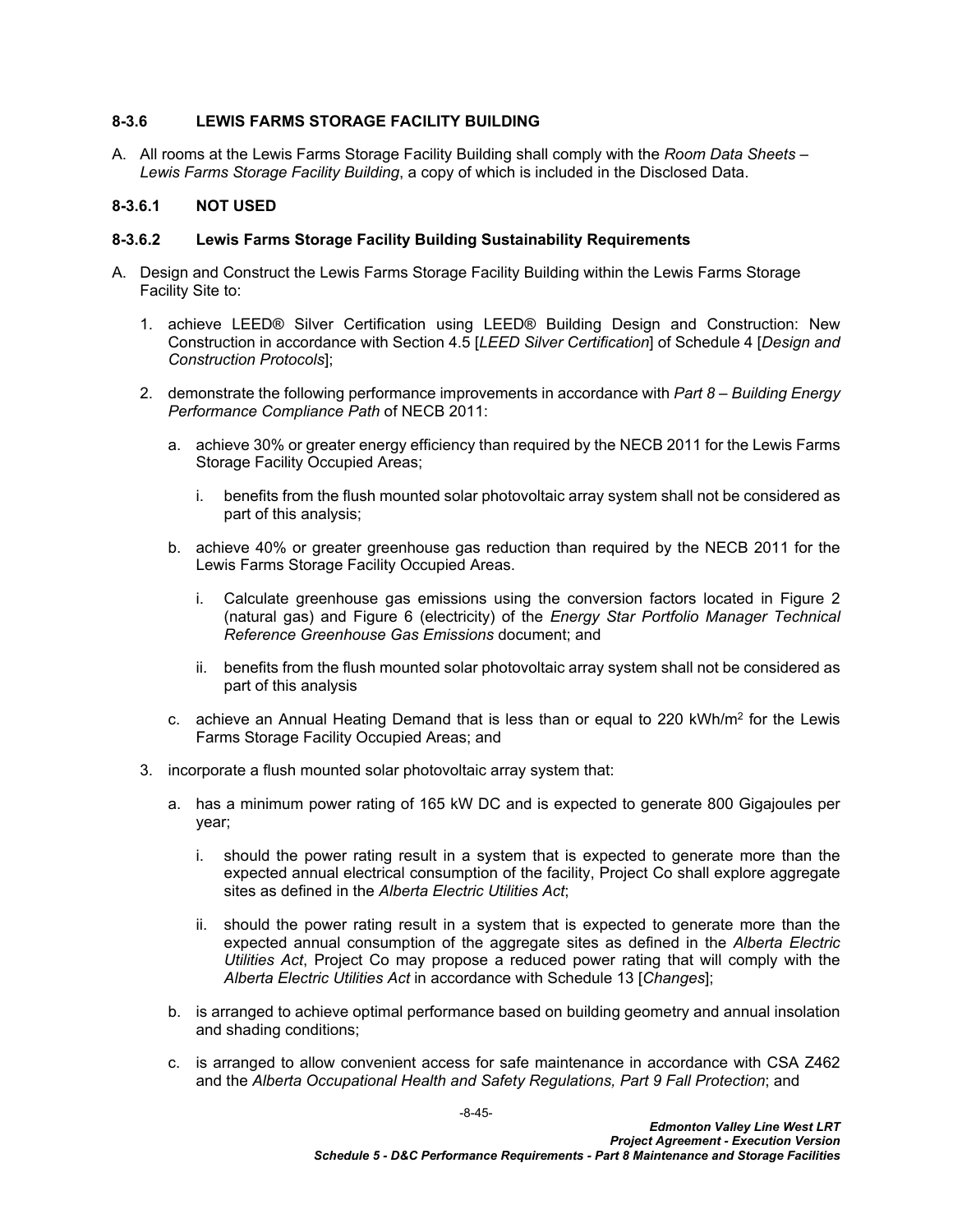## <span id="page-46-0"></span>**8-3.6 LEWIS FARMS STORAGE FACILITY BUILDING**

A. All rooms at the Lewis Farms Storage Facility Building shall comply with the *Room Data Sheets – Lewis Farms Storage Facility Building*, a copy of which is included in the Disclosed Data.

## <span id="page-46-1"></span>**8-3.6.1 NOT USED**

## **8-3.6.2 Lewis Farms Storage Facility Building Sustainability Requirements**

- A. Design and Construct the Lewis Farms Storage Facility Building within the Lewis Farms Storage Facility Site to:
	- 1. achieve LEED® Silver Certification using LEED® Building Design and Construction: New Construction in accordance with Section 4.5 [*LEED Silver Certification*] of Schedule 4 [*Design and Construction Protocols*];
	- 2. demonstrate the following performance improvements in accordance with *Part 8 Building Energy Performance Compliance Path* of NECB 2011:
		- a. achieve 30% or greater energy efficiency than required by the NECB 2011 for the Lewis Farms Storage Facility Occupied Areas;
			- i. benefits from the flush mounted solar photovoltaic array system shall not be considered as part of this analysis;
		- b. achieve 40% or greater greenhouse gas reduction than required by the NECB 2011 for the Lewis Farms Storage Facility Occupied Areas.
			- i. Calculate greenhouse gas emissions using the conversion factors located in Figure 2 (natural gas) and Figure 6 (electricity) of the *Energy Star Portfolio Manager Technical Reference Greenhouse Gas Emissions* document; and
			- ii. benefits from the flush mounted solar photovoltaic array system shall not be considered as part of this analysis
		- c.  $\,$  achieve an Annual Heating Demand that is less than or equal to 220 kWh/m $^2$  for the Lewis Farms Storage Facility Occupied Areas; and
	- 3. incorporate a flush mounted solar photovoltaic array system that:
		- a. has a minimum power rating of 165 kW DC and is expected to generate 800 Gigajoules per year;
			- i. should the power rating result in a system that is expected to generate more than the expected annual electrical consumption of the facility, Project Co shall explore aggregate sites as defined in the *Alberta Electric Utilities Act*;
			- ii. should the power rating result in a system that is expected to generate more than the expected annual consumption of the aggregate sites as defined in the *Alberta Electric Utilities Act*, Project Co may propose a reduced power rating that will comply with the *Alberta Electric Utilities Act* in accordance with Schedule 13 [*Changes*];
		- b. is arranged to achieve optimal performance based on building geometry and annual insolation and shading conditions;
		- c. is arranged to allow convenient access for safe maintenance in accordance with CSA Z462 and the *Alberta Occupational Health and Safety Regulations, Part 9 Fall Protection*; and

-8-45-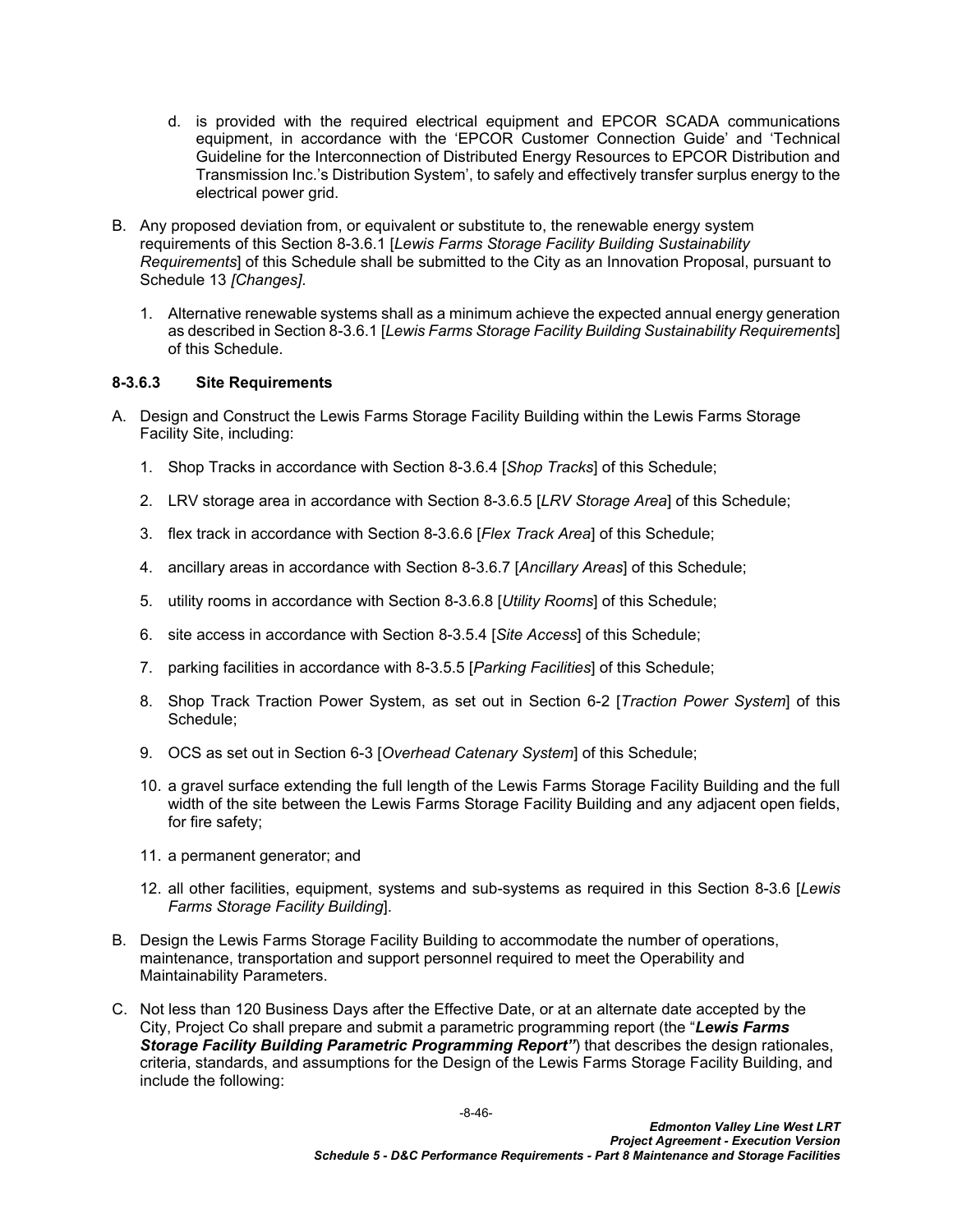- d. is provided with the required electrical equipment and EPCOR SCADA communications equipment, in accordance with the 'EPCOR Customer Connection Guide' and 'Technical Guideline for the Interconnection of Distributed Energy Resources to EPCOR Distribution and Transmission Inc.'s Distribution System', to safely and effectively transfer surplus energy to the electrical power grid.
- B. Any proposed deviation from, or equivalent or substitute to, the renewable energy system requirements of this Section [8-3.6.1](#page-46-1) [*Lewis Farms Storage Facility Building Sustainability Requirements*] of this Schedule shall be submitted to the City as an Innovation Proposal, pursuant to Schedule 13 *[Changes]*.
	- 1. Alternative renewable systems shall as a minimum achieve the expected annual energy generation as described in Section [8-3.6.1](#page-46-1) [*Lewis Farms Storage Facility Building Sustainability Requirements*] of this Schedule.

## **8-3.6.3 Site Requirements**

- A. Design and Construct the Lewis Farms Storage Facility Building within the Lewis Farms Storage Facility Site, including:
	- 1. Shop Tracks in accordance with Section [8-3.6.4](#page-49-0) [*Shop Tracks*] of this Schedule;
	- 2. LRV storage area in accordance with Section [8-3.6.5](#page-50-0) [*LRV Storage Area*] of this Schedule;
	- 3. flex track in accordance with Section [8-3.6.6](#page-51-0) [*Flex Track Area*] of this Schedule;
	- 4. ancillary areas in accordance with Section [8-3.6.7](#page-51-1) [*Ancillary Areas*] of this Schedule;
	- 5. utility rooms in accordance with Section [8-3.6.8](#page-52-0) [*Utility Rooms*] of this Schedule;
	- 6. site access in accordance with Section [8-3.5.4](#page-45-0) [*Site Access*] of this Schedule;
	- 7. parking facilities in accordance with [8-3.5.5](#page-45-1) [*Parking Facilities*] of this Schedule;
	- 8. Shop Track Traction Power System, as set out in Section 6-2 [*Traction Power System*] of this Schedule;
	- 9. OCS as set out in Section 6-3 [*Overhead Catenary System*] of this Schedule;
	- 10. a gravel surface extending the full length of the Lewis Farms Storage Facility Building and the full width of the site between the Lewis Farms Storage Facility Building and any adjacent open fields, for fire safety;
	- 11. a permanent generator; and
	- 12. all other facilities, equipment, systems and sub-systems as required in this Section [8-3.6](#page-46-0) [*Lewis Farms Storage Facility Building*].
- B. Design the Lewis Farms Storage Facility Building to accommodate the number of operations, maintenance, transportation and support personnel required to meet the Operability and Maintainability Parameters.
- C. Not less than 120 Business Days after the Effective Date, or at an alternate date accepted by the City, Project Co shall prepare and submit a parametric programming report (the "*Lewis Farms Storage Facility Building Parametric Programming Report"*) that describes the design rationales, criteria, standards, and assumptions for the Design of the Lewis Farms Storage Facility Building, and include the following: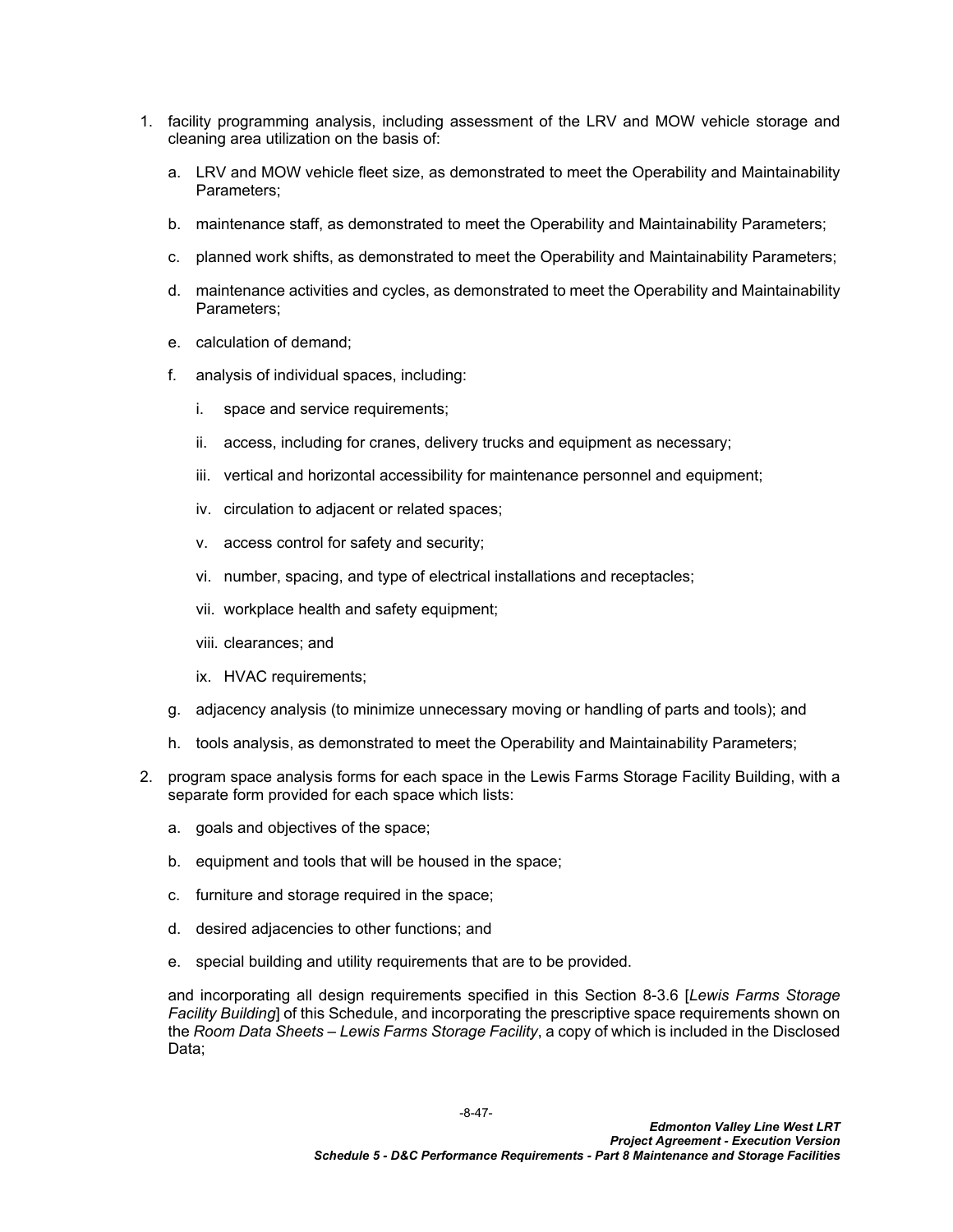- 1. facility programming analysis, including assessment of the LRV and MOW vehicle storage and cleaning area utilization on the basis of:
	- a. LRV and MOW vehicle fleet size, as demonstrated to meet the Operability and Maintainability Parameters;
	- b. maintenance staff, as demonstrated to meet the Operability and Maintainability Parameters;
	- c. planned work shifts, as demonstrated to meet the Operability and Maintainability Parameters;
	- d. maintenance activities and cycles, as demonstrated to meet the Operability and Maintainability Parameters;
	- e. calculation of demand;
	- f. analysis of individual spaces, including:
		- i. space and service requirements;
		- ii. access, including for cranes, delivery trucks and equipment as necessary;
		- iii. vertical and horizontal accessibility for maintenance personnel and equipment;
		- iv. circulation to adjacent or related spaces;
		- v. access control for safety and security;
		- vi. number, spacing, and type of electrical installations and receptacles;
		- vii. workplace health and safety equipment;
		- viii. clearances; and
		- ix. HVAC requirements;
	- g. adjacency analysis (to minimize unnecessary moving or handling of parts and tools); and
	- h. tools analysis, as demonstrated to meet the Operability and Maintainability Parameters;
- 2. program space analysis forms for each space in the Lewis Farms Storage Facility Building, with a separate form provided for each space which lists:
	- a. goals and objectives of the space;
	- b. equipment and tools that will be housed in the space;
	- c. furniture and storage required in the space;
	- d. desired adjacencies to other functions; and
	- e. special building and utility requirements that are to be provided.

and incorporating all design requirements specified in this Section [8-3.6](#page-46-0) [*Lewis Farms Storage Facility Building*] of this Schedule, and incorporating the prescriptive space requirements shown on the *Room Data Sheets – Lewis Farms Storage Facility*, a copy of which is included in the Disclosed Data;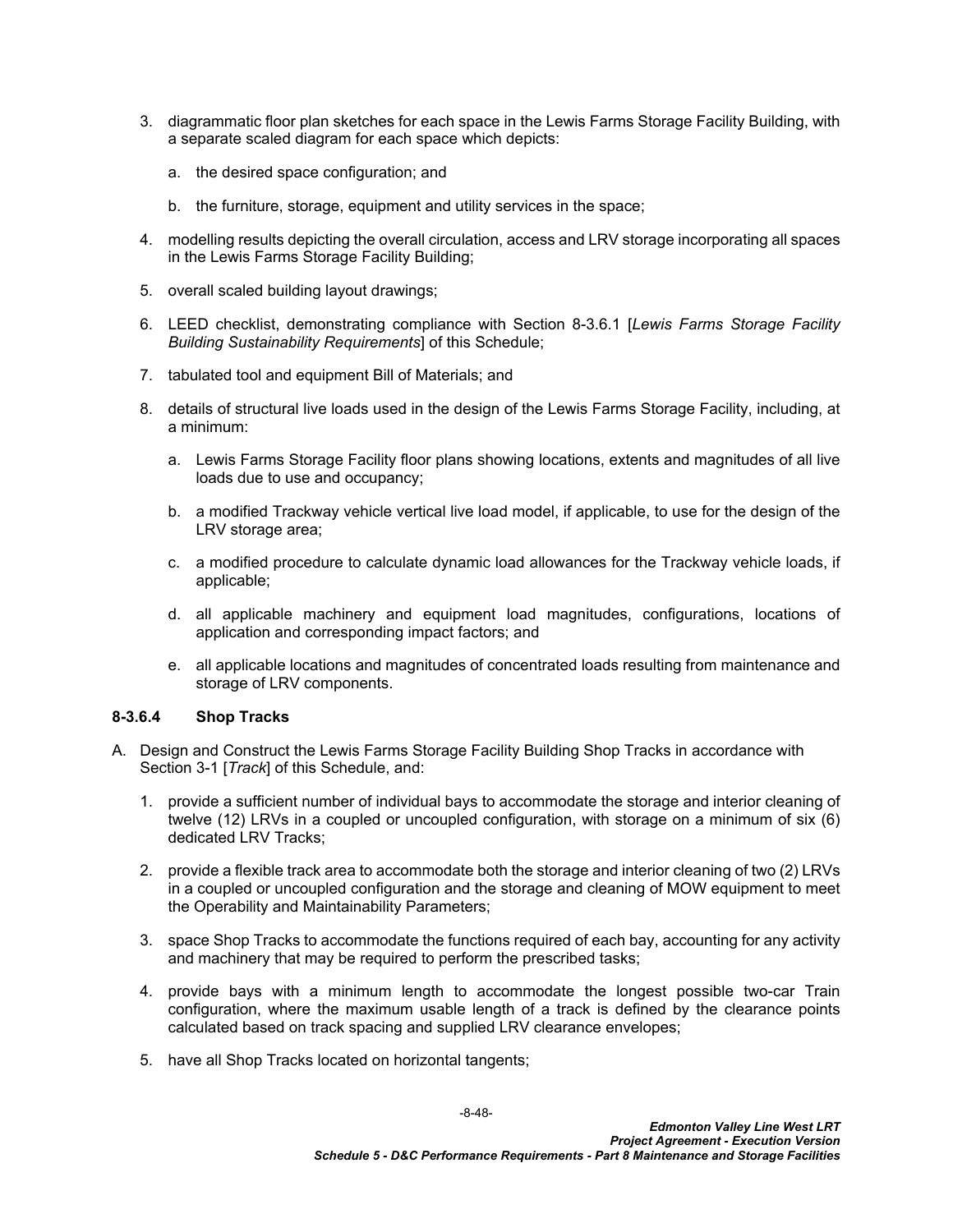- 3. diagrammatic floor plan sketches for each space in the Lewis Farms Storage Facility Building, with a separate scaled diagram for each space which depicts:
	- a. the desired space configuration; and
	- b. the furniture, storage, equipment and utility services in the space;
- 4. modelling results depicting the overall circulation, access and LRV storage incorporating all spaces in the Lewis Farms Storage Facility Building;
- 5. overall scaled building layout drawings;
- 6. LEED checklist, demonstrating compliance with Section [8-3.6.1](#page-46-1) [*Lewis Farms Storage Facility Building Sustainability Requirements*] of this Schedule;
- 7. tabulated tool and equipment Bill of Materials; and
- 8. details of structural live loads used in the design of the Lewis Farms Storage Facility, including, at a minimum:
	- a. Lewis Farms Storage Facility floor plans showing locations, extents and magnitudes of all live loads due to use and occupancy;
	- b. a modified Trackway vehicle vertical live load model, if applicable, to use for the design of the LRV storage area;
	- c. a modified procedure to calculate dynamic load allowances for the Trackway vehicle loads, if applicable;
	- d. all applicable machinery and equipment load magnitudes, configurations, locations of application and corresponding impact factors; and
	- e. all applicable locations and magnitudes of concentrated loads resulting from maintenance and storage of LRV components.

#### <span id="page-49-0"></span>**8-3.6.4 Shop Tracks**

- A. Design and Construct the Lewis Farms Storage Facility Building Shop Tracks in accordance with Section 3-1 [*Track*] of this Schedule, and:
	- 1. provide a sufficient number of individual bays to accommodate the storage and interior cleaning of twelve (12) LRVs in a coupled or uncoupled configuration, with storage on a minimum of six (6) dedicated LRV Tracks;
	- 2. provide a flexible track area to accommodate both the storage and interior cleaning of two (2) LRVs in a coupled or uncoupled configuration and the storage and cleaning of MOW equipment to meet the Operability and Maintainability Parameters;
	- 3. space Shop Tracks to accommodate the functions required of each bay, accounting for any activity and machinery that may be required to perform the prescribed tasks;
	- 4. provide bays with a minimum length to accommodate the longest possible two-car Train configuration, where the maximum usable length of a track is defined by the clearance points calculated based on track spacing and supplied LRV clearance envelopes;
	- 5. have all Shop Tracks located on horizontal tangents;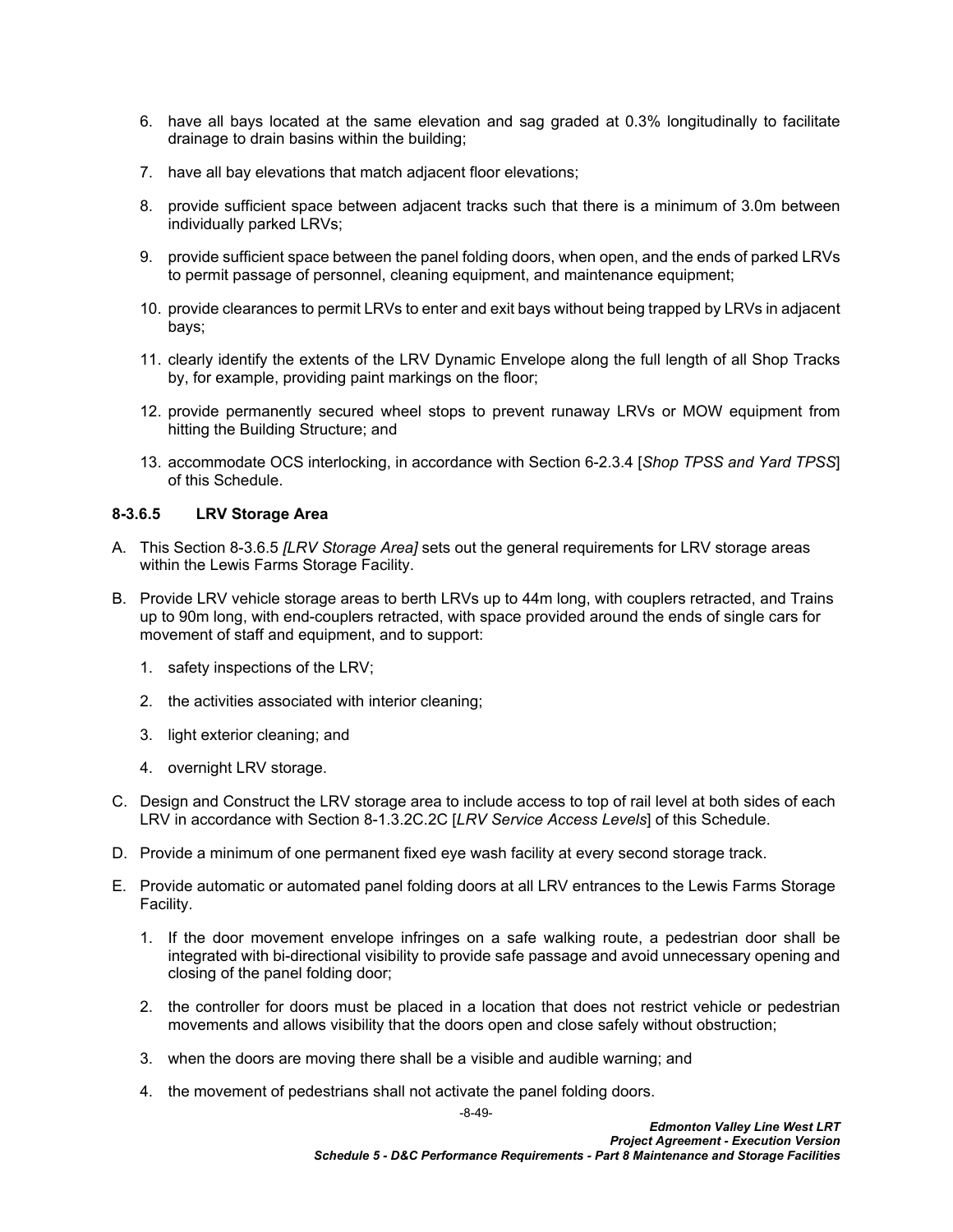- 6. have all bays located at the same elevation and sag graded at 0.3% longitudinally to facilitate drainage to drain basins within the building;
- 7. have all bay elevations that match adjacent floor elevations;
- 8. provide sufficient space between adjacent tracks such that there is a minimum of 3.0m between individually parked LRVs;
- 9. provide sufficient space between the panel folding doors, when open, and the ends of parked LRVs to permit passage of personnel, cleaning equipment, and maintenance equipment;
- 10. provide clearances to permit LRVs to enter and exit bays without being trapped by LRVs in adjacent bays;
- 11. clearly identify the extents of the LRV Dynamic Envelope along the full length of all Shop Tracks by, for example, providing paint markings on the floor;
- 12. provide permanently secured wheel stops to prevent runaway LRVs or MOW equipment from hitting the Building Structure; and
- 13. accommodate OCS interlocking, in accordance with Section 6-2.3.4 [*Shop TPSS and Yard TPSS*] of this Schedule.

#### <span id="page-50-0"></span>**8-3.6.5 LRV Storage Area**

- A. This Section 8-3.6.5 *[LRV Storage Area]* sets out the general requirements for LRV storage areas within the Lewis Farms Storage Facility.
- B. Provide LRV vehicle storage areas to berth LRVs up to 44m long, with couplers retracted, and Trains up to 90m long, with end-couplers retracted, with space provided around the ends of single cars for movement of staff and equipment, and to support:
	- 1. safety inspections of the LRV;
	- 2. the activities associated with interior cleaning;
	- 3. light exterior cleaning; and
	- 4. overnight LRV storage.
- C. Design and Construct the LRV storage area to include access to top of rail level at both sides of each LRV in accordance with Section [8-1.3.2C.2C](#page-5-0) [*LRV Service Access Levels*] of this Schedule.
- D. Provide a minimum of one permanent fixed eye wash facility at every second storage track.
- E. Provide automatic or automated panel folding doors at all LRV entrances to the Lewis Farms Storage Facility.
	- 1. If the door movement envelope infringes on a safe walking route, a pedestrian door shall be integrated with bi-directional visibility to provide safe passage and avoid unnecessary opening and closing of the panel folding door;
	- 2. the controller for doors must be placed in a location that does not restrict vehicle or pedestrian movements and allows visibility that the doors open and close safely without obstruction;
	- 3. when the doors are moving there shall be a visible and audible warning; and
	- 4. the movement of pedestrians shall not activate the panel folding doors.

-8-49-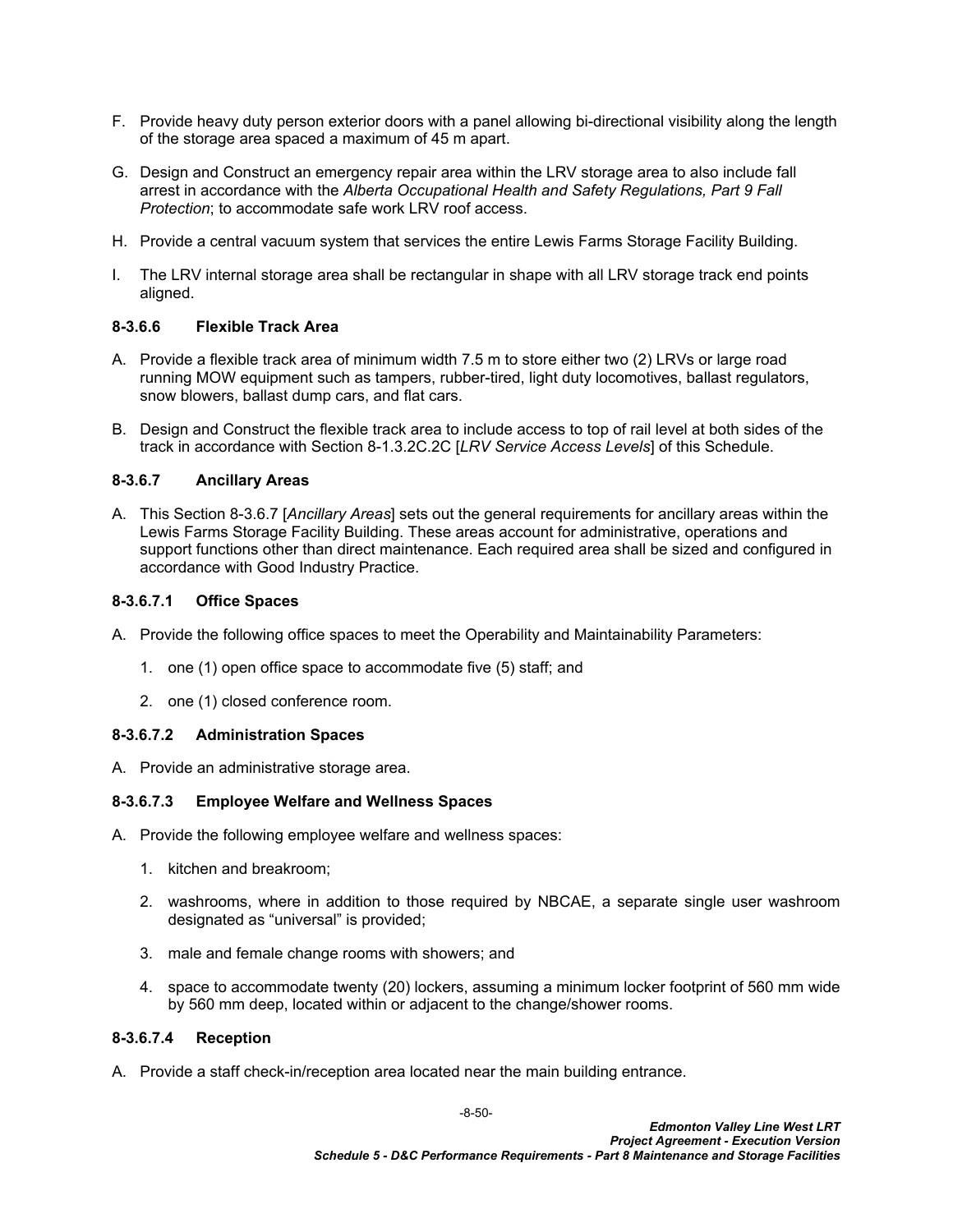- F. Provide heavy duty person exterior doors with a panel allowing bi-directional visibility along the length of the storage area spaced a maximum of 45 m apart.
- G. Design and Construct an emergency repair area within the LRV storage area to also include fall arrest in accordance with the *Alberta Occupational Health and Safety Regulations, Part 9 Fall Protection*; to accommodate safe work LRV roof access.
- H. Provide a central vacuum system that services the entire Lewis Farms Storage Facility Building.
- I. The LRV internal storage area shall be rectangular in shape with all LRV storage track end points aligned.

## <span id="page-51-0"></span>**8-3.6.6 Flexible Track Area**

- A. Provide a flexible track area of minimum width 7.5 m to store either two (2) LRVs or large road running MOW equipment such as tampers, rubber-tired, light duty locomotives, ballast regulators, snow blowers, ballast dump cars, and flat cars.
- B. Design and Construct the flexible track area to include access to top of rail level at both sides of the track in accordance with Section [8-1.3.2C.2C](#page-5-0) [*LRV Service Access Levels*] of this Schedule.

## <span id="page-51-1"></span>**8-3.6.7 Ancillary Areas**

A. This Section [8-3.6.7](#page-51-1) [*Ancillary Areas*] sets out the general requirements for ancillary areas within the Lewis Farms Storage Facility Building. These areas account for administrative, operations and support functions other than direct maintenance. Each required area shall be sized and configured in accordance with Good Industry Practice.

## **8-3.6.7.1 Office Spaces**

- A. Provide the following office spaces to meet the Operability and Maintainability Parameters:
	- 1. one (1) open office space to accommodate five (5) staff; and
	- 2. one (1) closed conference room.

## **8-3.6.7.2 Administration Spaces**

A. Provide an administrative storage area.

## **8-3.6.7.3 Employee Welfare and Wellness Spaces**

- A. Provide the following employee welfare and wellness spaces:
	- 1. kitchen and breakroom;
	- 2. washrooms, where in addition to those required by NBCAE, a separate single user washroom designated as "universal" is provided;
	- 3. male and female change rooms with showers; and
	- 4. space to accommodate twenty (20) lockers, assuming a minimum locker footprint of 560 mm wide by 560 mm deep, located within or adjacent to the change/shower rooms.

## **8-3.6.7.4 Reception**

A. Provide a staff check-in/reception area located near the main building entrance.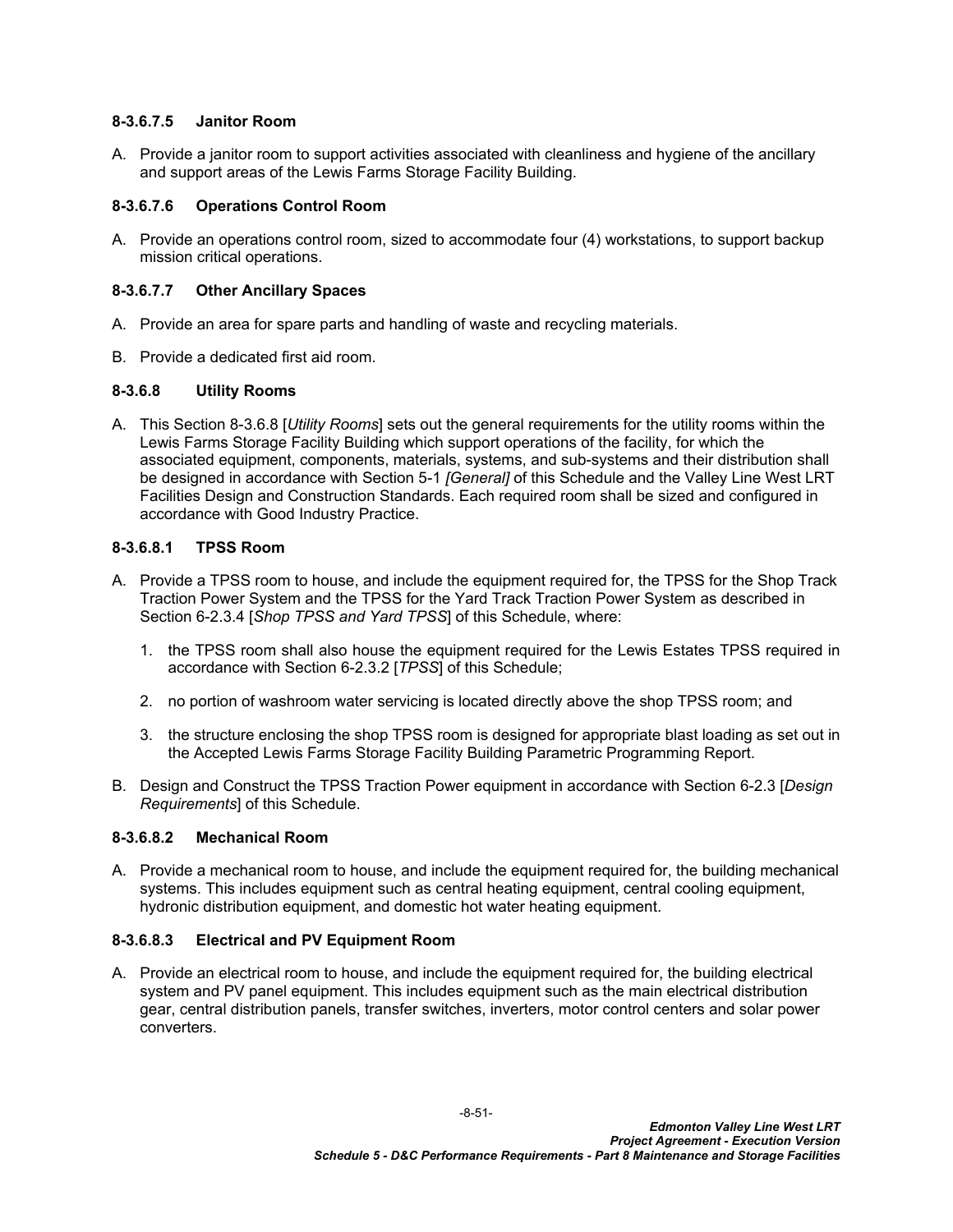## **8-3.6.7.5 Janitor Room**

A. Provide a janitor room to support activities associated with cleanliness and hygiene of the ancillary and support areas of the Lewis Farms Storage Facility Building.

## **8-3.6.7.6 Operations Control Room**

A. Provide an operations control room, sized to accommodate four (4) workstations, to support backup mission critical operations.

## **8-3.6.7.7 Other Ancillary Spaces**

- A. Provide an area for spare parts and handling of waste and recycling materials.
- B. Provide a dedicated first aid room.

## <span id="page-52-0"></span>**8-3.6.8 Utility Rooms**

A. This Section [8-3.6.8](#page-52-0) [*Utility Rooms*] sets out the general requirements for the utility rooms within the Lewis Farms Storage Facility Building which support operations of the facility, for which the associated equipment, components, materials, systems, and sub-systems and their distribution shall be designed in accordance with Section 5-1 *[General]* of this Schedule and the Valley Line West LRT Facilities Design and Construction Standards. Each required room shall be sized and configured in accordance with Good Industry Practice.

## **8-3.6.8.1 TPSS Room**

- A. Provide a TPSS room to house, and include the equipment required for, the TPSS for the Shop Track Traction Power System and the TPSS for the Yard Track Traction Power System as described in Section 6-2.3.4 [*Shop TPSS and Yard TPSS*] of this Schedule, where:
	- 1. the TPSS room shall also house the equipment required for the Lewis Estates TPSS required in accordance with Section 6-2.3.2 [*TPSS*] of this Schedule;
	- 2. no portion of washroom water servicing is located directly above the shop TPSS room; and
	- 3. the structure enclosing the shop TPSS room is designed for appropriate blast loading as set out in the Accepted Lewis Farms Storage Facility Building Parametric Programming Report.
- B. Design and Construct the TPSS Traction Power equipment in accordance with Section 6-2.3 [*Design Requirements*] of this Schedule.

#### **8-3.6.8.2 Mechanical Room**

A. Provide a mechanical room to house, and include the equipment required for, the building mechanical systems. This includes equipment such as central heating equipment, central cooling equipment, hydronic distribution equipment, and domestic hot water heating equipment.

#### **8-3.6.8.3 Electrical and PV Equipment Room**

A. Provide an electrical room to house, and include the equipment required for, the building electrical system and PV panel equipment. This includes equipment such as the main electrical distribution gear, central distribution panels, transfer switches, inverters, motor control centers and solar power converters.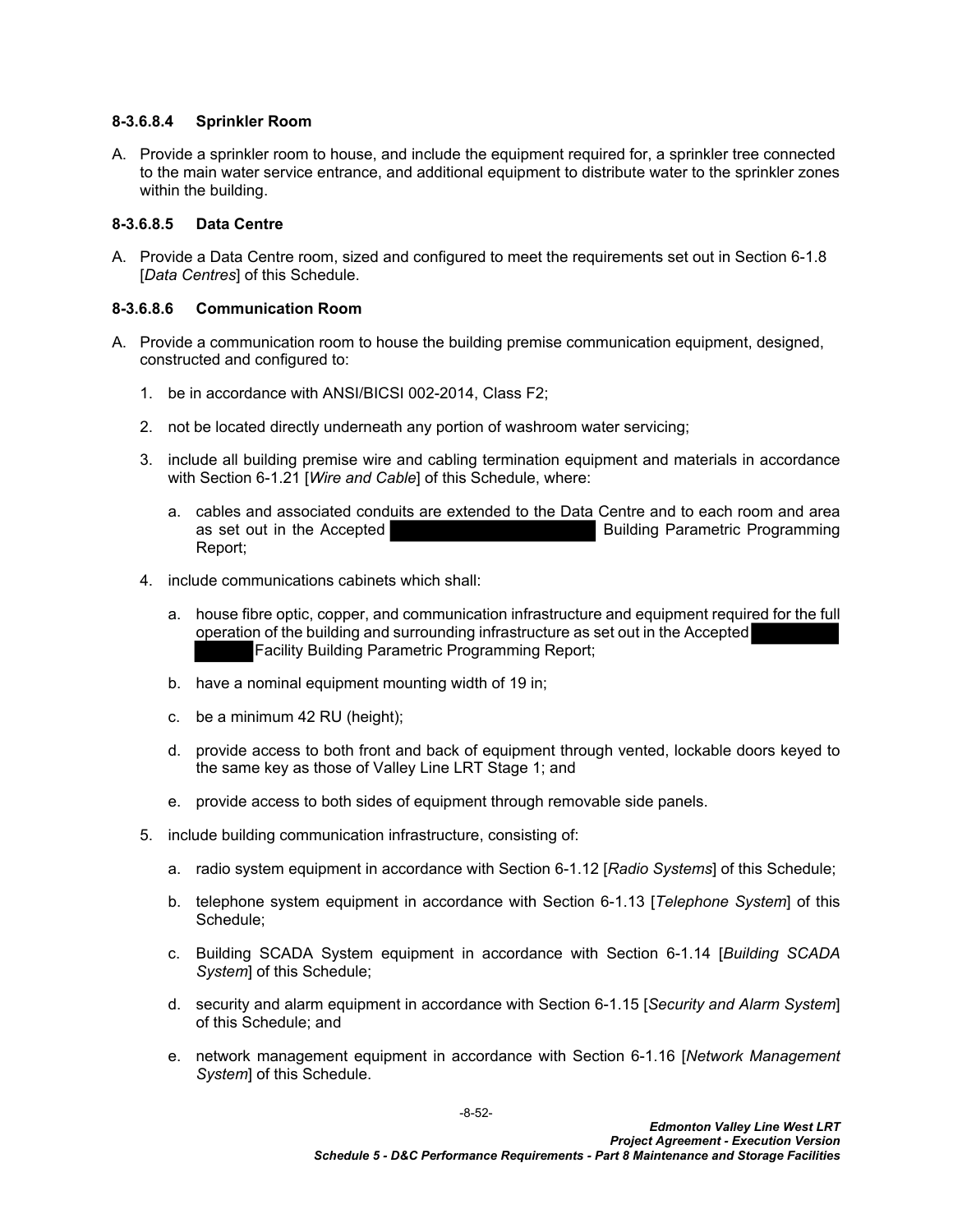#### **8-3.6.8.4 Sprinkler Room**

A. Provide a sprinkler room to house, and include the equipment required for, a sprinkler tree connected to the main water service entrance, and additional equipment to distribute water to the sprinkler zones within the building.

### **8-3.6.8.5 Data Centre**

A. Provide a Data Centre room, sized and configured to meet the requirements set out in Section 6-1.8 [*Data Centres*] of this Schedule.

### **8-3.6.8.6 Communication Room**

- A. Provide a communication room to house the building premise communication equipment, designed, constructed and configured to:
	- 1. be in accordance with ANSI/BICSI 002-2014, Class F2;
	- 2. not be located directly underneath any portion of washroom water servicing;
	- 3. include all building premise wire and cabling termination equipment and materials in accordance with Section 6-1.21 [*Wire and Cable*] of this Schedule, where:
		- a. cables and associated conduits are extended to the Data Centre and to each room and area as set out in the Accepted **Building Parametric Programming** Report;
	- 4. include communications cabinets which shall:
		- a. house fibre optic, copper, and communication infrastructure and equipment required for the full operation of the building and surrounding infrastructure as set out in the Accepted Facility Building Parametric Programming Report;
		- b. have a nominal equipment mounting width of 19 in;
		- c. be a minimum 42 RU (height);
		- d. provide access to both front and back of equipment through vented, lockable doors keyed to the same key as those of Valley Line LRT Stage 1; and
		- e. provide access to both sides of equipment through removable side panels.
	- 5. include building communication infrastructure, consisting of:
		- a. radio system equipment in accordance with Section 6-1.12 [*Radio Systems*] of this Schedule;
		- b. telephone system equipment in accordance with Section 6-1.13 [*Telephone System*] of this Schedule;
		- c. Building SCADA System equipment in accordance with Section 6-1.14 [*Building SCADA System*] of this Schedule;
		- d. security and alarm equipment in accordance with Section 6-1.15 [*Security and Alarm System*] of this Schedule; and
		- e. network management equipment in accordance with Section 6-1.16 [*Network Management System*] of this Schedule.

-8-52-